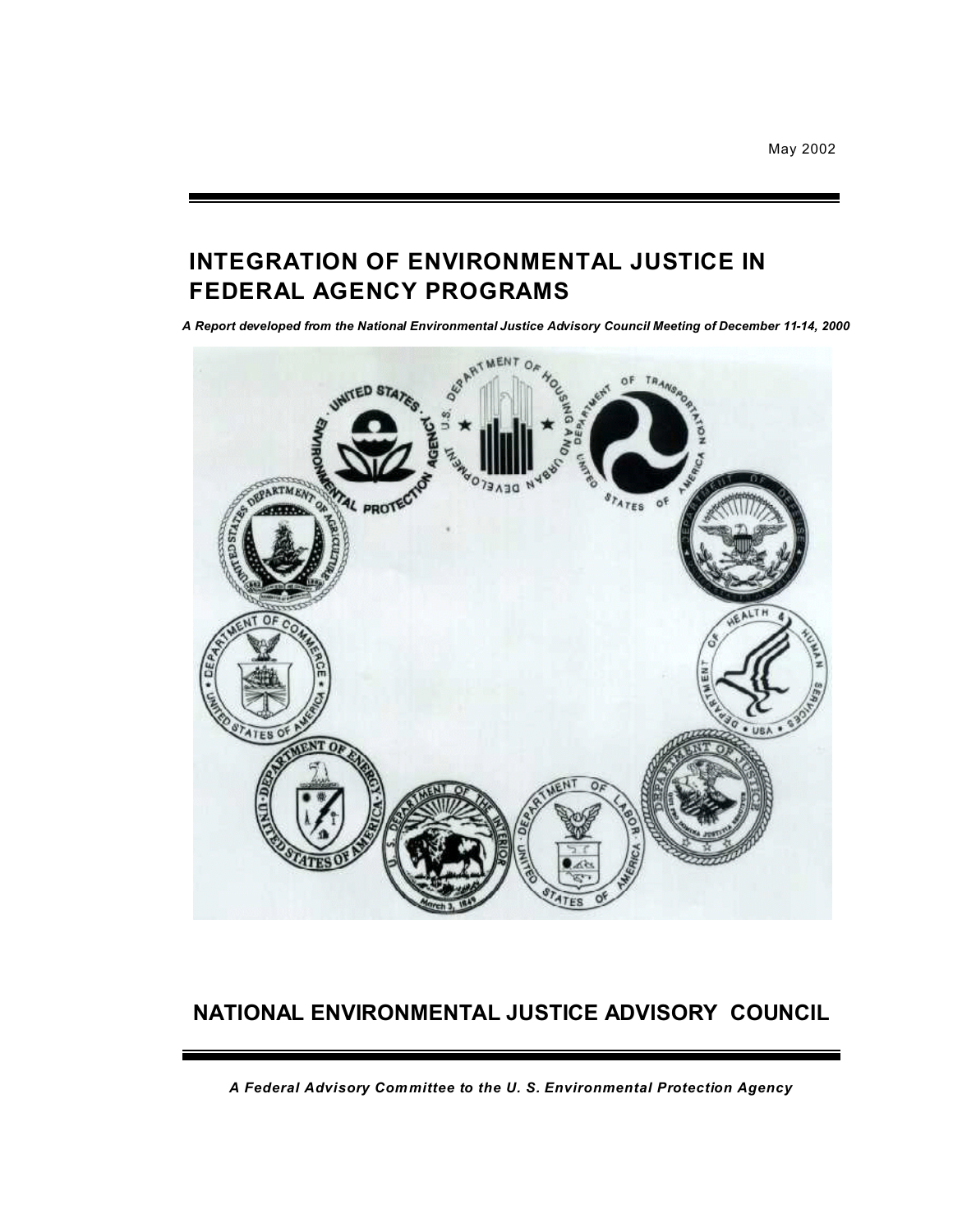May 2002

# **INTEGRATION OF ENVIRONMENTAL JUSTICE IN FEDERAL AGENCY PROGRAMS**

*A Report developed from the National Environmental Justice Advisory Council Meeting of December 11-14, 2000* 



# **NATIONAL ENVIRONMENTAL JUSTICE ADVISORY COUNCIL**

*A Federal Advisory Committee to the U. S. Environmental Protection Agency*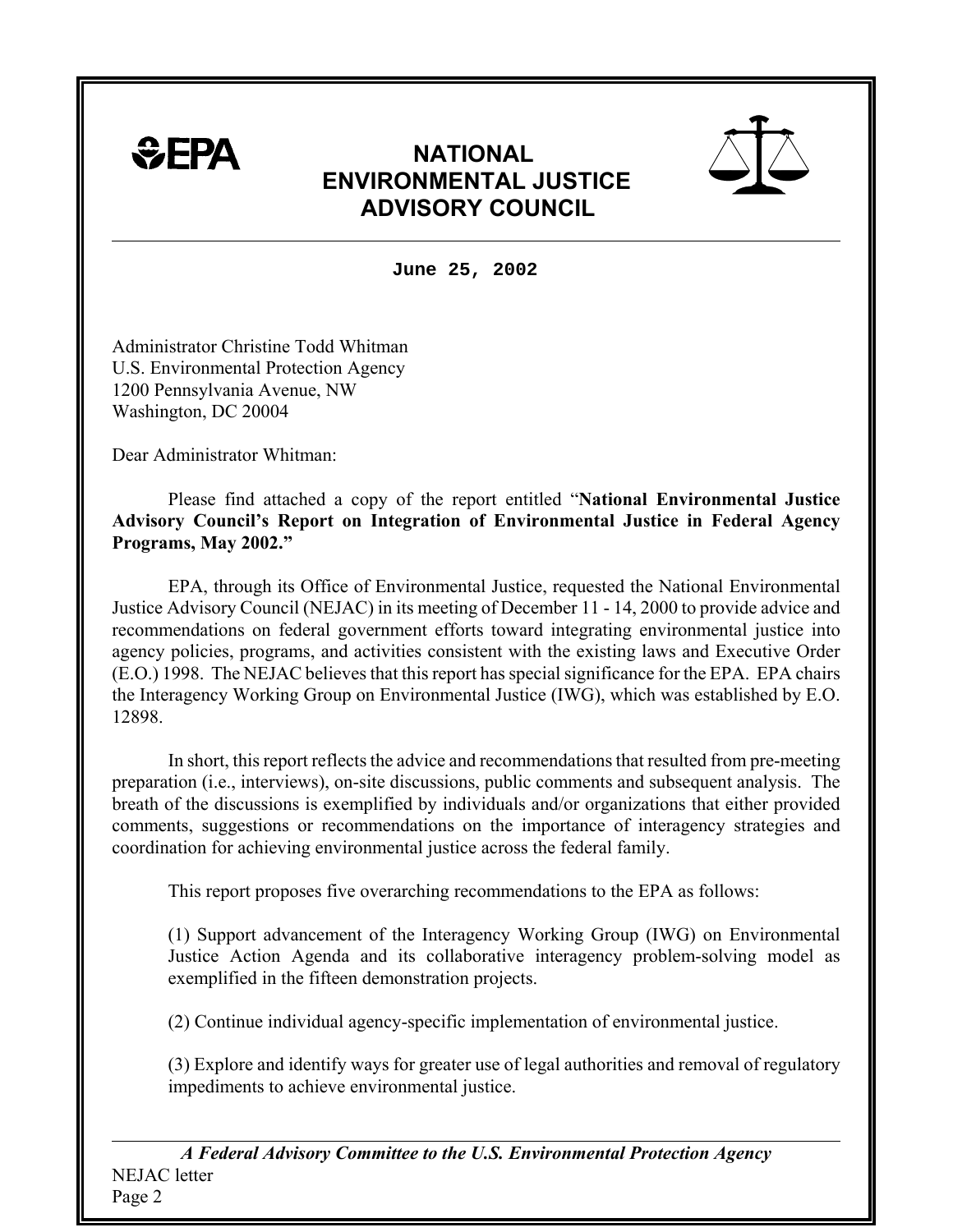

# **NATIONAL ENVIRONMENTAL JUSTICE ADVISORY COUNCIL**



**June 25, 2002** 

Administrator Christine Todd Whitman U.S. Environmental Protection Agency 1200 Pennsylvania Avenue, NW Washington, DC 20004

Dear Administrator Whitman:

Please find attached a copy of the report entitled "**National Environmental Justice Advisory Council's Report on Integration of Environmental Justice in Federal Agency Programs, May 2002."** 

EPA, through its Office of Environmental Justice, requested the National Environmental Justice Advisory Council (NEJAC) in its meeting of December 11 - 14, 2000 to provide advice and recommendations on federal government efforts toward integrating environmental justice into agency policies, programs, and activities consistent with the existing laws and Executive Order (E.O.) 1998. The NEJAC believes that this report has special significance for the EPA. EPA chairs the Interagency Working Group on Environmental Justice (IWG), which was established by E.O. 12898.

In short, this report reflects the advice and recommendations that resulted from pre-meeting preparation (i.e., interviews), on-site discussions, public comments and subsequent analysis. The breath of the discussions is exemplified by individuals and/or organizations that either provided comments, suggestions or recommendations on the importance of interagency strategies and coordination for achieving environmental justice across the federal family.

This report proposes five overarching recommendations to the EPA as follows:

(1) Support advancement of the Interagency Working Group (IWG) on Environmental Justice Action Agenda and its collaborative interagency problem-solving model as exemplified in the fifteen demonstration projects.

(2) Continue individual agency-specific implementation of environmental justice.

(3) Explore and identify ways for greater use of legal authorities and removal of regulatory impediments to achieve environmental justice.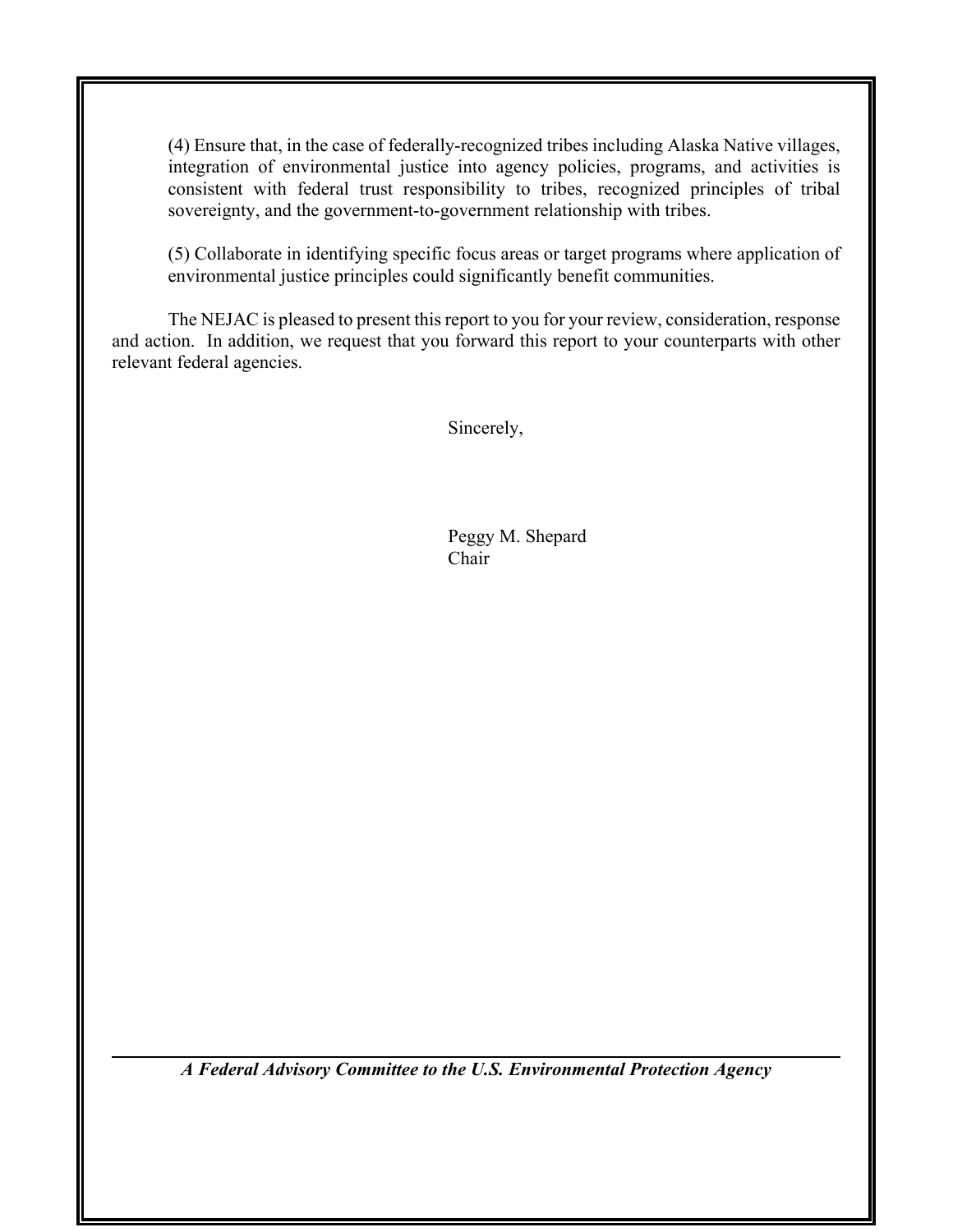(4) Ensure that, in the case of federally-recognized tribes including Alaska Native villages, integration of environmental justice into agency policies, programs, and activities is consistent with federal trust responsibility to tribes, recognized principles of tribal sovereignty, and the government-to-government relationship with tribes.

(5) Collaborate in identifying specific focus areas or target programs where application of environmental justice principles could significantly benefit communities.

The NEJAC is pleased to present this report to you for your review, consideration, response and action. In addition, we request that you forward this report to your counterparts with other relevant federal agencies.

Sincerely,

Peggy M. Shepard Chair

*A Federal Advisory Committee to the U.S. Environmental Protection Agency*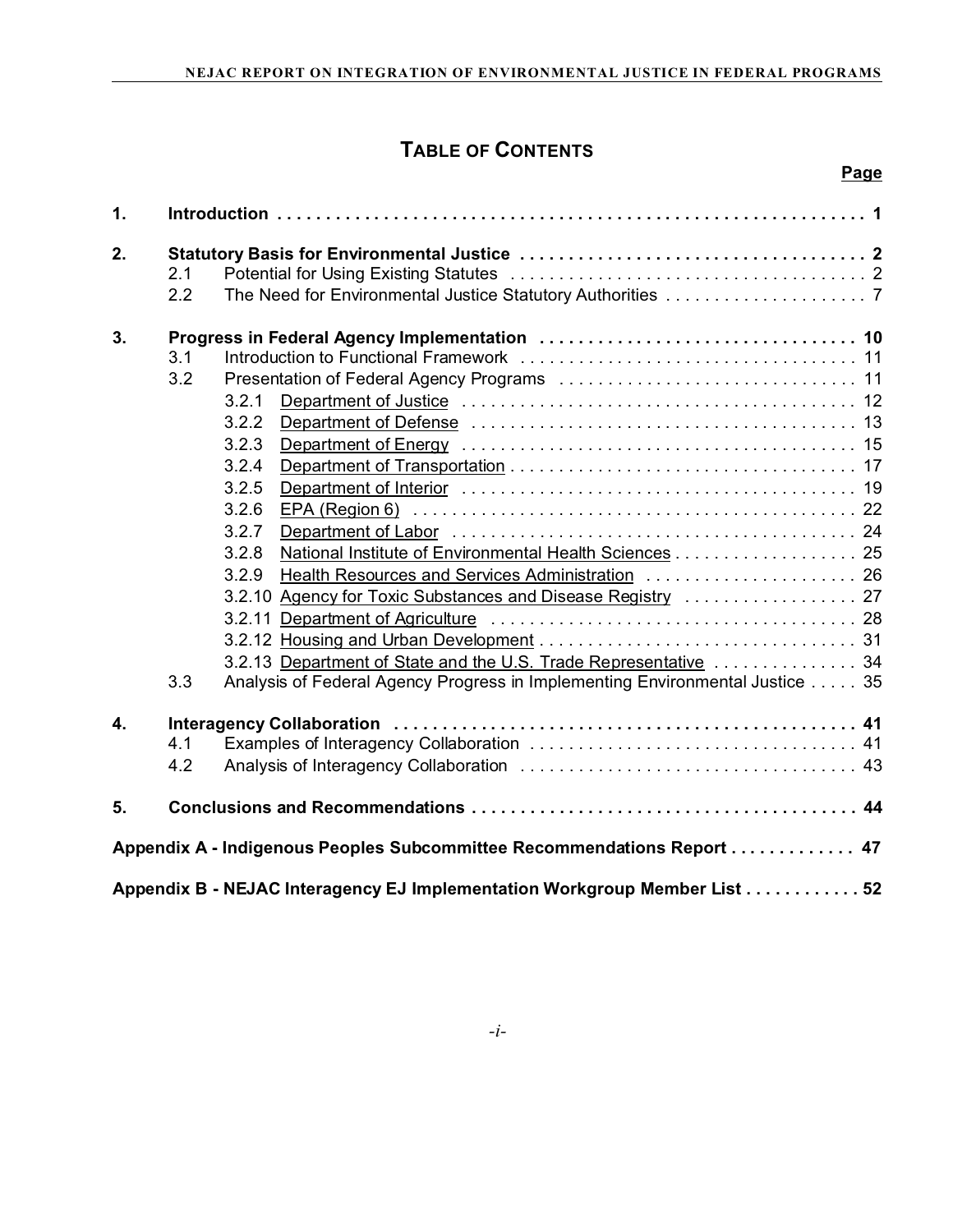**Page** 

# **TABLE OF CONTENTS**

| 1.                                                                        |     |                                                                              |  |  |  |
|---------------------------------------------------------------------------|-----|------------------------------------------------------------------------------|--|--|--|
| 2.                                                                        |     |                                                                              |  |  |  |
|                                                                           | 2.1 |                                                                              |  |  |  |
|                                                                           | 2.2 |                                                                              |  |  |  |
| 3.                                                                        |     |                                                                              |  |  |  |
|                                                                           | 3.1 |                                                                              |  |  |  |
|                                                                           | 3.2 |                                                                              |  |  |  |
|                                                                           |     | 3.2.1                                                                        |  |  |  |
|                                                                           |     | 3.2.2                                                                        |  |  |  |
|                                                                           |     | 3.2.3                                                                        |  |  |  |
|                                                                           |     | 3.2.4                                                                        |  |  |  |
|                                                                           |     | 3.2.5                                                                        |  |  |  |
|                                                                           |     | 3.2.6                                                                        |  |  |  |
|                                                                           |     | 3.2.7                                                                        |  |  |  |
|                                                                           |     | National Institute of Environmental Health Sciences 25<br>3.2.8              |  |  |  |
|                                                                           |     | 3.2.9<br>Health Resources and Services Administration  26                    |  |  |  |
|                                                                           |     |                                                                              |  |  |  |
|                                                                           |     |                                                                              |  |  |  |
|                                                                           |     |                                                                              |  |  |  |
|                                                                           |     | 3.2.13 Department of State and the U.S. Trade Representative  34             |  |  |  |
|                                                                           | 3.3 | Analysis of Federal Agency Progress in Implementing Environmental Justice 35 |  |  |  |
| $\overline{4}$ .                                                          |     |                                                                              |  |  |  |
|                                                                           | 4.1 |                                                                              |  |  |  |
|                                                                           | 4.2 |                                                                              |  |  |  |
| 5.                                                                        |     |                                                                              |  |  |  |
| Appendix A - Indigenous Peoples Subcommittee Recommendations Report 47    |     |                                                                              |  |  |  |
| Appendix B - NEJAC Interagency EJ Implementation Workgroup Member List 52 |     |                                                                              |  |  |  |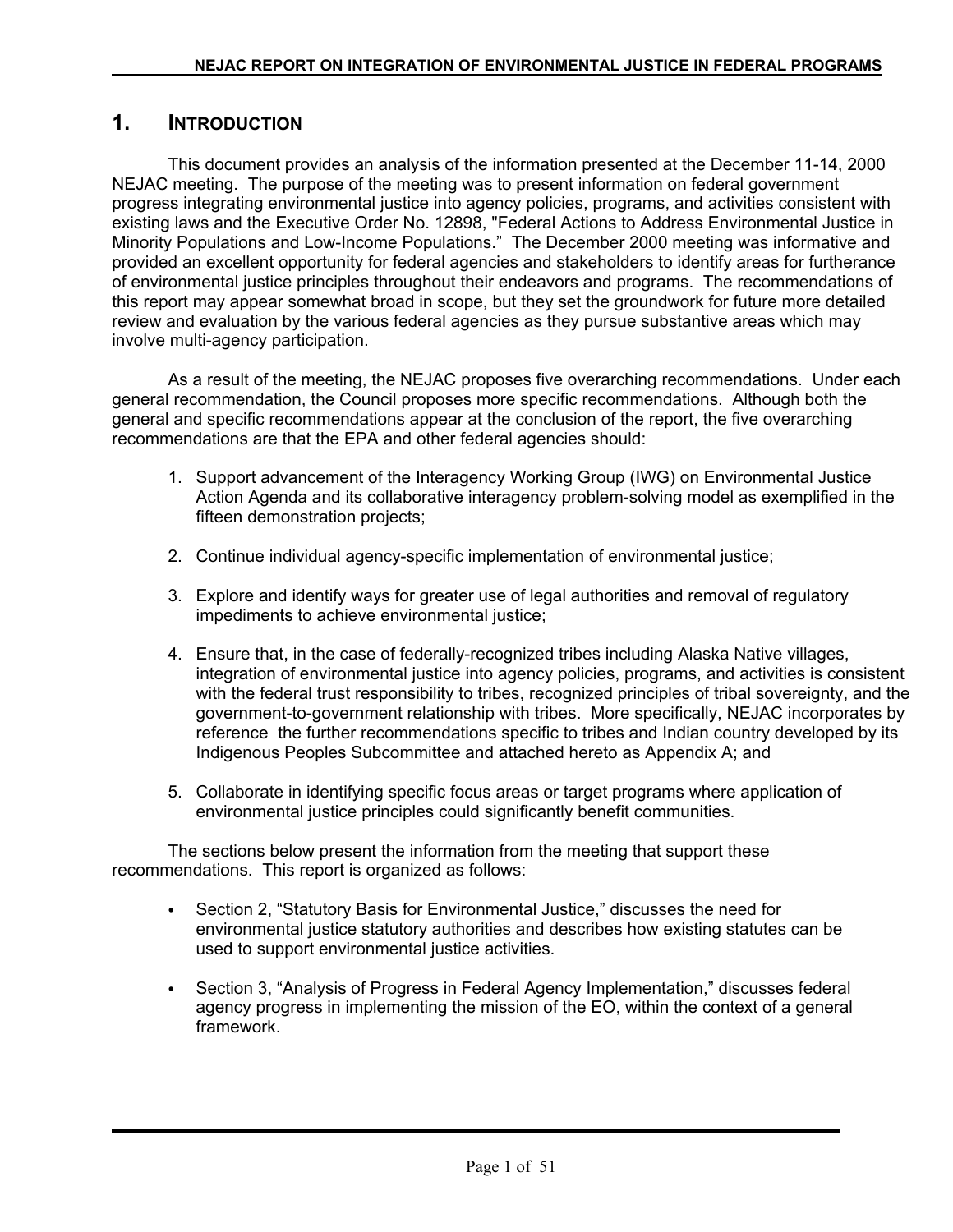## **1. INTRODUCTION**

This document provides an analysis of the information presented at the December 11-14, 2000 NEJAC meeting. The purpose of the meeting was to present information on federal government progress integrating environmental justice into agency policies, programs, and activities consistent with existing laws and the Executive Order No. 12898, "Federal Actions to Address Environmental Justice in Minority Populations and Low-Income Populations." The December 2000 meeting was informative and provided an excellent opportunity for federal agencies and stakeholders to identify areas for furtherance of environmental justice principles throughout their endeavors and programs. The recommendations of this report may appear somewhat broad in scope, but they set the groundwork for future more detailed review and evaluation by the various federal agencies as they pursue substantive areas which may involve multi-agency participation.

As a result of the meeting, the NEJAC proposes five overarching recommendations. Under each general recommendation, the Council proposes more specific recommendations. Although both the general and specific recommendations appear at the conclusion of the report, the five overarching recommendations are that the EPA and other federal agencies should:

- 1. Support advancement of the Interagency Working Group (IWG) on Environmental Justice Action Agenda and its collaborative interagency problem-solving model as exemplified in the fifteen demonstration projects;
- 2. Continue individual agency-specific implementation of environmental justice;
- 3. Explore and identify ways for greater use of legal authorities and removal of regulatory impediments to achieve environmental justice;
- 4. Ensure that, in the case of federally-recognized tribes including Alaska Native villages, integration of environmental justice into agency policies, programs, and activities is consistent with the federal trust responsibility to tribes, recognized principles of tribal sovereignty, and the government-to-government relationship with tribes. More specifically, NEJAC incorporates by reference the further recommendations specific to tribes and Indian country developed by its Indigenous Peoples Subcommittee and attached hereto as Appendix A; and
- 5. Collaborate in identifying specific focus areas or target programs where application of environmental justice principles could significantly benefit communities.

The sections below present the information from the meeting that support these recommendations. This report is organized as follows:

- Section 2, "Statutory Basis for Environmental Justice," discusses the need for environmental justice statutory authorities and describes how existing statutes can be used to support environmental justice activities.
- Section 3, "Analysis of Progress in Federal Agency Implementation," discusses federal agency progress in implementing the mission of the EO, within the context of a general framework.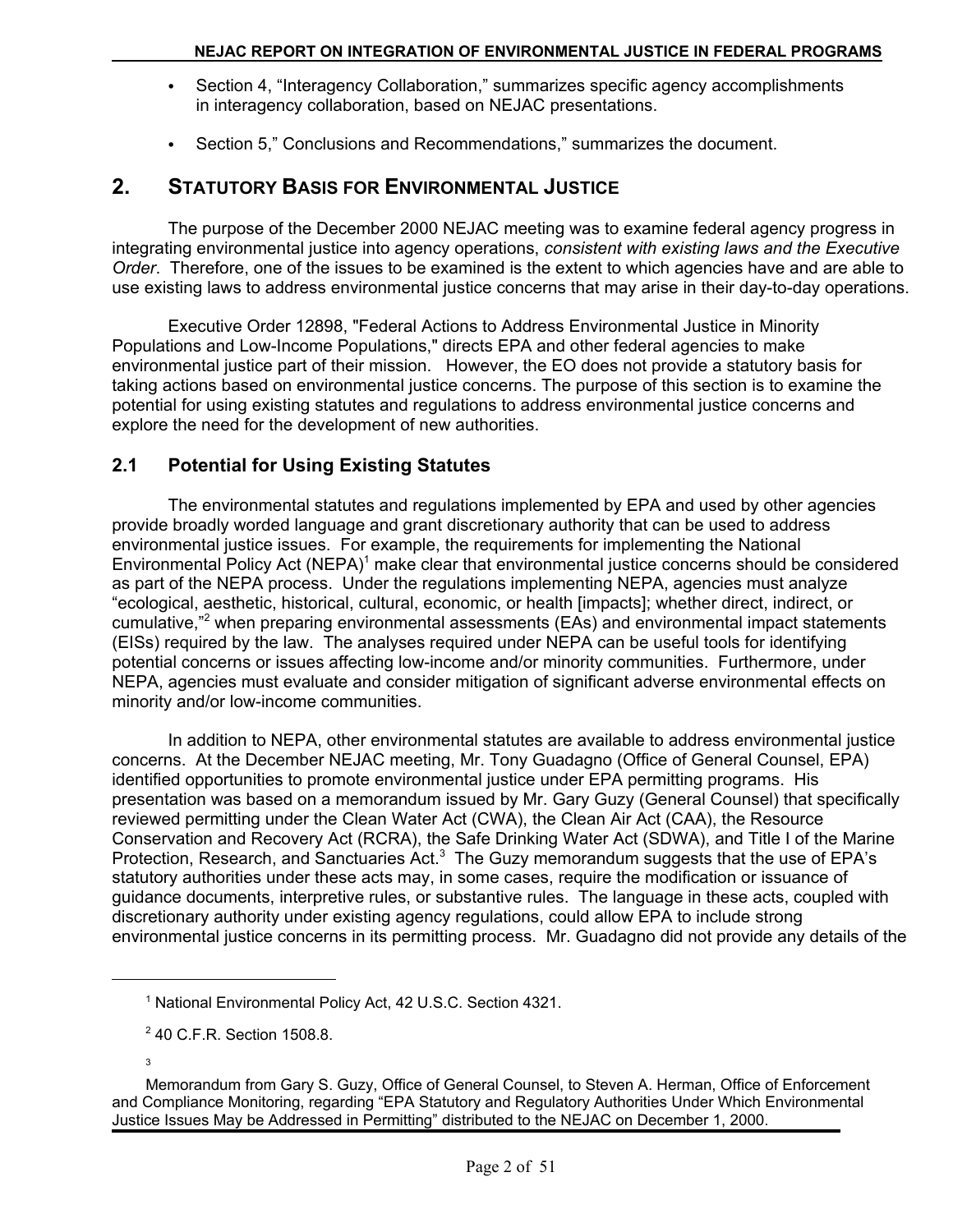- Section 4, "Interagency Collaboration," summarizes specific agency accomplishments in interagency collaboration, based on NEJAC presentations.
- Section 5," Conclusions and Recommendations," summarizes the document.

## **2. STATUTORY BASIS FOR ENVIRONMENTAL JUSTICE**

The purpose of the December 2000 NEJAC meeting was to examine federal agency progress in integrating environmental justice into agency operations, *consistent with existing laws and the Executive Order*. Therefore, one of the issues to be examined is the extent to which agencies have and are able to use existing laws to address environmental justice concerns that may arise in their day-to-day operations.

Executive Order 12898, "Federal Actions to Address Environmental Justice in Minority Populations and Low-Income Populations," directs EPA and other federal agencies to make environmental justice part of their mission. However, the EO does not provide a statutory basis for taking actions based on environmental justice concerns. The purpose of this section is to examine the potential for using existing statutes and regulations to address environmental justice concerns and explore the need for the development of new authorities.

## **2.1 Potential for Using Existing Statutes**

The environmental statutes and regulations implemented by EPA and used by other agencies provide broadly worded language and grant discretionary authority that can be used to address environmental justice issues. For example, the requirements for implementing the National Environmental Policy Act (NEPA)<sup>1</sup> make clear that environmental justice concerns should be considered as part of the NEPA process. Under the regulations implementing NEPA, agencies must analyze "ecological, aesthetic, historical, cultural, economic, or health [impacts]; whether direct, indirect, or cumulative,"<sup>2</sup> when preparing environmental assessments (EAs) and environmental impact statements (EISs) required by the law. The analyses required under NEPA can be useful tools for identifying potential concerns or issues affecting low-income and/or minority communities. Furthermore, under NEPA, agencies must evaluate and consider mitigation of significant adverse environmental effects on minority and/or low-income communities.

In addition to NEPA, other environmental statutes are available to address environmental justice concerns. At the December NEJAC meeting, Mr. Tony Guadagno (Office of General Counsel, EPA) identified opportunities to promote environmental justice under EPA permitting programs. His presentation was based on a memorandum issued by Mr. Gary Guzy (General Counsel) that specifically reviewed permitting under the Clean Water Act (CWA), the Clean Air Act (CAA), the Resource Conservation and Recovery Act (RCRA), the Safe Drinking Water Act (SDWA), and Title I of the Marine Protection, Research, and Sanctuaries Act.<sup>3</sup> The Guzy memorandum suggests that the use of EPA's statutory authorities under these acts may, in some cases, require the modification or issuance of guidance documents, interpretive rules, or substantive rules. The language in these acts, coupled with discretionary authority under existing agency regulations, could allow EPA to include strong environmental justice concerns in its permitting process. Mr. Guadagno did not provide any details of the

3

<sup>&</sup>lt;sup>1</sup> National Environmental Policy Act, 42 U.S.C. Section 4321.

<sup>&</sup>lt;sup>2</sup> 40 C.F.R. Section 1508.8.

Memorandum from Gary S. Guzy, Office of General Counsel, to Steven A. Herman, Office of Enforcement and Compliance Monitoring, regarding "EPA Statutory and Regulatory Authorities Under Which Environmental Justice Issues May be Addressed in Permitting" distributed to the NEJAC on December 1, 2000.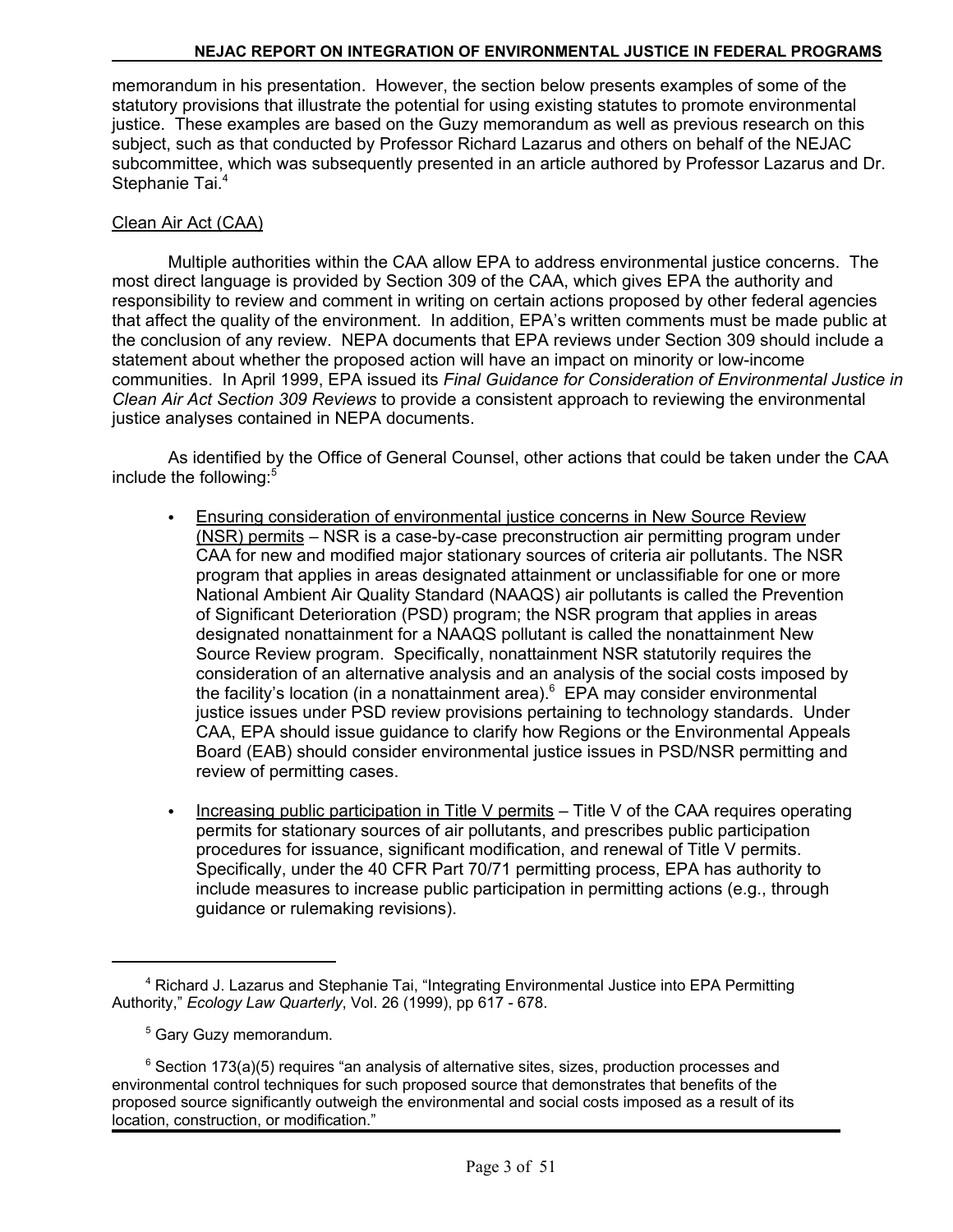memorandum in his presentation. However, the section below presents examples of some of the statutory provisions that illustrate the potential for using existing statutes to promote environmental justice. These examples are based on the Guzy memorandum as well as previous research on this subject, such as that conducted by Professor Richard Lazarus and others on behalf of the NEJAC subcommittee, which was subsequently presented in an article authored by Professor Lazarus and Dr. Stephanie Tai.<sup>4</sup>

#### Clean Air Act (CAA)

Multiple authorities within the CAA allow EPA to address environmental justice concerns. The most direct language is provided by Section 309 of the CAA, which gives EPA the authority and responsibility to review and comment in writing on certain actions proposed by other federal agencies that affect the quality of the environment. In addition, EPA's written comments must be made public at the conclusion of any review. NEPA documents that EPA reviews under Section 309 should include a statement about whether the proposed action will have an impact on minority or low-income communities. In April 1999, EPA issued its *Final Guidance for Consideration of Environmental Justice in Clean Air Act Section 309 Reviews* to provide a consistent approach to reviewing the environmental justice analyses contained in NEPA documents.

As identified by the Office of General Counsel, other actions that could be taken under the CAA include the following:<sup>5</sup>

- Ensuring consideration of environmental justice concerns in New Source Review (NSR) permits – NSR is a case-by-case preconstruction air permitting program under CAA for new and modified major stationary sources of criteria air pollutants. The NSR program that applies in areas designated attainment or unclassifiable for one or more National Ambient Air Quality Standard (NAAQS) air pollutants is called the Prevention of Significant Deterioration (PSD) program; the NSR program that applies in areas designated nonattainment for a NAAQS pollutant is called the nonattainment New Source Review program. Specifically, nonattainment NSR statutorily requires the consideration of an alternative analysis and an analysis of the social costs imposed by the facility's location (in a nonattainment area). $6$  EPA may consider environmental justice issues under PSD review provisions pertaining to technology standards. Under CAA, EPA should issue guidance to clarify how Regions or the Environmental Appeals Board (EAB) should consider environmental justice issues in PSD/NSR permitting and review of permitting cases.
- Increasing public participation in Title V permits Title V of the CAA requires operating permits for stationary sources of air pollutants, and prescribes public participation procedures for issuance, significant modification, and renewal of Title V permits. Specifically, under the 40 CFR Part 70/71 permitting process, EPA has authority to include measures to increase public participation in permitting actions (e.g., through guidance or rulemaking revisions).

<sup>&</sup>lt;sup>4</sup> Richard J. Lazarus and Stephanie Tai, "Integrating Environmental Justice into EPA Permitting Authority," *Ecology Law Quarterly*, Vol. 26 (1999), pp 617 - 678.

<sup>&</sup>lt;sup>5</sup> Gary Guzy memorandum.

 $6$  Section 173(a)(5) requires "an analysis of alternative sites, sizes, production processes and environmental control techniques for such proposed source that demonstrates that benefits of the proposed source significantly outweigh the environmental and social costs imposed as a result of its location, construction, or modification."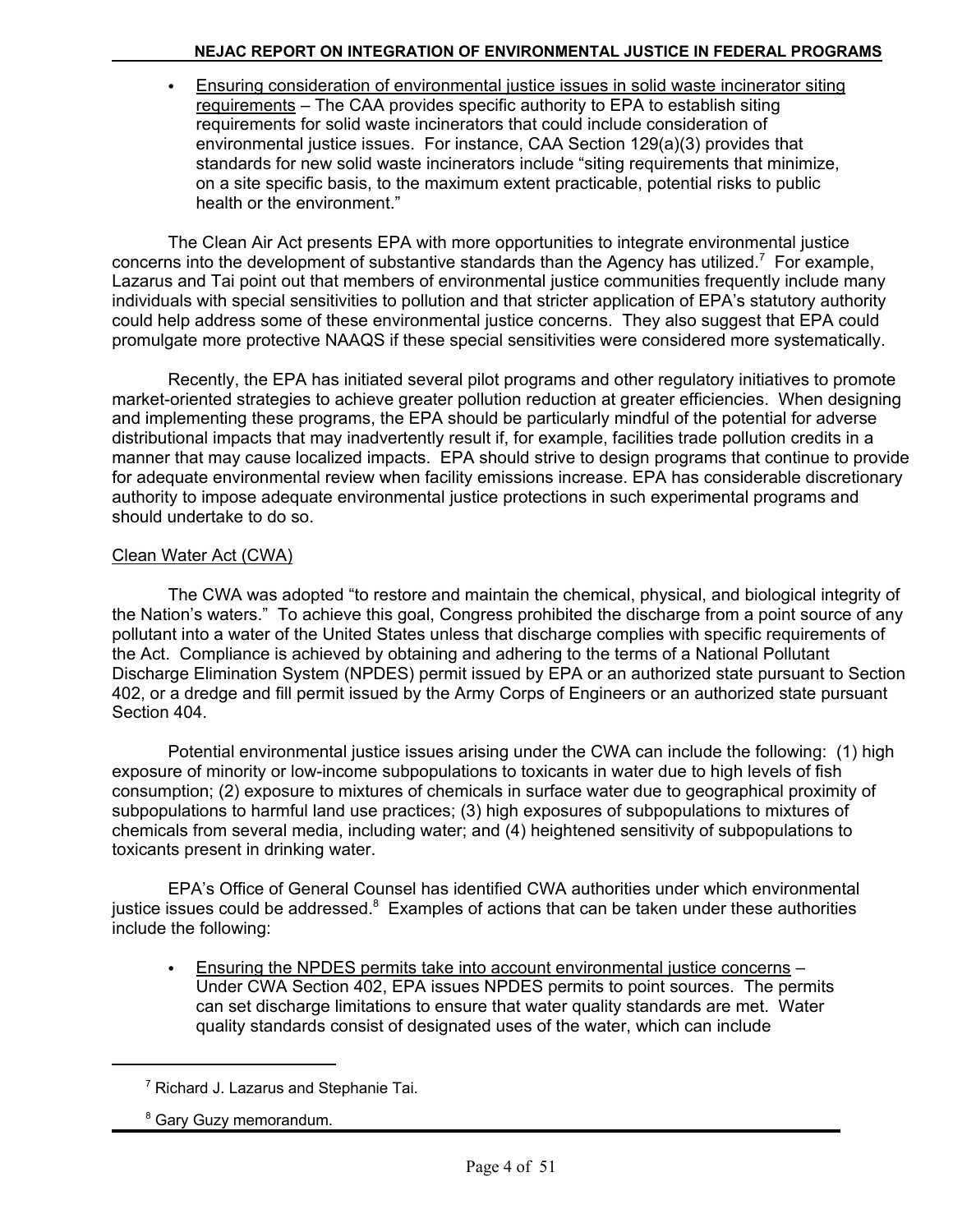• Ensuring consideration of environmental justice issues in solid waste incinerator siting requirements – The CAA provides specific authority to EPA to establish siting requirements for solid waste incinerators that could include consideration of environmental justice issues. For instance, CAA Section 129(a)(3) provides that standards for new solid waste incinerators include "siting requirements that minimize, on a site specific basis, to the maximum extent practicable, potential risks to public health or the environment."

The Clean Air Act presents EPA with more opportunities to integrate environmental justice concerns into the development of substantive standards than the Agency has utilized.<sup>7</sup> For example, Lazarus and Tai point out that members of environmental justice communities frequently include many individuals with special sensitivities to pollution and that stricter application of EPA's statutory authority could help address some of these environmental justice concerns. They also suggest that EPA could promulgate more protective NAAQS if these special sensitivities were considered more systematically.

Recently, the EPA has initiated several pilot programs and other regulatory initiatives to promote market-oriented strategies to achieve greater pollution reduction at greater efficiencies. When designing and implementing these programs, the EPA should be particularly mindful of the potential for adverse distributional impacts that may inadvertently result if, for example, facilities trade pollution credits in a manner that may cause localized impacts. EPA should strive to design programs that continue to provide for adequate environmental review when facility emissions increase. EPA has considerable discretionary authority to impose adequate environmental justice protections in such experimental programs and should undertake to do so.

## Clean Water Act (CWA)

The CWA was adopted "to restore and maintain the chemical, physical, and biological integrity of the Nation's waters." To achieve this goal, Congress prohibited the discharge from a point source of any pollutant into a water of the United States unless that discharge complies with specific requirements of the Act. Compliance is achieved by obtaining and adhering to the terms of a National Pollutant Discharge Elimination System (NPDES) permit issued by EPA or an authorized state pursuant to Section 402, or a dredge and fill permit issued by the Army Corps of Engineers or an authorized state pursuant Section 404.

Potential environmental justice issues arising under the CWA can include the following: (1) high exposure of minority or low-income subpopulations to toxicants in water due to high levels of fish consumption; (2) exposure to mixtures of chemicals in surface water due to geographical proximity of subpopulations to harmful land use practices; (3) high exposures of subpopulations to mixtures of chemicals from several media, including water; and (4) heightened sensitivity of subpopulations to toxicants present in drinking water.

EPA's Office of General Counsel has identified CWA authorities under which environmental justice issues could be addressed.<sup>8</sup> Examples of actions that can be taken under these authorities include the following:

Ensuring the NPDES permits take into account environmental justice concerns -Under CWA Section 402, EPA issues NPDES permits to point sources. The permits can set discharge limitations to ensure that water quality standards are met. Water quality standards consist of designated uses of the water, which can include

<sup>&</sup>lt;sup>7</sup> Richard J. Lazarus and Stephanie Tai.

<sup>&</sup>lt;sup>8</sup> Gary Guzy memorandum.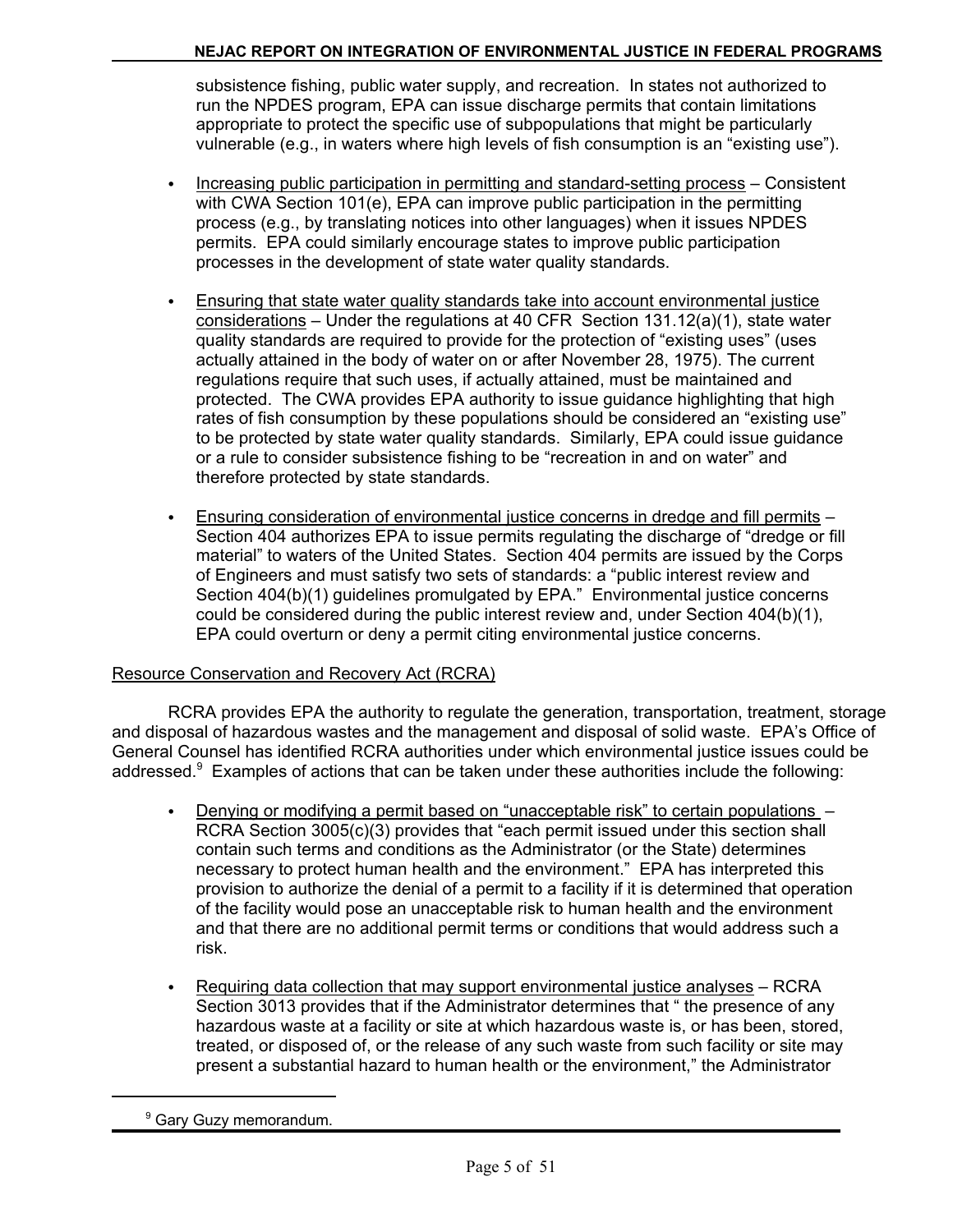subsistence fishing, public water supply, and recreation. In states not authorized to run the NPDES program, EPA can issue discharge permits that contain limitations appropriate to protect the specific use of subpopulations that might be particularly vulnerable (e.g., in waters where high levels of fish consumption is an "existing use").

- Increasing public participation in permitting and standard-setting process Consistent with CWA Section 101(e), EPA can improve public participation in the permitting process (e.g., by translating notices into other languages) when it issues NPDES permits. EPA could similarly encourage states to improve public participation processes in the development of state water quality standards.
- C Ensuring that state water quality standards take into account environmental justice considerations – Under the regulations at 40 CFR Section 131.12(a)(1), state water quality standards are required to provide for the protection of "existing uses" (uses actually attained in the body of water on or after November 28, 1975). The current regulations require that such uses, if actually attained, must be maintained and protected. The CWA provides EPA authority to issue guidance highlighting that high rates of fish consumption by these populations should be considered an "existing use" to be protected by state water quality standards. Similarly, EPA could issue guidance or a rule to consider subsistence fishing to be "recreation in and on water" and therefore protected by state standards.
- Ensuring consideration of environmental justice concerns in dredge and fill permits -Section 404 authorizes EPA to issue permits regulating the discharge of "dredge or fill material" to waters of the United States. Section 404 permits are issued by the Corps of Engineers and must satisfy two sets of standards: a "public interest review and Section 404(b)(1) guidelines promulgated by EPA." Environmental justice concerns could be considered during the public interest review and, under Section 404(b)(1), EPA could overturn or deny a permit citing environmental justice concerns.

#### Resource Conservation and Recovery Act (RCRA)

RCRA provides EPA the authority to regulate the generation, transportation, treatment, storage and disposal of hazardous wastes and the management and disposal of solid waste. EPA's Office of General Counsel has identified RCRA authorities under which environmental justice issues could be addressed.<sup>9</sup> Examples of actions that can be taken under these authorities include the following:

- Denying or modifying a permit based on "unacceptable risk" to certain populations  $-$ RCRA Section 3005(c)(3) provides that "each permit issued under this section shall contain such terms and conditions as the Administrator (or the State) determines necessary to protect human health and the environment." EPA has interpreted this provision to authorize the denial of a permit to a facility if it is determined that operation of the facility would pose an unacceptable risk to human health and the environment and that there are no additional permit terms or conditions that would address such a risk.
- Requiring data collection that may support environmental justice analyses RCRA Section 3013 provides that if the Administrator determines that " the presence of any hazardous waste at a facility or site at which hazardous waste is, or has been, stored, treated, or disposed of, or the release of any such waste from such facility or site may present a substantial hazard to human health or the environment," the Administrator

<sup>&</sup>lt;sup>9</sup> Gary Guzy memorandum.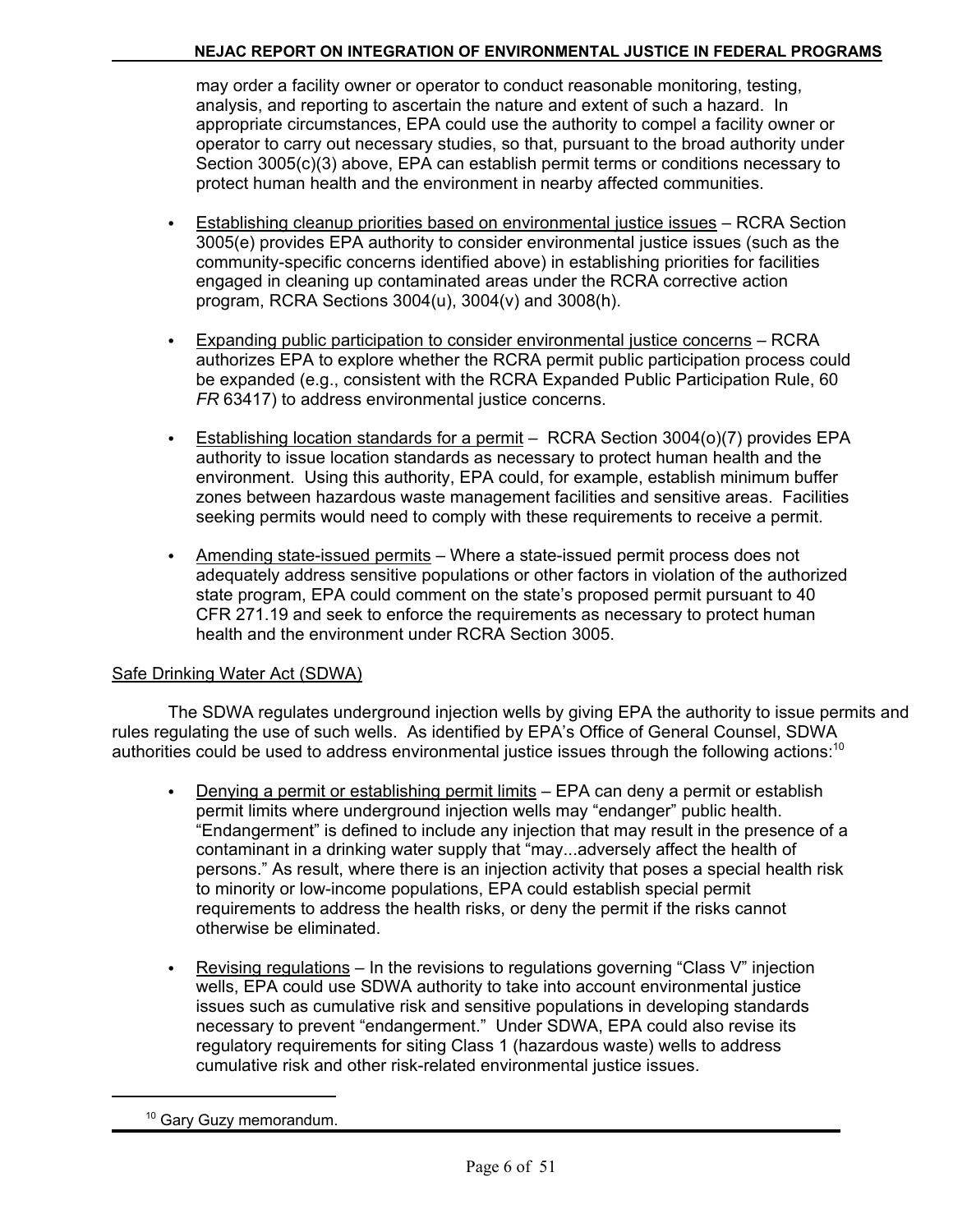may order a facility owner or operator to conduct reasonable monitoring, testing, analysis, and reporting to ascertain the nature and extent of such a hazard. In appropriate circumstances, EPA could use the authority to compel a facility owner or operator to carry out necessary studies, so that, pursuant to the broad authority under Section 3005(c)(3) above, EPA can establish permit terms or conditions necessary to protect human health and the environment in nearby affected communities.

- Establishing cleanup priorities based on environmental justice issues RCRA Section 3005(e) provides EPA authority to consider environmental justice issues (such as the community-specific concerns identified above) in establishing priorities for facilities engaged in cleaning up contaminated areas under the RCRA corrective action program, RCRA Sections 3004(u), 3004(v) and 3008(h).
- Expanding public participation to consider environmental justice concerns RCRA authorizes EPA to explore whether the RCRA permit public participation process could be expanded (e.g., consistent with the RCRA Expanded Public Participation Rule, 60 *FR* 63417) to address environmental justice concerns.
- Establishing location standards for a permit  $-$  RCRA Section 3004(o)(7) provides EPA authority to issue location standards as necessary to protect human health and the environment. Using this authority, EPA could, for example, establish minimum buffer zones between hazardous waste management facilities and sensitive areas. Facilities seeking permits would need to comply with these requirements to receive a permit.
- Amending state-issued permits Where a state-issued permit process does not adequately address sensitive populations or other factors in violation of the authorized state program, EPA could comment on the state's proposed permit pursuant to 40 CFR 271.19 and seek to enforce the requirements as necessary to protect human health and the environment under RCRA Section 3005.

## Safe Drinking Water Act (SDWA)

The SDWA regulates underground injection wells by giving EPA the authority to issue permits and rules regulating the use of such wells. As identified by EPA's Office of General Counsel, SDWA authorities could be used to address environmental justice issues through the following actions:<sup>10</sup>

- **•** Denying a permit or establishing permit limits  $-$  EPA can deny a permit or establish permit limits where underground injection wells may "endanger" public health. "Endangerment" is defined to include any injection that may result in the presence of a contaminant in a drinking water supply that "may...adversely affect the health of persons." As result, where there is an injection activity that poses a special health risk to minority or low-income populations, EPA could establish special permit requirements to address the health risks, or deny the permit if the risks cannot otherwise be eliminated.
- **E** Revising regulations In the revisions to regulations governing "Class V" injection wells, EPA could use SDWA authority to take into account environmental justice issues such as cumulative risk and sensitive populations in developing standards necessary to prevent "endangerment." Under SDWA, EPA could also revise its regulatory requirements for siting Class 1 (hazardous waste) wells to address cumulative risk and other risk-related environmental justice issues.

<sup>&</sup>lt;sup>10</sup> Gary Guzy memorandum.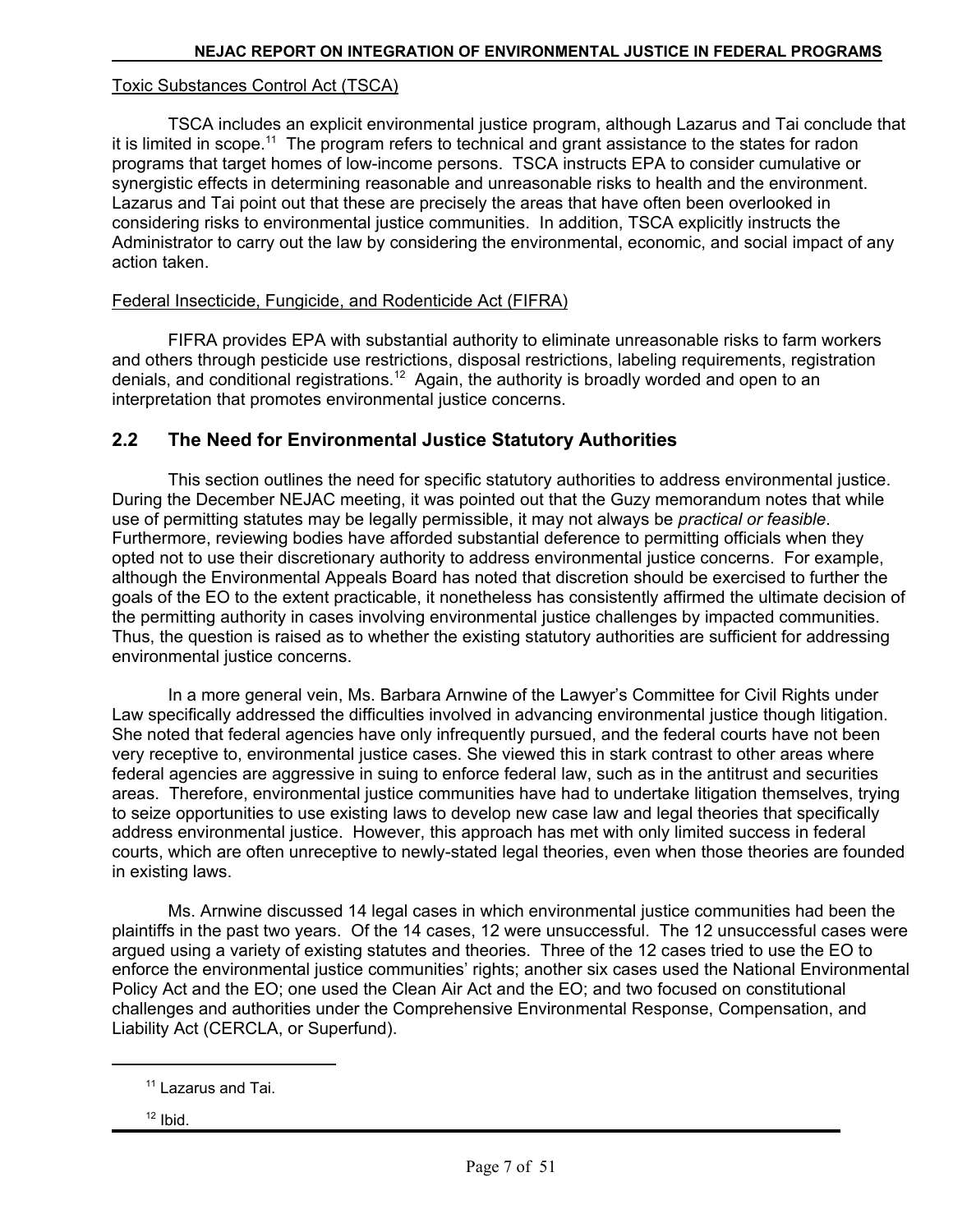#### Toxic Substances Control Act (TSCA)

TSCA includes an explicit environmental justice program, although Lazarus and Tai conclude that it is limited in scope.<sup>11</sup> The program refers to technical and grant assistance to the states for radon programs that target homes of low-income persons. TSCA instructs EPA to consider cumulative or synergistic effects in determining reasonable and unreasonable risks to health and the environment. Lazarus and Tai point out that these are precisely the areas that have often been overlooked in considering risks to environmental justice communities. In addition, TSCA explicitly instructs the Administrator to carry out the law by considering the environmental, economic, and social impact of any action taken.

#### Federal Insecticide, Fungicide, and Rodenticide Act (FIFRA)

FIFRA provides EPA with substantial authority to eliminate unreasonable risks to farm workers and others through pesticide use restrictions, disposal restrictions, labeling requirements, registration denials, and conditional registrations.12 Again, the authority is broadly worded and open to an interpretation that promotes environmental justice concerns.

### **2.2 The Need for Environmental Justice Statutory Authorities**

This section outlines the need for specific statutory authorities to address environmental justice. During the December NEJAC meeting, it was pointed out that the Guzy memorandum notes that while use of permitting statutes may be legally permissible, it may not always be *practical or feasible*. Furthermore, reviewing bodies have afforded substantial deference to permitting officials when they opted not to use their discretionary authority to address environmental justice concerns. For example, although the Environmental Appeals Board has noted that discretion should be exercised to further the goals of the EO to the extent practicable, it nonetheless has consistently affirmed the ultimate decision of the permitting authority in cases involving environmental justice challenges by impacted communities. Thus, the question is raised as to whether the existing statutory authorities are sufficient for addressing environmental justice concerns.

In a more general vein, Ms. Barbara Arnwine of the Lawyer's Committee for Civil Rights under Law specifically addressed the difficulties involved in advancing environmental justice though litigation. She noted that federal agencies have only infrequently pursued, and the federal courts have not been very receptive to, environmental justice cases. She viewed this in stark contrast to other areas where federal agencies are aggressive in suing to enforce federal law, such as in the antitrust and securities areas. Therefore, environmental justice communities have had to undertake litigation themselves, trying to seize opportunities to use existing laws to develop new case law and legal theories that specifically address environmental justice. However, this approach has met with only limited success in federal courts, which are often unreceptive to newly-stated legal theories, even when those theories are founded in existing laws.

Ms. Arnwine discussed 14 legal cases in which environmental justice communities had been the plaintiffs in the past two years. Of the 14 cases, 12 were unsuccessful. The 12 unsuccessful cases were argued using a variety of existing statutes and theories. Three of the 12 cases tried to use the EO to enforce the environmental justice communities' rights; another six cases used the National Environmental Policy Act and the EO; one used the Clean Air Act and the EO; and two focused on constitutional challenges and authorities under the Comprehensive Environmental Response, Compensation, and Liability Act (CERCLA, or Superfund).

<sup>&</sup>lt;sup>11</sup> Lazarus and Tai.

 $12$  Ibid.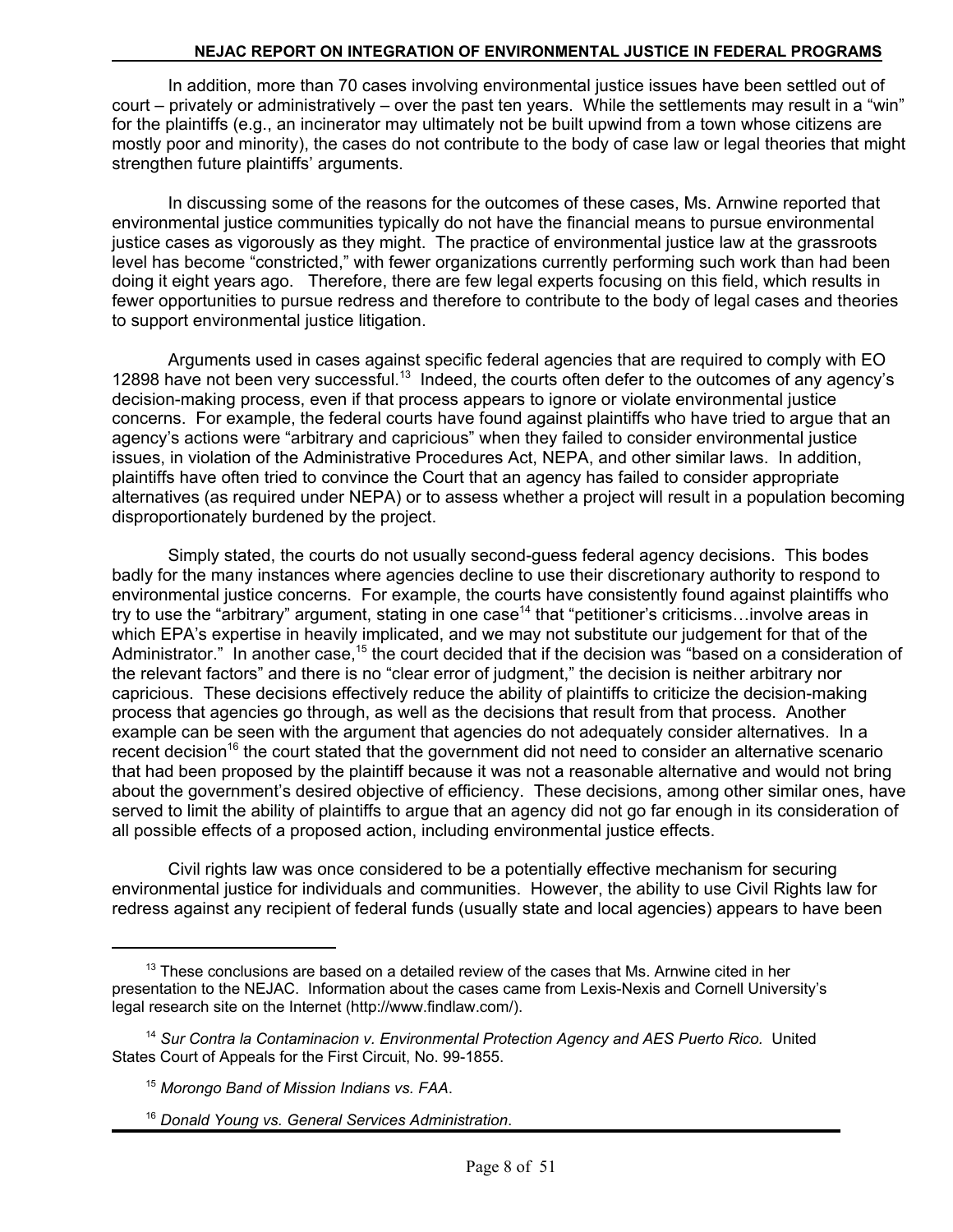In addition, more than 70 cases involving environmental justice issues have been settled out of court – privately or administratively – over the past ten years. While the settlements may result in a "win" for the plaintiffs (e.g., an incinerator may ultimately not be built upwind from a town whose citizens are mostly poor and minority), the cases do not contribute to the body of case law or legal theories that might strengthen future plaintiffs' arguments.

In discussing some of the reasons for the outcomes of these cases, Ms. Arnwine reported that environmental justice communities typically do not have the financial means to pursue environmental justice cases as vigorously as they might. The practice of environmental justice law at the grassroots level has become "constricted," with fewer organizations currently performing such work than had been doing it eight years ago. Therefore, there are few legal experts focusing on this field, which results in fewer opportunities to pursue redress and therefore to contribute to the body of legal cases and theories to support environmental justice litigation.

Arguments used in cases against specific federal agencies that are required to comply with EO 12898 have not been very successful.<sup>13</sup> Indeed, the courts often defer to the outcomes of any agency's decision-making process, even if that process appears to ignore or violate environmental justice concerns. For example, the federal courts have found against plaintiffs who have tried to argue that an agency's actions were "arbitrary and capricious" when they failed to consider environmental justice issues, in violation of the Administrative Procedures Act, NEPA, and other similar laws. In addition, plaintiffs have often tried to convince the Court that an agency has failed to consider appropriate alternatives (as required under NEPA) or to assess whether a project will result in a population becoming disproportionately burdened by the project.

Simply stated, the courts do not usually second-guess federal agency decisions. This bodes badly for the many instances where agencies decline to use their discretionary authority to respond to environmental justice concerns. For example, the courts have consistently found against plaintiffs who try to use the "arbitrary" argument, stating in one case<sup>14</sup> that "petitioner's criticisms...involve areas in which EPA's expertise in heavily implicated, and we may not substitute our judgement for that of the Administrator." In another case,<sup>15</sup> the court decided that if the decision was "based on a consideration of the relevant factors" and there is no "clear error of judgment," the decision is neither arbitrary nor capricious. These decisions effectively reduce the ability of plaintiffs to criticize the decision-making process that agencies go through, as well as the decisions that result from that process. Another example can be seen with the argument that agencies do not adequately consider alternatives. In a recent decision<sup>16</sup> the court stated that the government did not need to consider an alternative scenario that had been proposed by the plaintiff because it was not a reasonable alternative and would not bring about the government's desired objective of efficiency. These decisions, among other similar ones, have served to limit the ability of plaintiffs to argue that an agency did not go far enough in its consideration of all possible effects of a proposed action, including environmental justice effects.

Civil rights law was once considered to be a potentially effective mechanism for securing environmental justice for individuals and communities. However, the ability to use Civil Rights law for redress against any recipient of federal funds (usually state and local agencies) appears to have been

 $13$  These conclusions are based on a detailed review of the cases that Ms. Arnwine cited in her presentation to the NEJAC. Information about the cases came from Lexis-Nexis and Cornell University's legal research site on the Internet (http://www.findlaw.com/).

<sup>14</sup>*Sur Contra la Contaminacion v. Environmental Protection Agency and AES Puerto Rico.* United States Court of Appeals for the First Circuit, No. 99-1855.

<sup>15</sup>*Morongo Band of Mission Indians vs. FAA*.

<sup>16</sup>*Donald Young vs. General Services Administration*.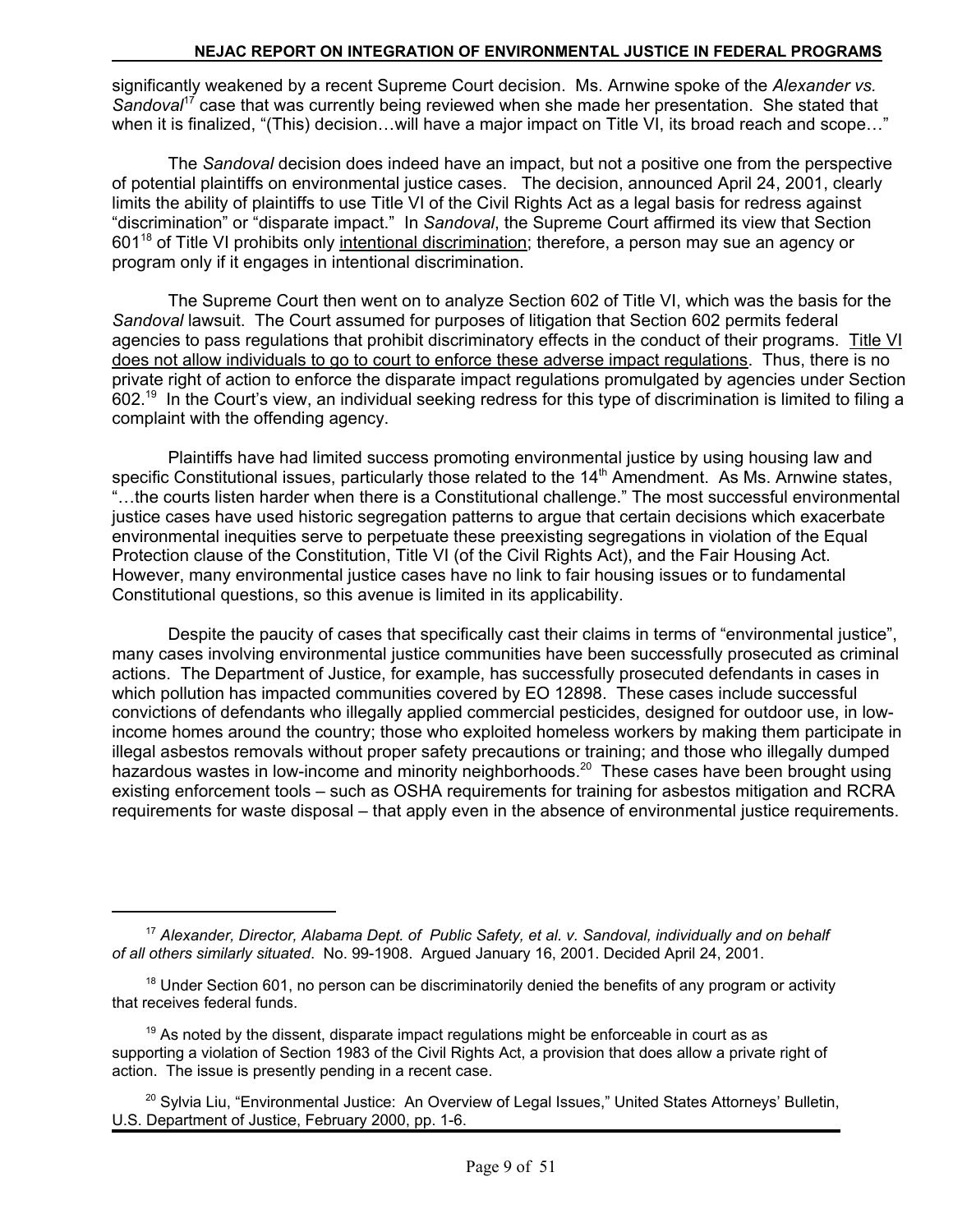significantly weakened by a recent Supreme Court decision. Ms. Arnwine spoke of the *Alexander vs. Sandoval*17 case that was currently being reviewed when she made her presentation. She stated that when it is finalized, "(This) decision...will have a major impact on Title VI, its broad reach and scope..."

The *Sandoval* decision does indeed have an impact, but not a positive one from the perspective of potential plaintiffs on environmental justice cases. The decision, announced April 24, 2001, clearly limits the ability of plaintiffs to use Title VI of the Civil Rights Act as a legal basis for redress against "discrimination" or "disparate impact." In *Sandoval*, the Supreme Court affirmed its view that Section 601<sup>18</sup> of Title VI prohibits only intentional discrimination; therefore, a person may sue an agency or program only if it engages in intentional discrimination.

The Supreme Court then went on to analyze Section 602 of Title VI, which was the basis for the *Sandoval* lawsuit. The Court assumed for purposes of litigation that Section 602 permits federal agencies to pass regulations that prohibit discriminatory effects in the conduct of their programs. Title VI does not allow individuals to go to court to enforce these adverse impact regulations. Thus, there is no private right of action to enforce the disparate impact regulations promulgated by agencies under Section 602.<sup>19</sup> In the Court's view, an individual seeking redress for this type of discrimination is limited to filing a complaint with the offending agency.

Plaintiffs have had limited success promoting environmental justice by using housing law and specific Constitutional issues, particularly those related to the  $14<sup>th</sup>$  Amendment. As Ms. Arnwine states, "…the courts listen harder when there is a Constitutional challenge." The most successful environmental justice cases have used historic segregation patterns to argue that certain decisions which exacerbate environmental inequities serve to perpetuate these preexisting segregations in violation of the Equal Protection clause of the Constitution, Title VI (of the Civil Rights Act), and the Fair Housing Act. However, many environmental justice cases have no link to fair housing issues or to fundamental Constitutional questions, so this avenue is limited in its applicability.

Despite the paucity of cases that specifically cast their claims in terms of "environmental justice", many cases involving environmental justice communities have been successfully prosecuted as criminal actions. The Department of Justice, for example, has successfully prosecuted defendants in cases in which pollution has impacted communities covered by EO 12898. These cases include successful convictions of defendants who illegally applied commercial pesticides, designed for outdoor use, in lowincome homes around the country; those who exploited homeless workers by making them participate in illegal asbestos removals without proper safety precautions or training; and those who illegally dumped hazardous wastes in low-income and minority neighborhoods.<sup>20</sup> These cases have been brought using existing enforcement tools – such as OSHA requirements for training for asbestos mitigation and RCRA requirements for waste disposal – that apply even in the absence of environmental justice requirements.

<sup>17</sup>*Alexander, Director, Alabama Dept. of Public Safety, et al. v. Sandoval, individually and on behalf of all others similarly situated*. No. 99-1908. Argued January 16, 2001. Decided April 24, 2001.

 $18$  Under Section 601, no person can be discriminatorily denied the benefits of any program or activity that receives federal funds.

 $19$  As noted by the dissent, disparate impact regulations might be enforceable in court as as supporting a violation of Section 1983 of the Civil Rights Act, a provision that does allow a private right of action. The issue is presently pending in a recent case.

<sup>&</sup>lt;sup>20</sup> Sylvia Liu, "Environmental Justice: An Overview of Legal Issues," United States Attorneys' Bulletin, U.S. Department of Justice, February 2000, pp. 1-6.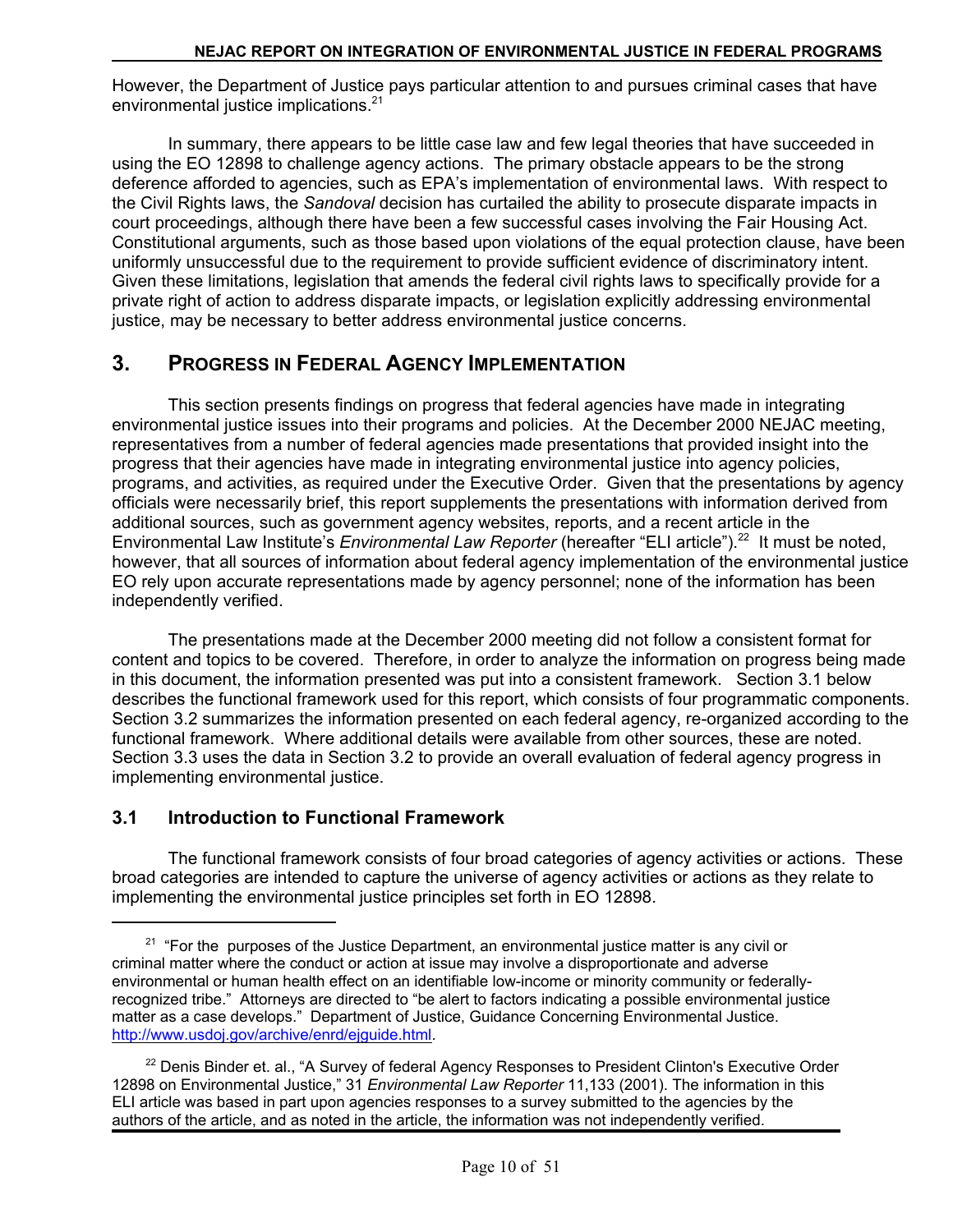However, the Department of Justice pays particular attention to and pursues criminal cases that have environmental justice implications.<sup>21</sup>

In summary, there appears to be little case law and few legal theories that have succeeded in using the EO 12898 to challenge agency actions. The primary obstacle appears to be the strong deference afforded to agencies, such as EPA's implementation of environmental laws. With respect to the Civil Rights laws, the *Sandoval* decision has curtailed the ability to prosecute disparate impacts in court proceedings, although there have been a few successful cases involving the Fair Housing Act. Constitutional arguments, such as those based upon violations of the equal protection clause, have been uniformly unsuccessful due to the requirement to provide sufficient evidence of discriminatory intent. Given these limitations, legislation that amends the federal civil rights laws to specifically provide for a private right of action to address disparate impacts, or legislation explicitly addressing environmental justice, may be necessary to better address environmental justice concerns.

## **3. PROGRESS IN FEDERAL AGENCY IMPLEMENTATION**

This section presents findings on progress that federal agencies have made in integrating environmental justice issues into their programs and policies. At the December 2000 NEJAC meeting, representatives from a number of federal agencies made presentations that provided insight into the progress that their agencies have made in integrating environmental justice into agency policies, programs, and activities, as required under the Executive Order. Given that the presentations by agency officials were necessarily brief, this report supplements the presentations with information derived from additional sources, such as government agency websites, reports, and a recent article in the Environmental Law Institute's *Environmental Law Reporter* (hereafter "ELI article").<sup>22</sup> It must be noted, however, that all sources of information about federal agency implementation of the environmental justice EO rely upon accurate representations made by agency personnel; none of the information has been independently verified.

The presentations made at the December 2000 meeting did not follow a consistent format for content and topics to be covered. Therefore, in order to analyze the information on progress being made in this document, the information presented was put into a consistent framework. Section 3.1 below describes the functional framework used for this report, which consists of four programmatic components. Section 3.2 summarizes the information presented on each federal agency, re-organized according to the functional framework. Where additional details were available from other sources, these are noted. Section 3.3 uses the data in Section 3.2 to provide an overall evaluation of federal agency progress in implementing environmental justice.

## **3.1 Introduction to Functional Framework**

The functional framework consists of four broad categories of agency activities or actions. These broad categories are intended to capture the universe of agency activities or actions as they relate to implementing the environmental justice principles set forth in EO 12898.

 $21$  "For the purposes of the Justice Department, an environmental justice matter is any civil or criminal matter where the conduct or action at issue may involve a disproportionate and adverse environmental or human health effect on an identifiable low-income or minority community or federallyrecognized tribe." Attorneys are directed to "be alert to factors indicating a possible environmental justice matter as a case develops." Department of Justice, Guidance Concerning Environmental Justice. http://www.usdoj.gov/archive/enrd/ejguide.html.

 $22$  Denis Binder et. al., "A Survey of federal Agency Responses to President Clinton's Executive Order 12898 on Environmental Justice," 31 *Environmental Law Reporter* 11,133 (2001). The information in this ELI article was based in part upon agencies responses to a survey submitted to the agencies by the authors of the article, and as noted in the article, the information was not independently verified.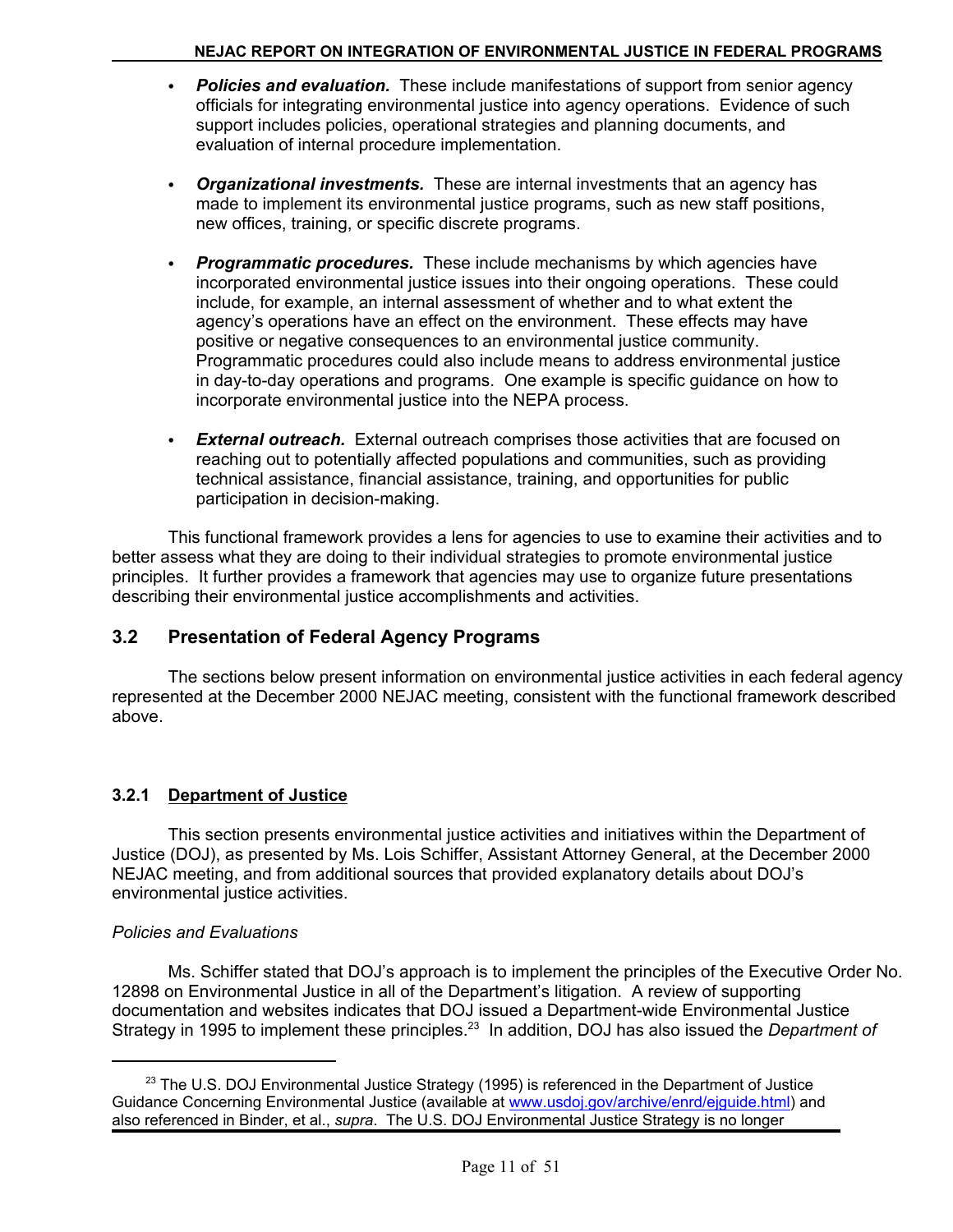- Policies and evaluation. These include manifestations of support from senior agency officials for integrating environmental justice into agency operations. Evidence of such support includes policies, operational strategies and planning documents, and evaluation of internal procedure implementation.
- **Organizational investments.** These are internal investments that an agency has made to implement its environmental justice programs, such as new staff positions, new offices, training, or specific discrete programs.
- **Programmatic procedures.** These include mechanisms by which agencies have incorporated environmental justice issues into their ongoing operations. These could include, for example, an internal assessment of whether and to what extent the agency's operations have an effect on the environment. These effects may have positive or negative consequences to an environmental justice community. Programmatic procedures could also include means to address environmental justice in day-to-day operations and programs. One example is specific guidance on how to incorporate environmental justice into the NEPA process.
- External outreach. External outreach comprises those activities that are focused on reaching out to potentially affected populations and communities, such as providing technical assistance, financial assistance, training, and opportunities for public participation in decision-making.

This functional framework provides a lens for agencies to use to examine their activities and to better assess what they are doing to their individual strategies to promote environmental justice principles. It further provides a framework that agencies may use to organize future presentations describing their environmental justice accomplishments and activities.

## **3.2 Presentation of Federal Agency Programs**

The sections below present information on environmental justice activities in each federal agency represented at the December 2000 NEJAC meeting, consistent with the functional framework described above.

## **3.2.1 Department of Justice**

This section presents environmental justice activities and initiatives within the Department of Justice (DOJ), as presented by Ms. Lois Schiffer, Assistant Attorney General, at the December 2000 NEJAC meeting, and from additional sources that provided explanatory details about DOJ's environmental justice activities.

#### *Policies and Evaluations*

Ms. Schiffer stated that DOJ's approach is to implement the principles of the Executive Order No. 12898 on Environmental Justice in all of the Department's litigation. A review of supporting documentation and websites indicates that DOJ issued a Department-wide Environmental Justice Strategy in 1995 to implement these principles.23 In addition, DOJ has also issued the *Department of* 

 $23$  The U.S. DOJ Environmental Justice Strategy (1995) is referenced in the Department of Justice Guidance Concerning Environmental Justice (available at www.usdoj.gov/archive/enrd/ejguide.html) and also referenced in Binder, et al., *supra*. The U.S. DOJ Environmental Justice Strategy is no longer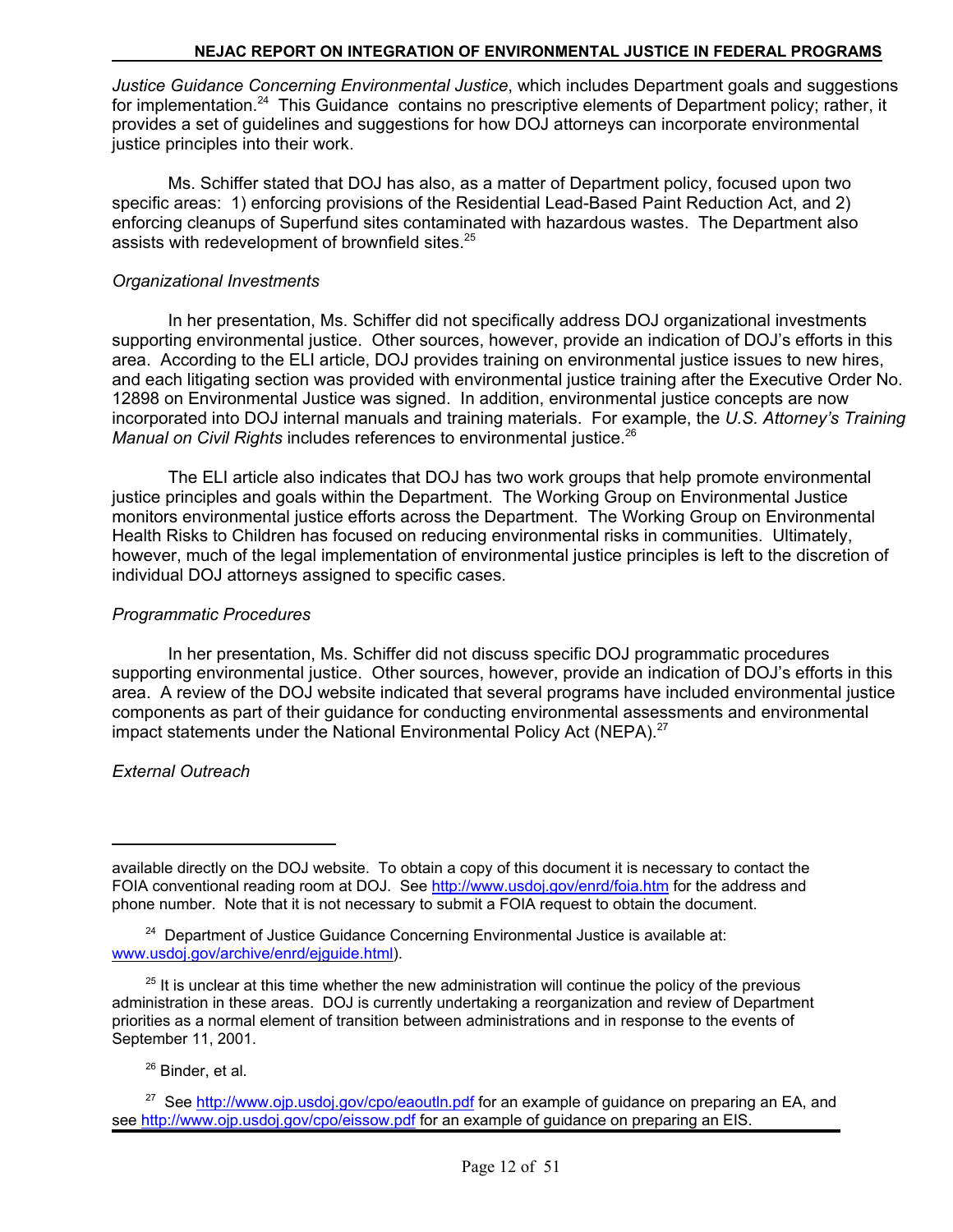*Justice Guidance Concerning Environmental Justice*, which includes Department goals and suggestions for implementation.<sup>24</sup> This Guidance contains no prescriptive elements of Department policy; rather, it provides a set of guidelines and suggestions for how DOJ attorneys can incorporate environmental justice principles into their work.

Ms. Schiffer stated that DOJ has also, as a matter of Department policy, focused upon two specific areas: 1) enforcing provisions of the Residential Lead-Based Paint Reduction Act, and 2) enforcing cleanups of Superfund sites contaminated with hazardous wastes. The Department also assists with redevelopment of brownfield sites.<sup>25</sup>

#### *Organizational Investments*

In her presentation, Ms. Schiffer did not specifically address DOJ organizational investments supporting environmental justice. Other sources, however, provide an indication of DOJ's efforts in this area. According to the ELI article, DOJ provides training on environmental justice issues to new hires, and each litigating section was provided with environmental justice training after the Executive Order No. 12898 on Environmental Justice was signed. In addition, environmental justice concepts are now incorporated into DOJ internal manuals and training materials. For example, the *U.S. Attorney's Training Manual on Civil Rights* includes references to environmental justice.<sup>26</sup>

The ELI article also indicates that DOJ has two work groups that help promote environmental justice principles and goals within the Department. The Working Group on Environmental Justice monitors environmental justice efforts across the Department. The Working Group on Environmental Health Risks to Children has focused on reducing environmental risks in communities. Ultimately, however, much of the legal implementation of environmental justice principles is left to the discretion of individual DOJ attorneys assigned to specific cases.

#### *Programmatic Procedures*

In her presentation, Ms. Schiffer did not discuss specific DOJ programmatic procedures supporting environmental justice. Other sources, however, provide an indication of DOJ's efforts in this area. A review of the DOJ website indicated that several programs have included environmental justice components as part of their guidance for conducting environmental assessments and environmental impact statements under the National Environmental Policy Act (NEPA).<sup>27</sup>

#### *External Outreach*

26 Binder, et al.

available directly on the DOJ website. To obtain a copy of this document it is necessary to contact the FOIA conventional reading room at DOJ. See http://www.usdoj.gov/enrd/foia.htm for the address and phone number. Note that it is not necessary to submit a FOIA request to obtain the document.

<sup>&</sup>lt;sup>24</sup> Department of Justice Guidance Concerning Environmental Justice is available at: www.usdoj.gov/archive/enrd/ejguide.html).

 $25$  It is unclear at this time whether the new administration will continue the policy of the previous administration in these areas. DOJ is currently undertaking a reorganization and review of Department priorities as a normal element of transition between administrations and in response to the events of September 11, 2001.

<sup>&</sup>lt;sup>27</sup> See http://www.ojp.usdoj.gov/cpo/eaoutln.pdf for an example of guidance on preparing an EA, and see http://www.ojp.usdoj.gov/cpo/eissow.pdf for an example of guidance on preparing an EIS.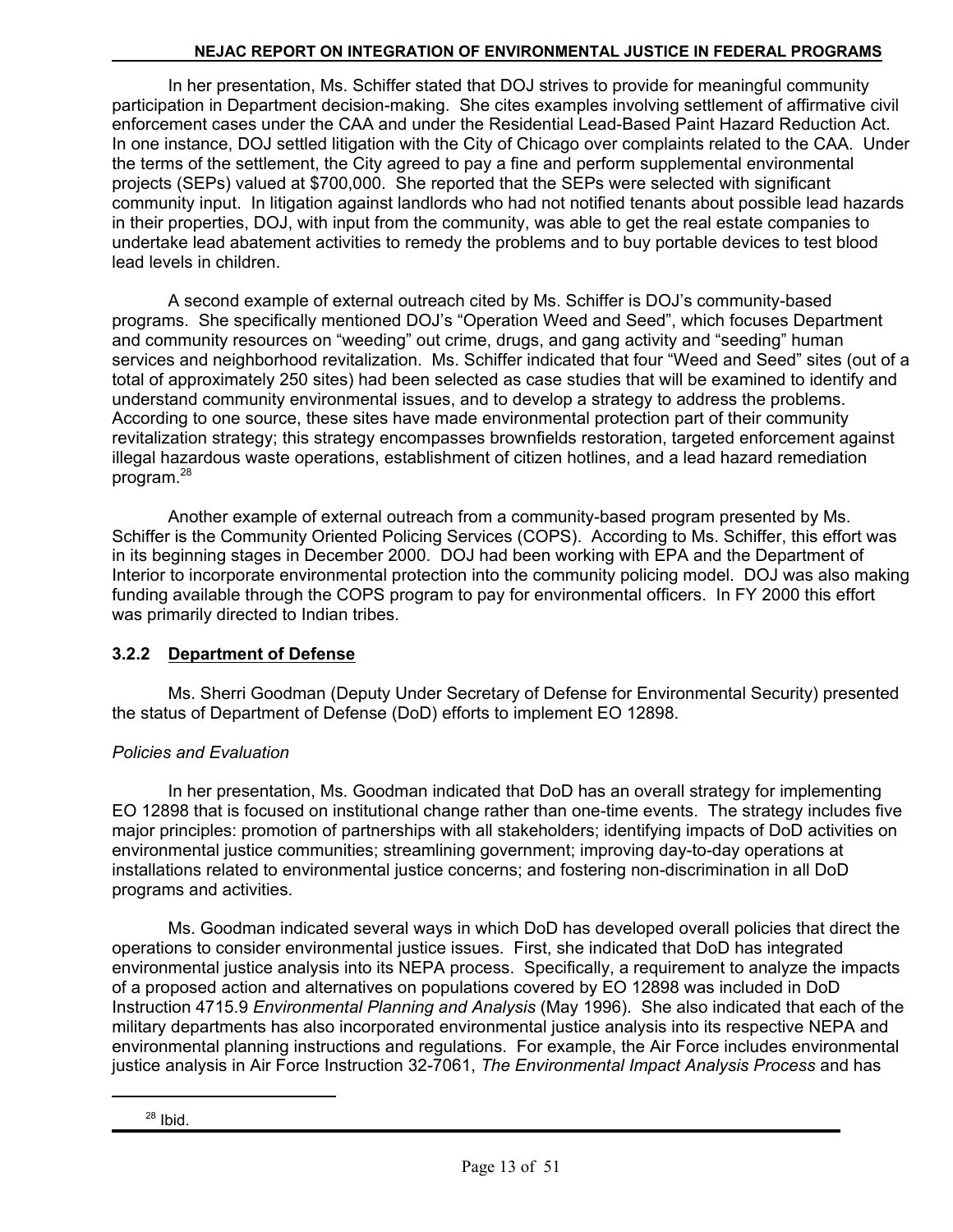In her presentation, Ms. Schiffer stated that DOJ strives to provide for meaningful community participation in Department decision-making. She cites examples involving settlement of affirmative civil enforcement cases under the CAA and under the Residential Lead-Based Paint Hazard Reduction Act. In one instance, DOJ settled litigation with the City of Chicago over complaints related to the CAA. Under the terms of the settlement, the City agreed to pay a fine and perform supplemental environmental projects (SEPs) valued at \$700,000. She reported that the SEPs were selected with significant community input. In litigation against landlords who had not notified tenants about possible lead hazards in their properties, DOJ, with input from the community, was able to get the real estate companies to undertake lead abatement activities to remedy the problems and to buy portable devices to test blood lead levels in children.

A second example of external outreach cited by Ms. Schiffer is DOJ's community-based programs. She specifically mentioned DOJ's "Operation Weed and Seed", which focuses Department and community resources on "weeding" out crime, drugs, and gang activity and "seeding" human services and neighborhood revitalization. Ms. Schiffer indicated that four "Weed and Seed" sites (out of a total of approximately 250 sites) had been selected as case studies that will be examined to identify and understand community environmental issues, and to develop a strategy to address the problems. According to one source, these sites have made environmental protection part of their community revitalization strategy; this strategy encompasses brownfields restoration, targeted enforcement against illegal hazardous waste operations, establishment of citizen hotlines, and a lead hazard remediation program.28

Another example of external outreach from a community-based program presented by Ms. Schiffer is the Community Oriented Policing Services (COPS). According to Ms. Schiffer, this effort was in its beginning stages in December 2000. DOJ had been working with EPA and the Department of Interior to incorporate environmental protection into the community policing model. DOJ was also making funding available through the COPS program to pay for environmental officers. In FY 2000 this effort was primarily directed to Indian tribes.

## **3.2.2 Department of Defense**

Ms. Sherri Goodman (Deputy Under Secretary of Defense for Environmental Security) presented the status of Department of Defense (DoD) efforts to implement EO 12898.

#### *Policies and Evaluation*

In her presentation, Ms. Goodman indicated that DoD has an overall strategy for implementing EO 12898 that is focused on institutional change rather than one-time events. The strategy includes five major principles: promotion of partnerships with all stakeholders; identifying impacts of DoD activities on environmental justice communities; streamlining government; improving day-to-day operations at installations related to environmental justice concerns; and fostering non-discrimination in all DoD programs and activities.

Ms. Goodman indicated several ways in which DoD has developed overall policies that direct the operations to consider environmental justice issues. First, she indicated that DoD has integrated environmental justice analysis into its NEPA process. Specifically, a requirement to analyze the impacts of a proposed action and alternatives on populations covered by EO 12898 was included in DoD Instruction 4715.9 *Environmental Planning and Analysis* (May 1996). She also indicated that each of the military departments has also incorporated environmental justice analysis into its respective NEPA and environmental planning instructions and regulations. For example, the Air Force includes environmental justice analysis in Air Force Instruction 32-7061, *The Environmental Impact Analysis Process* and has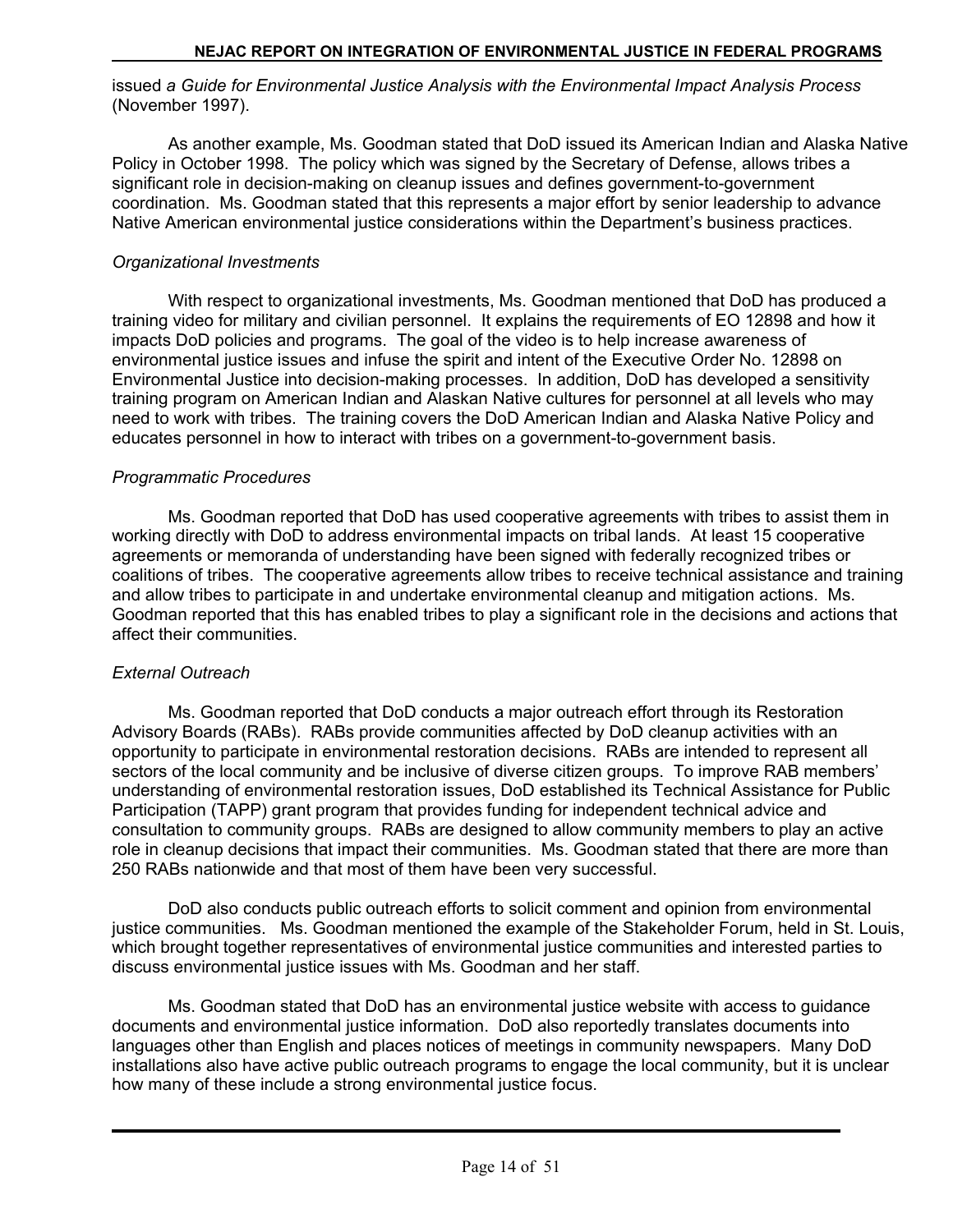issued *a Guide for Environmental Justice Analysis with the Environmental Impact Analysis Process*  (November 1997).

As another example, Ms. Goodman stated that DoD issued its American Indian and Alaska Native Policy in October 1998. The policy which was signed by the Secretary of Defense, allows tribes a significant role in decision-making on cleanup issues and defines government-to-government coordination. Ms. Goodman stated that this represents a major effort by senior leadership to advance Native American environmental justice considerations within the Department's business practices.

#### *Organizational Investments*

With respect to organizational investments, Ms. Goodman mentioned that DoD has produced a training video for military and civilian personnel. It explains the requirements of EO 12898 and how it impacts DoD policies and programs. The goal of the video is to help increase awareness of environmental justice issues and infuse the spirit and intent of the Executive Order No. 12898 on Environmental Justice into decision-making processes. In addition, DoD has developed a sensitivity training program on American Indian and Alaskan Native cultures for personnel at all levels who may need to work with tribes. The training covers the DoD American Indian and Alaska Native Policy and educates personnel in how to interact with tribes on a government-to-government basis.

#### *Programmatic Procedures*

Ms. Goodman reported that DoD has used cooperative agreements with tribes to assist them in working directly with DoD to address environmental impacts on tribal lands. At least 15 cooperative agreements or memoranda of understanding have been signed with federally recognized tribes or coalitions of tribes. The cooperative agreements allow tribes to receive technical assistance and training and allow tribes to participate in and undertake environmental cleanup and mitigation actions. Ms. Goodman reported that this has enabled tribes to play a significant role in the decisions and actions that affect their communities.

#### *External Outreach*

Ms. Goodman reported that DoD conducts a major outreach effort through its Restoration Advisory Boards (RABs). RABs provide communities affected by DoD cleanup activities with an opportunity to participate in environmental restoration decisions. RABs are intended to represent all sectors of the local community and be inclusive of diverse citizen groups. To improve RAB members' understanding of environmental restoration issues, DoD established its Technical Assistance for Public Participation (TAPP) grant program that provides funding for independent technical advice and consultation to community groups. RABs are designed to allow community members to play an active role in cleanup decisions that impact their communities. Ms. Goodman stated that there are more than 250 RABs nationwide and that most of them have been very successful.

DoD also conducts public outreach efforts to solicit comment and opinion from environmental justice communities. Ms. Goodman mentioned the example of the Stakeholder Forum, held in St. Louis, which brought together representatives of environmental justice communities and interested parties to discuss environmental justice issues with Ms. Goodman and her staff.

Ms. Goodman stated that DoD has an environmental justice website with access to guidance documents and environmental justice information. DoD also reportedly translates documents into languages other than English and places notices of meetings in community newspapers. Many DoD installations also have active public outreach programs to engage the local community, but it is unclear how many of these include a strong environmental justice focus.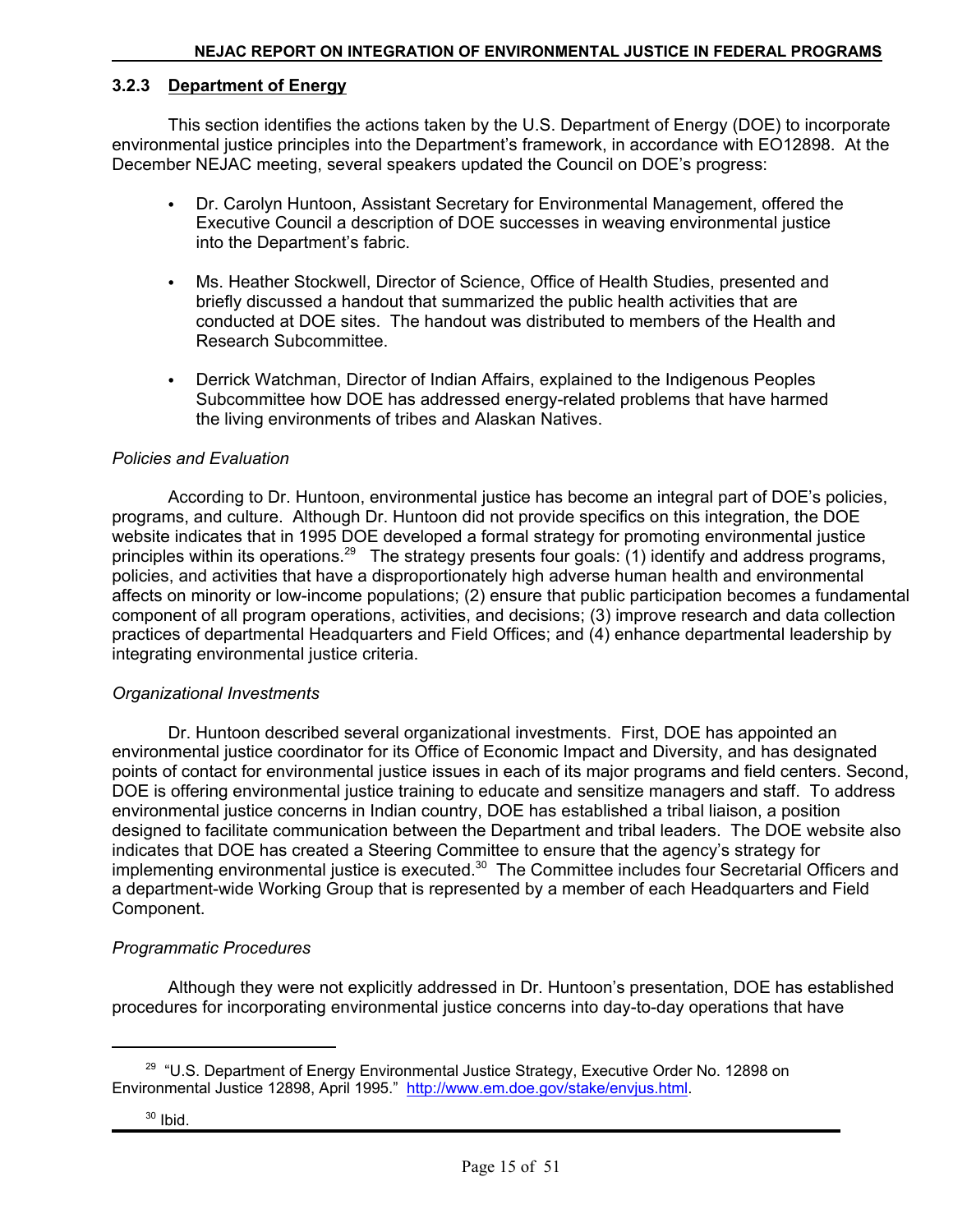#### **3.2.3 Department of Energy**

This section identifies the actions taken by the U.S. Department of Energy (DOE) to incorporate environmental justice principles into the Department's framework, in accordance with EO12898. At the December NEJAC meeting, several speakers updated the Council on DOE's progress:

- Dr. Carolyn Huntoon, Assistant Secretary for Environmental Management, offered the Executive Council a description of DOE successes in weaving environmental justice into the Department's fabric.
- Ms. Heather Stockwell, Director of Science, Office of Health Studies, presented and briefly discussed a handout that summarized the public health activities that are conducted at DOE sites. The handout was distributed to members of the Health and Research Subcommittee.
- Derrick Watchman, Director of Indian Affairs, explained to the Indigenous Peoples Subcommittee how DOE has addressed energy-related problems that have harmed the living environments of tribes and Alaskan Natives.

#### *Policies and Evaluation*

According to Dr. Huntoon, environmental justice has become an integral part of DOE's policies, programs, and culture. Although Dr. Huntoon did not provide specifics on this integration, the DOE website indicates that in 1995 DOE developed a formal strategy for promoting environmental justice principles within its operations.<sup>29</sup> The strategy presents four goals: (1) identify and address programs, policies, and activities that have a disproportionately high adverse human health and environmental affects on minority or low-income populations; (2) ensure that public participation becomes a fundamental component of all program operations, activities, and decisions; (3) improve research and data collection practices of departmental Headquarters and Field Offices; and (4) enhance departmental leadership by integrating environmental justice criteria.

#### *Organizational Investments*

Dr. Huntoon described several organizational investments. First, DOE has appointed an environmental justice coordinator for its Office of Economic Impact and Diversity, and has designated points of contact for environmental justice issues in each of its major programs and field centers. Second, DOE is offering environmental justice training to educate and sensitize managers and staff. To address environmental justice concerns in Indian country, DOE has established a tribal liaison, a position designed to facilitate communication between the Department and tribal leaders. The DOE website also indicates that DOE has created a Steering Committee to ensure that the agency's strategy for implementing environmental justice is executed.<sup>30</sup> The Committee includes four Secretarial Officers and a department-wide Working Group that is represented by a member of each Headquarters and Field Component.

#### *Programmatic Procedures*

Although they were not explicitly addressed in Dr. Huntoon's presentation, DOE has established procedures for incorporating environmental justice concerns into day-to-day operations that have

<sup>&</sup>lt;sup>29</sup> "U.S. Department of Energy Environmental Justice Strategy, Executive Order No. 12898 on Environmental Justice 12898, April 1995." http://www.em.doe.gov/stake/envjus.html.

 $30$  Ibid.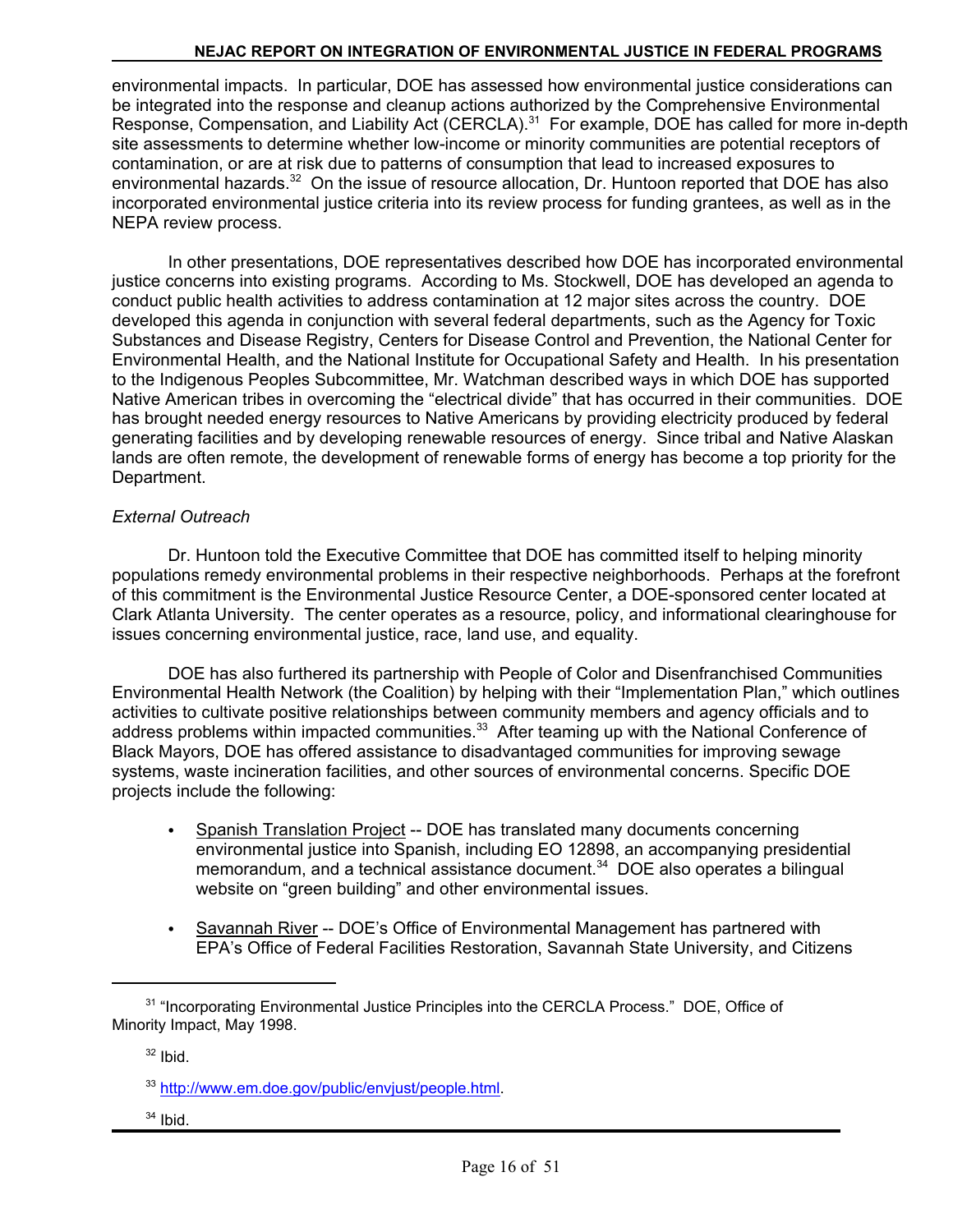environmental impacts. In particular, DOE has assessed how environmental justice considerations can be integrated into the response and cleanup actions authorized by the Comprehensive Environmental Response, Compensation, and Liability Act (CERCLA).<sup>31</sup> For example, DOE has called for more in-depth site assessments to determine whether low-income or minority communities are potential receptors of contamination, or are at risk due to patterns of consumption that lead to increased exposures to environmental hazards.<sup>32</sup> On the issue of resource allocation, Dr. Huntoon reported that DOE has also incorporated environmental justice criteria into its review process for funding grantees, as well as in the NEPA review process.

In other presentations, DOE representatives described how DOE has incorporated environmental justice concerns into existing programs. According to Ms. Stockwell, DOE has developed an agenda to conduct public health activities to address contamination at 12 major sites across the country. DOE developed this agenda in conjunction with several federal departments, such as the Agency for Toxic Substances and Disease Registry, Centers for Disease Control and Prevention, the National Center for Environmental Health, and the National Institute for Occupational Safety and Health. In his presentation to the Indigenous Peoples Subcommittee, Mr. Watchman described ways in which DOE has supported Native American tribes in overcoming the "electrical divide" that has occurred in their communities. DOE has brought needed energy resources to Native Americans by providing electricity produced by federal generating facilities and by developing renewable resources of energy. Since tribal and Native Alaskan lands are often remote, the development of renewable forms of energy has become a top priority for the Department.

#### *External Outreach*

Dr. Huntoon told the Executive Committee that DOE has committed itself to helping minority populations remedy environmental problems in their respective neighborhoods. Perhaps at the forefront of this commitment is the Environmental Justice Resource Center, a DOE-sponsored center located at Clark Atlanta University. The center operates as a resource, policy, and informational clearinghouse for issues concerning environmental justice, race, land use, and equality.

DOE has also furthered its partnership with People of Color and Disenfranchised Communities Environmental Health Network (the Coalition) by helping with their "Implementation Plan," which outlines activities to cultivate positive relationships between community members and agency officials and to address problems within impacted communities.<sup>33</sup> After teaming up with the National Conference of Black Mayors, DOE has offered assistance to disadvantaged communities for improving sewage systems, waste incineration facilities, and other sources of environmental concerns. Specific DOE projects include the following:

- Spanish Translation Project -- DOE has translated many documents concerning environmental justice into Spanish, including EO 12898, an accompanying presidential memorandum, and a technical assistance document.<sup>34</sup> DOE also operates a bilingual website on "green building" and other environmental issues.
- Savannah River -- DOE's Office of Environmental Management has partnered with EPA's Office of Federal Facilities Restoration, Savannah State University, and Citizens

 $34$  Ibid.

<sup>&</sup>lt;sup>31</sup> "Incorporating Environmental Justice Principles into the CERCLA Process." DOE, Office of Minority Impact, May 1998.

 $32$  Ibid.

<sup>&</sup>lt;sup>33</sup> http://www.em.doe.gov/public/envjust/people.html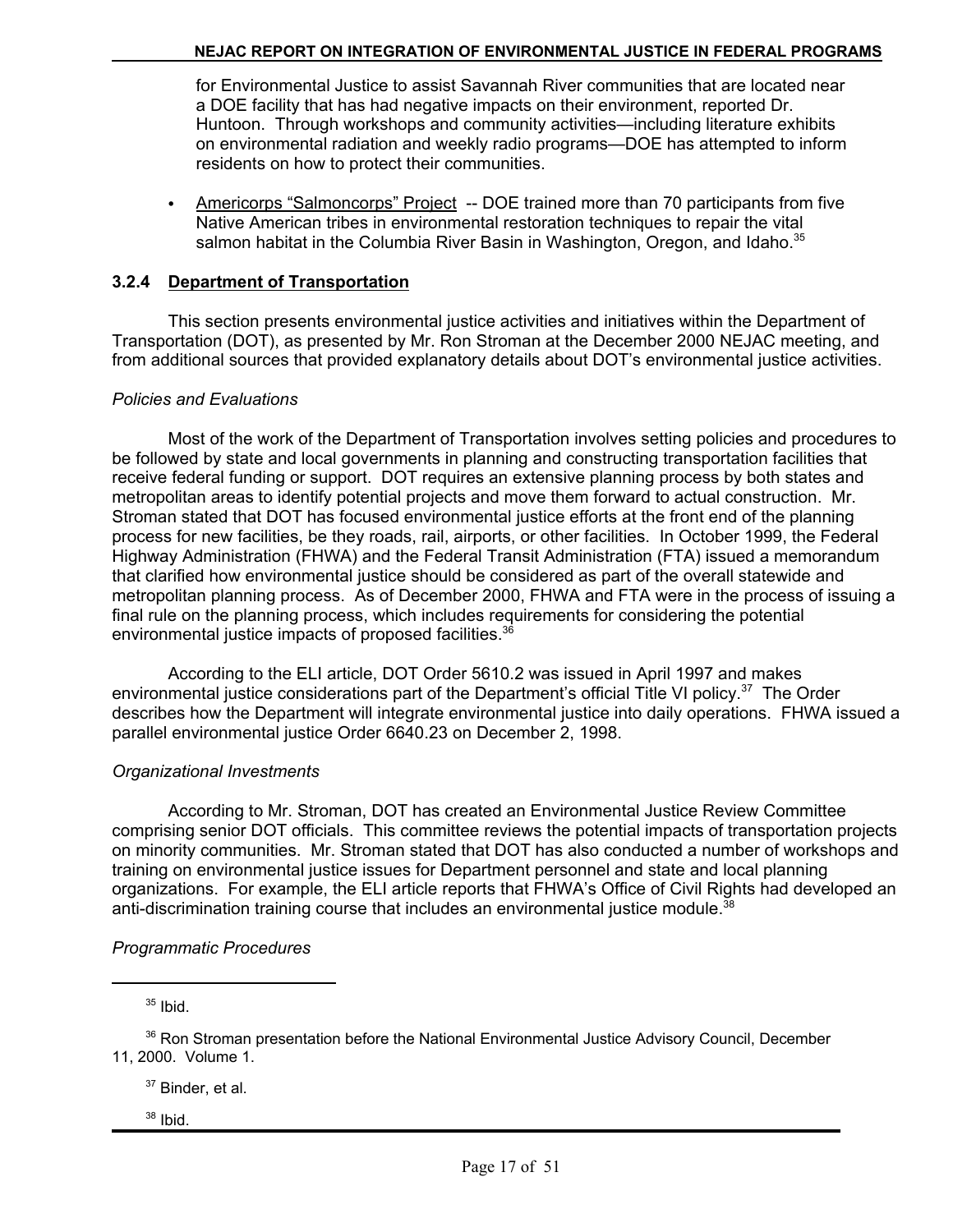for Environmental Justice to assist Savannah River communities that are located near a DOE facility that has had negative impacts on their environment, reported Dr. Huntoon. Through workshops and community activities—including literature exhibits on environmental radiation and weekly radio programs—DOE has attempted to inform residents on how to protect their communities.

 $\bullet$ Americorps "Salmoncorps" Project -- DOE trained more than 70 participants from five Native American tribes in environmental restoration techniques to repair the vital salmon habitat in the Columbia River Basin in Washington, Oregon, and Idaho.<sup>35</sup>

#### **3.2.4 Department of Transportation**

This section presents environmental justice activities and initiatives within the Department of Transportation (DOT), as presented by Mr. Ron Stroman at the December 2000 NEJAC meeting, and from additional sources that provided explanatory details about DOT's environmental justice activities.

#### *Policies and Evaluations*

Most of the work of the Department of Transportation involves setting policies and procedures to be followed by state and local governments in planning and constructing transportation facilities that receive federal funding or support. DOT requires an extensive planning process by both states and metropolitan areas to identify potential projects and move them forward to actual construction. Mr. Stroman stated that DOT has focused environmental justice efforts at the front end of the planning process for new facilities, be they roads, rail, airports, or other facilities. In October 1999, the Federal Highway Administration (FHWA) and the Federal Transit Administration (FTA) issued a memorandum that clarified how environmental justice should be considered as part of the overall statewide and metropolitan planning process. As of December 2000, FHWA and FTA were in the process of issuing a final rule on the planning process, which includes requirements for considering the potential environmental justice impacts of proposed facilities.<sup>36</sup>

According to the ELI article, DOT Order 5610.2 was issued in April 1997 and makes environmental justice considerations part of the Department's official Title VI policy.<sup>37</sup> The Order describes how the Department will integrate environmental justice into daily operations. FHWA issued a parallel environmental justice Order 6640.23 on December 2, 1998.

#### *Organizational Investments*

According to Mr. Stroman, DOT has created an Environmental Justice Review Committee comprising senior DOT officials. This committee reviews the potential impacts of transportation projects on minority communities. Mr. Stroman stated that DOT has also conducted a number of workshops and training on environmental justice issues for Department personnel and state and local planning organizations. For example, the ELI article reports that FHWA's Office of Civil Rights had developed an anti-discrimination training course that includes an environmental justice module. $38$ 

#### *Programmatic Procedures*

 $35$  Ibid.

<sup>37</sup> Binder, et al.

 $38$  Ibid.

<sup>&</sup>lt;sup>36</sup> Ron Stroman presentation before the National Environmental Justice Advisory Council, December 11, 2000. Volume 1.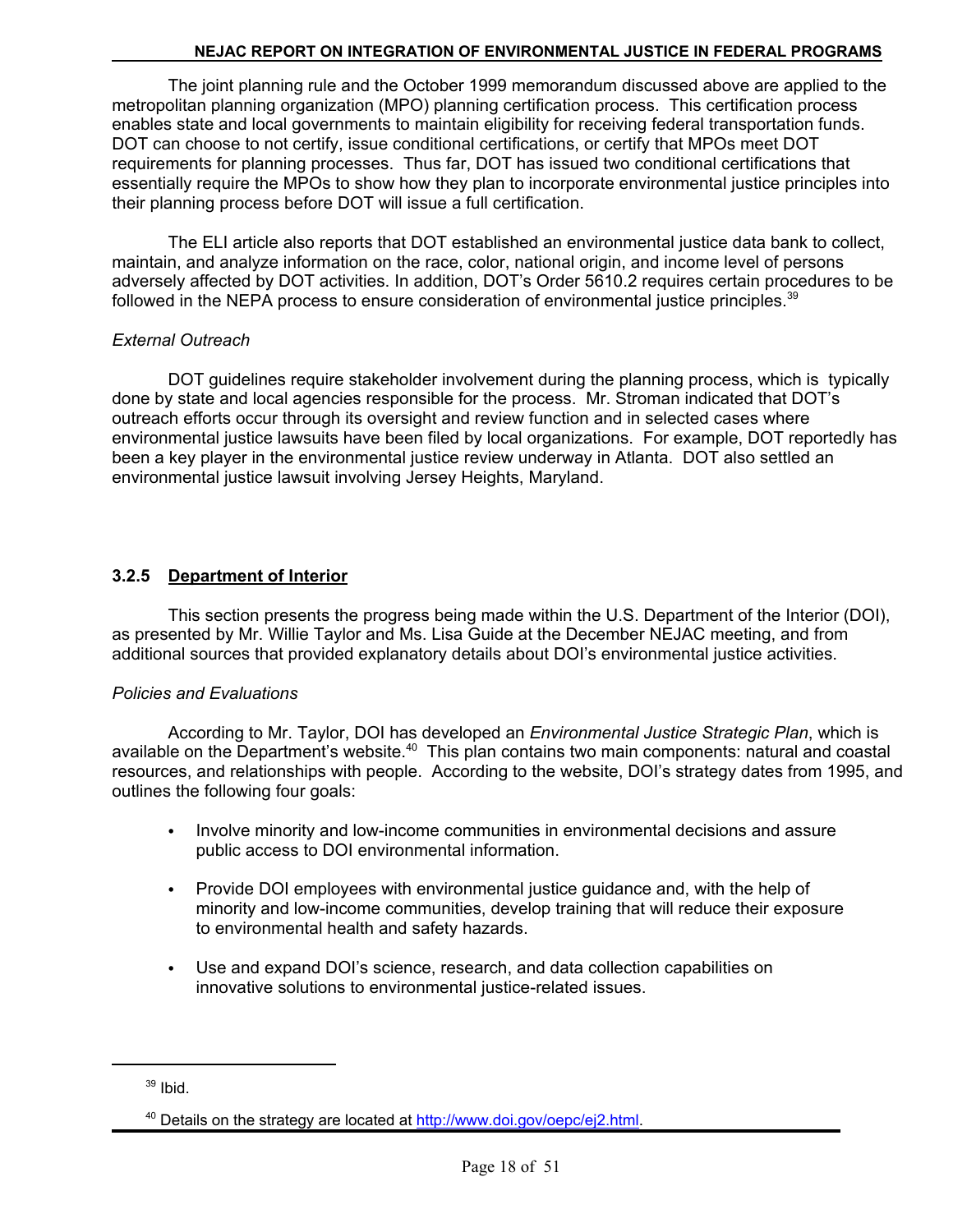The joint planning rule and the October 1999 memorandum discussed above are applied to the metropolitan planning organization (MPO) planning certification process. This certification process enables state and local governments to maintain eligibility for receiving federal transportation funds. DOT can choose to not certify, issue conditional certifications, or certify that MPOs meet DOT requirements for planning processes. Thus far, DOT has issued two conditional certifications that essentially require the MPOs to show how they plan to incorporate environmental justice principles into their planning process before DOT will issue a full certification.

The ELI article also reports that DOT established an environmental justice data bank to collect, maintain, and analyze information on the race, color, national origin, and income level of persons adversely affected by DOT activities. In addition, DOT's Order 5610.2 requires certain procedures to be followed in the NEPA process to ensure consideration of environmental justice principles.<sup>39</sup>

#### *External Outreach*

DOT guidelines require stakeholder involvement during the planning process, which is typically done by state and local agencies responsible for the process. Mr. Stroman indicated that DOT's outreach efforts occur through its oversight and review function and in selected cases where environmental justice lawsuits have been filed by local organizations. For example, DOT reportedly has been a key player in the environmental justice review underway in Atlanta. DOT also settled an environmental justice lawsuit involving Jersey Heights, Maryland.

### **3.2.5 Department of Interior**

This section presents the progress being made within the U.S. Department of the Interior (DOI), as presented by Mr. Willie Taylor and Ms. Lisa Guide at the December NEJAC meeting, and from additional sources that provided explanatory details about DOI's environmental justice activities.

#### *Policies and Evaluations*

According to Mr. Taylor, DOI has developed an *Environmental Justice Strategic Plan*, which is available on the Department's website.<sup>40</sup> This plan contains two main components: natural and coastal resources, and relationships with people. According to the website, DOI's strategy dates from 1995, and outlines the following four goals:

- Involve minority and low-income communities in environmental decisions and assure public access to DOI environmental information.
- Provide DOI employees with environmental justice guidance and, with the help of minority and low-income communities, develop training that will reduce their exposure to environmental health and safety hazards.
- Use and expand DOI's science, research, and data collection capabilities on innovative solutions to environmental justice-related issues.

 $39$  Ibid.

<sup>&</sup>lt;sup>40</sup> Details on the strategy are located at http://www.doi.gov/oepc/ej2.html.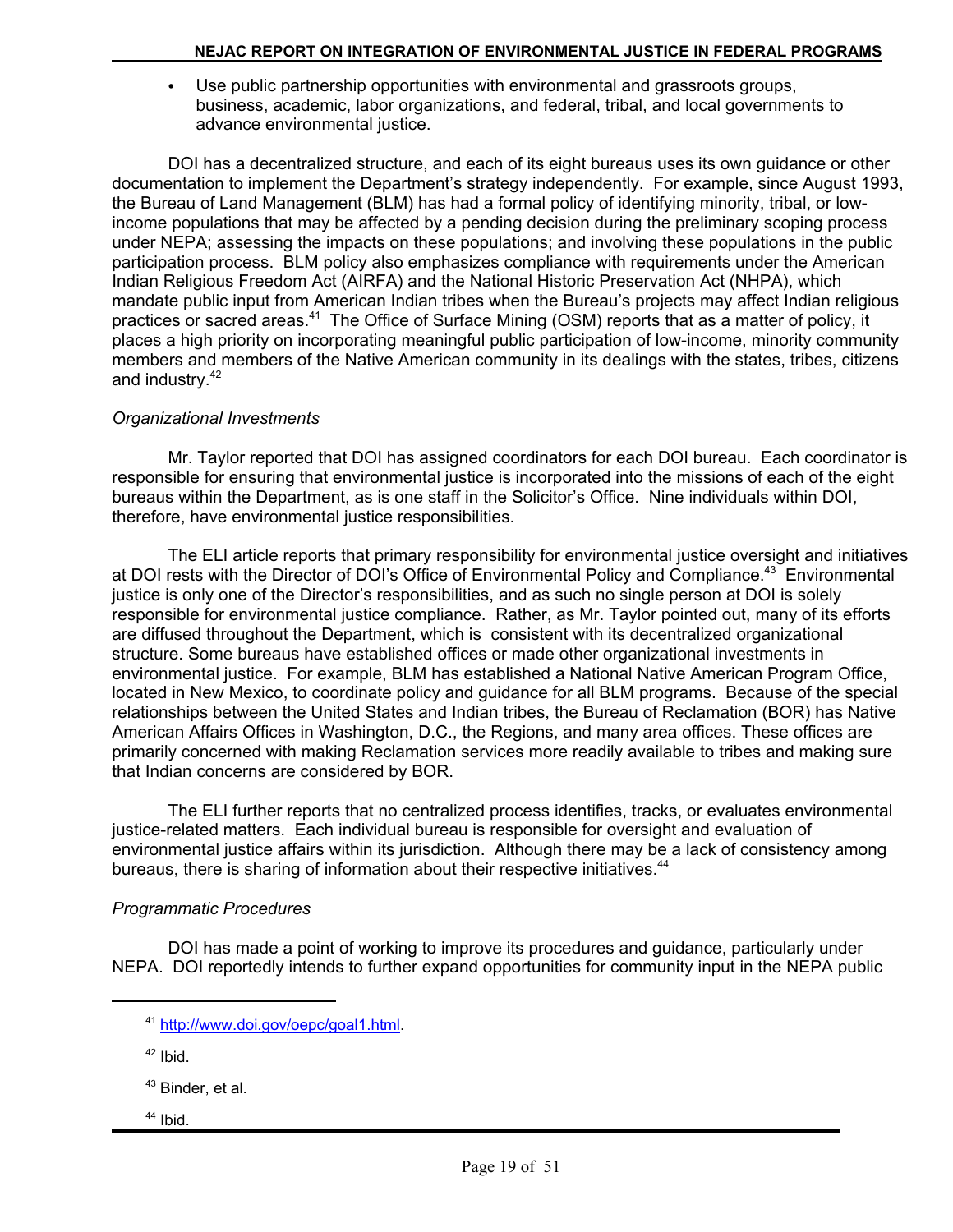• Use public partnership opportunities with environmental and grassroots groups, business, academic, labor organizations, and federal, tribal, and local governments to advance environmental justice.

DOI has a decentralized structure, and each of its eight bureaus uses its own guidance or other documentation to implement the Department's strategy independently. For example, since August 1993, the Bureau of Land Management (BLM) has had a formal policy of identifying minority, tribal, or lowincome populations that may be affected by a pending decision during the preliminary scoping process under NEPA; assessing the impacts on these populations; and involving these populations in the public participation process. BLM policy also emphasizes compliance with requirements under the American Indian Religious Freedom Act (AIRFA) and the National Historic Preservation Act (NHPA), which mandate public input from American Indian tribes when the Bureau's projects may affect Indian religious practices or sacred areas.<sup>41</sup> The Office of Surface Mining (OSM) reports that as a matter of policy, it places a high priority on incorporating meaningful public participation of low-income, minority community members and members of the Native American community in its dealings with the states, tribes, citizens and industry.<sup>42</sup>

#### *Organizational Investments*

Mr. Taylor reported that DOI has assigned coordinators for each DOI bureau. Each coordinator is responsible for ensuring that environmental justice is incorporated into the missions of each of the eight bureaus within the Department, as is one staff in the Solicitor's Office. Nine individuals within DOI, therefore, have environmental justice responsibilities.

The ELI article reports that primary responsibility for environmental justice oversight and initiatives at DOI rests with the Director of DOI's Office of Environmental Policy and Compliance.43 Environmental justice is only one of the Director's responsibilities, and as such no single person at DOI is solely responsible for environmental justice compliance. Rather, as Mr. Taylor pointed out, many of its efforts are diffused throughout the Department, which is consistent with its decentralized organizational structure. Some bureaus have established offices or made other organizational investments in environmental justice. For example, BLM has established a National Native American Program Office, located in New Mexico, to coordinate policy and guidance for all BLM programs. Because of the special relationships between the United States and Indian tribes, the Bureau of Reclamation (BOR) has Native American Affairs Offices in Washington, D.C., the Regions, and many area offices. These offices are primarily concerned with making Reclamation services more readily available to tribes and making sure that Indian concerns are considered by BOR.

The ELI further reports that no centralized process identifies, tracks, or evaluates environmental justice-related matters. Each individual bureau is responsible for oversight and evaluation of environmental justice affairs within its jurisdiction. Although there may be a lack of consistency among bureaus, there is sharing of information about their respective initiatives.<sup>44</sup>

#### *Programmatic Procedures*

DOI has made a point of working to improve its procedures and guidance, particularly under NEPA. DOI reportedly intends to further expand opportunities for community input in the NEPA public

- 43 Binder, et al.
- $44$  Ibid.

<sup>41</sup> http://www.doi.gov/oepc/goal1.html.

 $42$  Ibid.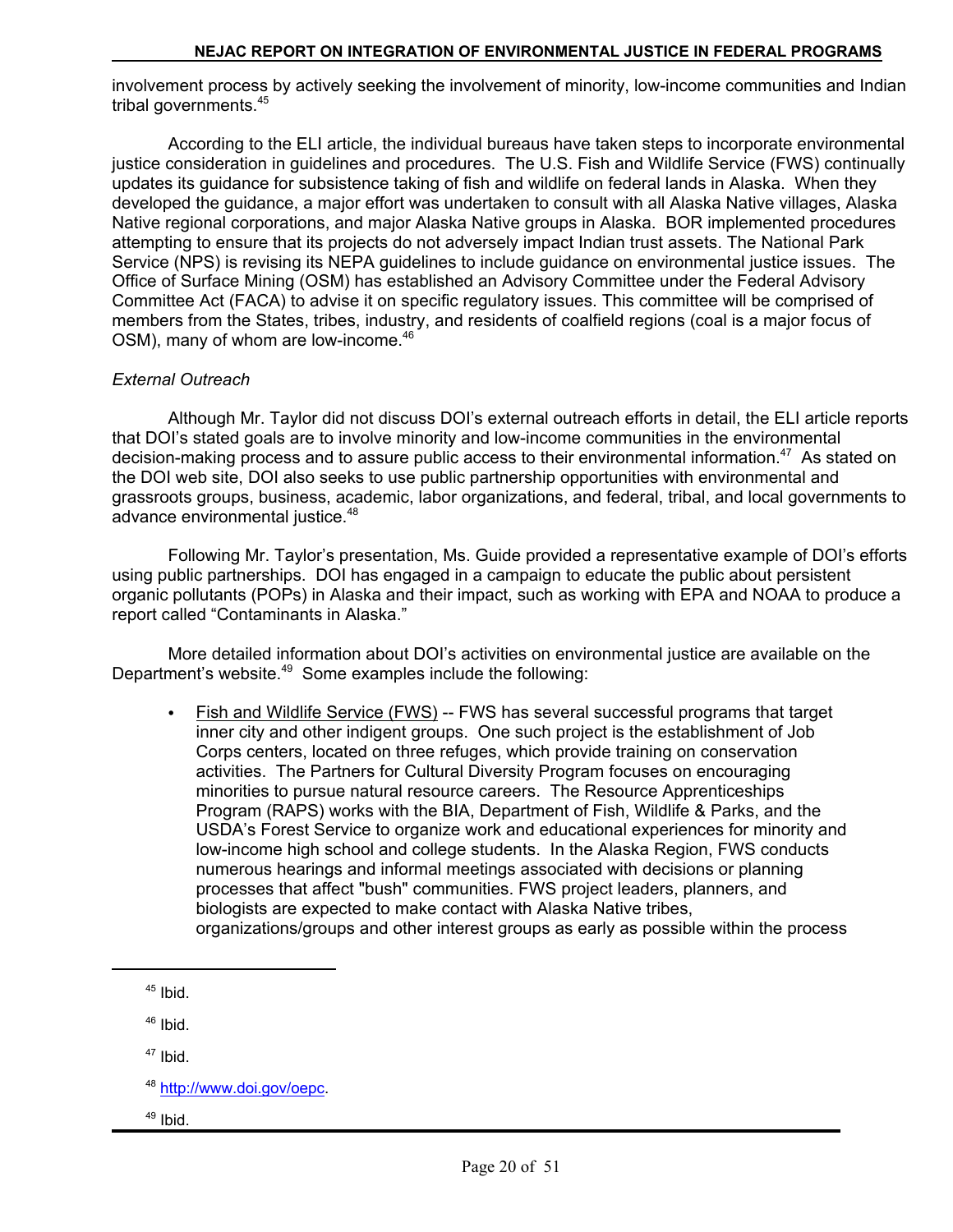involvement process by actively seeking the involvement of minority, low-income communities and Indian tribal governments.<sup>45</sup>

According to the ELI article, the individual bureaus have taken steps to incorporate environmental justice consideration in guidelines and procedures. The U.S. Fish and Wildlife Service (FWS) continually updates its guidance for subsistence taking of fish and wildlife on federal lands in Alaska. When they developed the guidance, a major effort was undertaken to consult with all Alaska Native villages, Alaska Native regional corporations, and major Alaska Native groups in Alaska. BOR implemented procedures attempting to ensure that its projects do not adversely impact Indian trust assets. The National Park Service (NPS) is revising its NEPA guidelines to include guidance on environmental justice issues. The Office of Surface Mining (OSM) has established an Advisory Committee under the Federal Advisory Committee Act (FACA) to advise it on specific regulatory issues. This committee will be comprised of members from the States, tribes, industry, and residents of coalfield regions (coal is a major focus of OSM), many of whom are low-income.<sup>46</sup>

#### *External Outreach*

Although Mr. Taylor did not discuss DOI's external outreach efforts in detail, the ELI article reports that DOI's stated goals are to involve minority and low-income communities in the environmental decision-making process and to assure public access to their environmental information.<sup>47</sup> As stated on the DOI web site, DOI also seeks to use public partnership opportunities with environmental and grassroots groups, business, academic, labor organizations, and federal, tribal, and local governments to advance environmental justice.<sup>48</sup>

Following Mr. Taylor's presentation, Ms. Guide provided a representative example of DOI's efforts using public partnerships. DOI has engaged in a campaign to educate the public about persistent organic pollutants (POPs) in Alaska and their impact, such as working with EPA and NOAA to produce a report called "Contaminants in Alaska."

More detailed information about DOI's activities on environmental justice are available on the Department's website.49 Some examples include the following:

• Fish and Wildlife Service (FWS) -- FWS has several successful programs that target inner city and other indigent groups. One such project is the establishment of Job Corps centers, located on three refuges, which provide training on conservation activities. The Partners for Cultural Diversity Program focuses on encouraging minorities to pursue natural resource careers. The Resource Apprenticeships Program (RAPS) works with the BIA, Department of Fish, Wildlife & Parks, and the USDA's Forest Service to organize work and educational experiences for minority and low-income high school and college students. In the Alaska Region, FWS conducts numerous hearings and informal meetings associated with decisions or planning processes that affect "bush" communities. FWS project leaders, planners, and biologists are expected to make contact with Alaska Native tribes, organizations/groups and other interest groups as early as possible within the process

 $45$  Ibid.

46 Ibid.

 $47$  Ibid.

48 http://www.doi.gov/oepc.

 $49$  Ibid.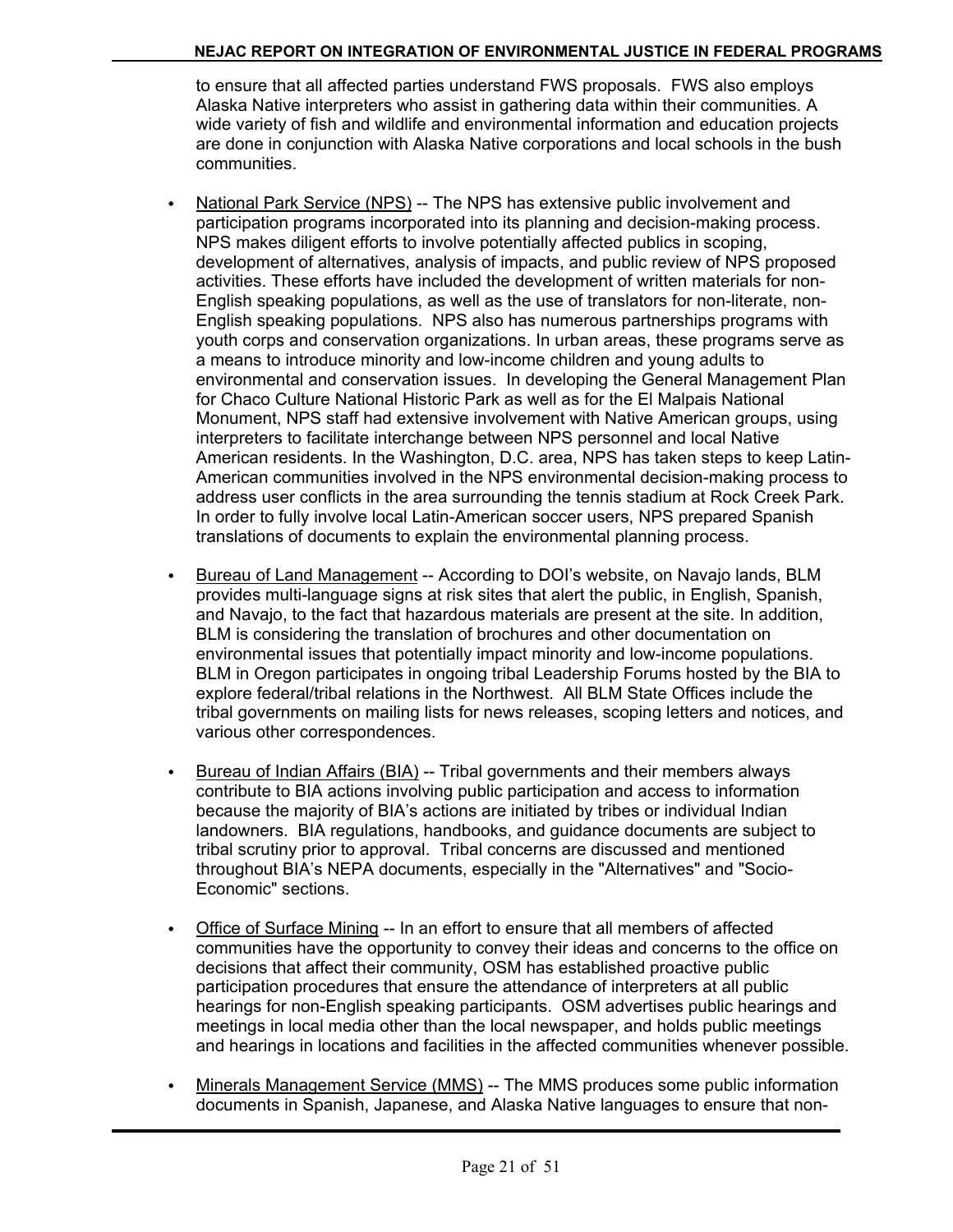to ensure that all affected parties understand FWS proposals. FWS also employs Alaska Native interpreters who assist in gathering data within their communities. A wide variety of fish and wildlife and environmental information and education projects are done in conjunction with Alaska Native corporations and local schools in the bush communities.

- National Park Service (NPS) -- The NPS has extensive public involvement and participation programs incorporated into its planning and decision-making process. NPS makes diligent efforts to involve potentially affected publics in scoping, development of alternatives, analysis of impacts, and public review of NPS proposed activities. These efforts have included the development of written materials for non-English speaking populations, as well as the use of translators for non-literate, non-English speaking populations. NPS also has numerous partnerships programs with youth corps and conservation organizations. In urban areas, these programs serve as a means to introduce minority and low-income children and young adults to environmental and conservation issues. In developing the General Management Plan for Chaco Culture National Historic Park as well as for the El Malpais National Monument, NPS staff had extensive involvement with Native American groups, using interpreters to facilitate interchange between NPS personnel and local Native American residents. In the Washington, D.C. area, NPS has taken steps to keep Latin-American communities involved in the NPS environmental decision-making process to address user conflicts in the area surrounding the tennis stadium at Rock Creek Park. In order to fully involve local Latin-American soccer users, NPS prepared Spanish translations of documents to explain the environmental planning process.
- Bureau of Land Management -- According to DOI's website, on Navajo lands, BLM provides multi-language signs at risk sites that alert the public, in English, Spanish, and Navajo, to the fact that hazardous materials are present at the site. In addition, BLM is considering the translation of brochures and other documentation on environmental issues that potentially impact minority and low-income populations. BLM in Oregon participates in ongoing tribal Leadership Forums hosted by the BIA to explore federal/tribal relations in the Northwest. All BLM State Offices include the tribal governments on mailing lists for news releases, scoping letters and notices, and various other correspondences.
- C Bureau of Indian Affairs (BIA) -- Tribal governments and their members always contribute to BIA actions involving public participation and access to information because the majority of BIA's actions are initiated by tribes or individual Indian landowners. BIA regulations, handbooks, and guidance documents are subject to tribal scrutiny prior to approval. Tribal concerns are discussed and mentioned throughout BIA's NEPA documents, especially in the "Alternatives" and "Socio-Economic" sections.
- Office of Surface Mining -- In an effort to ensure that all members of affected communities have the opportunity to convey their ideas and concerns to the office on decisions that affect their community, OSM has established proactive public participation procedures that ensure the attendance of interpreters at all public hearings for non-English speaking participants. OSM advertises public hearings and meetings in local media other than the local newspaper, and holds public meetings and hearings in locations and facilities in the affected communities whenever possible.
- Minerals Management Service (MMS) -- The MMS produces some public information documents in Spanish, Japanese, and Alaska Native languages to ensure that non-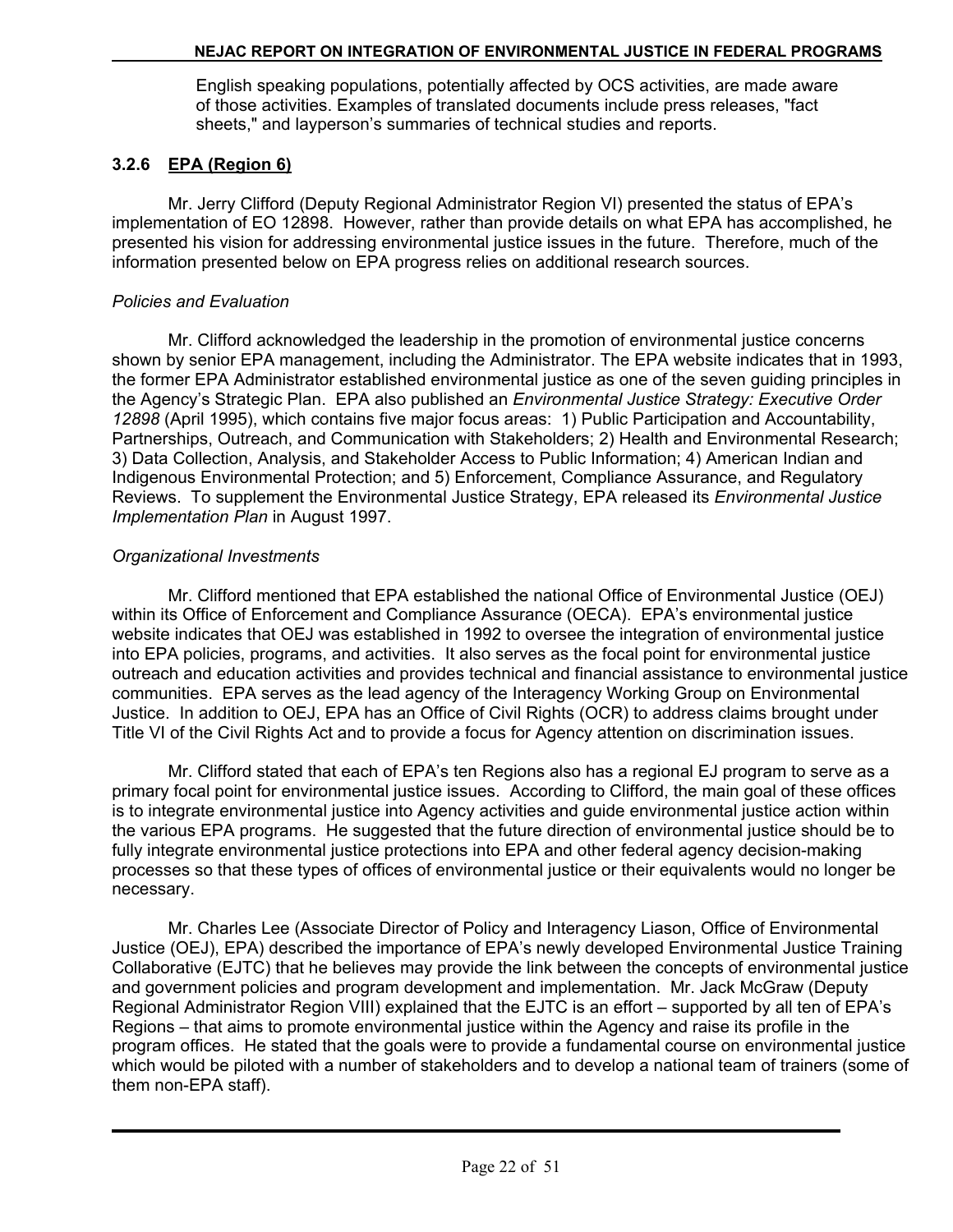English speaking populations, potentially affected by OCS activities, are made aware of those activities. Examples of translated documents include press releases, "fact sheets," and layperson's summaries of technical studies and reports.

## **3.2.6 EPA (Region 6)**

Mr. Jerry Clifford (Deputy Regional Administrator Region VI) presented the status of EPA's implementation of EO 12898. However, rather than provide details on what EPA has accomplished, he presented his vision for addressing environmental justice issues in the future. Therefore, much of the information presented below on EPA progress relies on additional research sources.

#### *Policies and Evaluation*

Mr. Clifford acknowledged the leadership in the promotion of environmental justice concerns shown by senior EPA management, including the Administrator. The EPA website indicates that in 1993, the former EPA Administrator established environmental justice as one of the seven guiding principles in the Agency's Strategic Plan. EPA also published an *Environmental Justice Strategy: Executive Order 12898* (April 1995), which contains five major focus areas: 1) Public Participation and Accountability, Partnerships, Outreach, and Communication with Stakeholders; 2) Health and Environmental Research; 3) Data Collection, Analysis, and Stakeholder Access to Public Information; 4) American Indian and Indigenous Environmental Protection; and 5) Enforcement, Compliance Assurance, and Regulatory Reviews. To supplement the Environmental Justice Strategy, EPA released its *Environmental Justice Implementation Plan* in August 1997.

#### *Organizational Investments*

Mr. Clifford mentioned that EPA established the national Office of Environmental Justice (OEJ) within its Office of Enforcement and Compliance Assurance (OECA). EPA's environmental justice website indicates that OEJ was established in 1992 to oversee the integration of environmental justice into EPA policies, programs, and activities. It also serves as the focal point for environmental justice outreach and education activities and provides technical and financial assistance to environmental justice communities. EPA serves as the lead agency of the Interagency Working Group on Environmental Justice. In addition to OEJ, EPA has an Office of Civil Rights (OCR) to address claims brought under Title VI of the Civil Rights Act and to provide a focus for Agency attention on discrimination issues.

Mr. Clifford stated that each of EPA's ten Regions also has a regional EJ program to serve as a primary focal point for environmental justice issues. According to Clifford, the main goal of these offices is to integrate environmental justice into Agency activities and guide environmental justice action within the various EPA programs. He suggested that the future direction of environmental justice should be to fully integrate environmental justice protections into EPA and other federal agency decision-making processes so that these types of offices of environmental justice or their equivalents would no longer be necessary.

Mr. Charles Lee (Associate Director of Policy and Interagency Liason, Office of Environmental Justice (OEJ), EPA) described the importance of EPA's newly developed Environmental Justice Training Collaborative (EJTC) that he believes may provide the link between the concepts of environmental justice and government policies and program development and implementation. Mr. Jack McGraw (Deputy Regional Administrator Region VIII) explained that the EJTC is an effort – supported by all ten of EPA's Regions – that aims to promote environmental justice within the Agency and raise its profile in the program offices. He stated that the goals were to provide a fundamental course on environmental justice which would be piloted with a number of stakeholders and to develop a national team of trainers (some of them non-EPA staff).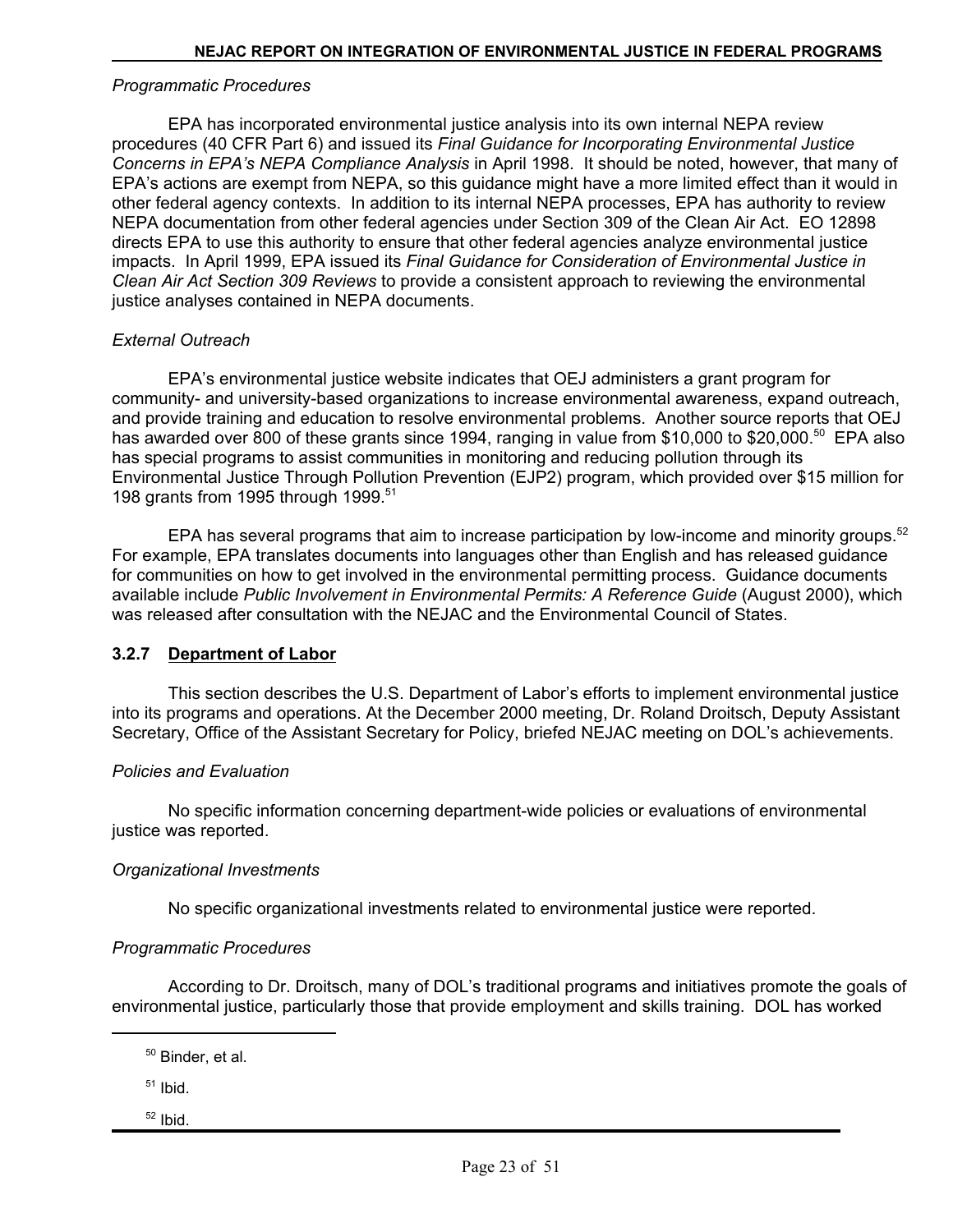#### *Programmatic Procedures*

EPA has incorporated environmental justice analysis into its own internal NEPA review procedures (40 CFR Part 6) and issued its *Final Guidance for Incorporating Environmental Justice Concerns in EPA's NEPA Compliance Analysis* in April 1998. It should be noted, however, that many of EPA's actions are exempt from NEPA, so this guidance might have a more limited effect than it would in other federal agency contexts. In addition to its internal NEPA processes, EPA has authority to review NEPA documentation from other federal agencies under Section 309 of the Clean Air Act. EO 12898 directs EPA to use this authority to ensure that other federal agencies analyze environmental justice impacts. In April 1999, EPA issued its *Final Guidance for Consideration of Environmental Justice in Clean Air Act Section 309 Reviews* to provide a consistent approach to reviewing the environmental justice analyses contained in NEPA documents.

#### *External Outreach*

EPA's environmental justice website indicates that OEJ administers a grant program for community- and university-based organizations to increase environmental awareness, expand outreach, and provide training and education to resolve environmental problems. Another source reports that OEJ has awarded over 800 of these grants since 1994, ranging in value from \$10,000 to \$20,000.<sup>50</sup> EPA also has special programs to assist communities in monitoring and reducing pollution through its Environmental Justice Through Pollution Prevention (EJP2) program, which provided over \$15 million for 198 grants from 1995 through 1999.<sup>51</sup>

EPA has several programs that aim to increase participation by low-income and minority groups.<sup>52</sup> For example, EPA translates documents into languages other than English and has released guidance for communities on how to get involved in the environmental permitting process. Guidance documents available include *Public Involvement in Environmental Permits: A Reference Guide* (August 2000), which was released after consultation with the NEJAC and the Environmental Council of States.

#### **3.2.7 Department of Labor**

This section describes the U.S. Department of Labor's efforts to implement environmental justice into its programs and operations. At the December 2000 meeting, Dr. Roland Droitsch, Deputy Assistant Secretary, Office of the Assistant Secretary for Policy, briefed NEJAC meeting on DOL's achievements.

#### *Policies and Evaluation*

No specific information concerning department-wide policies or evaluations of environmental justice was reported.

#### *Organizational Investments*

No specific organizational investments related to environmental justice were reported.

#### *Programmatic Procedures*

According to Dr. Droitsch, many of DOL's traditional programs and initiatives promote the goals of environmental justice, particularly those that provide employment and skills training. DOL has worked

 $51$  Ibid.

52 Ibid.

<sup>50</sup> Binder, et al.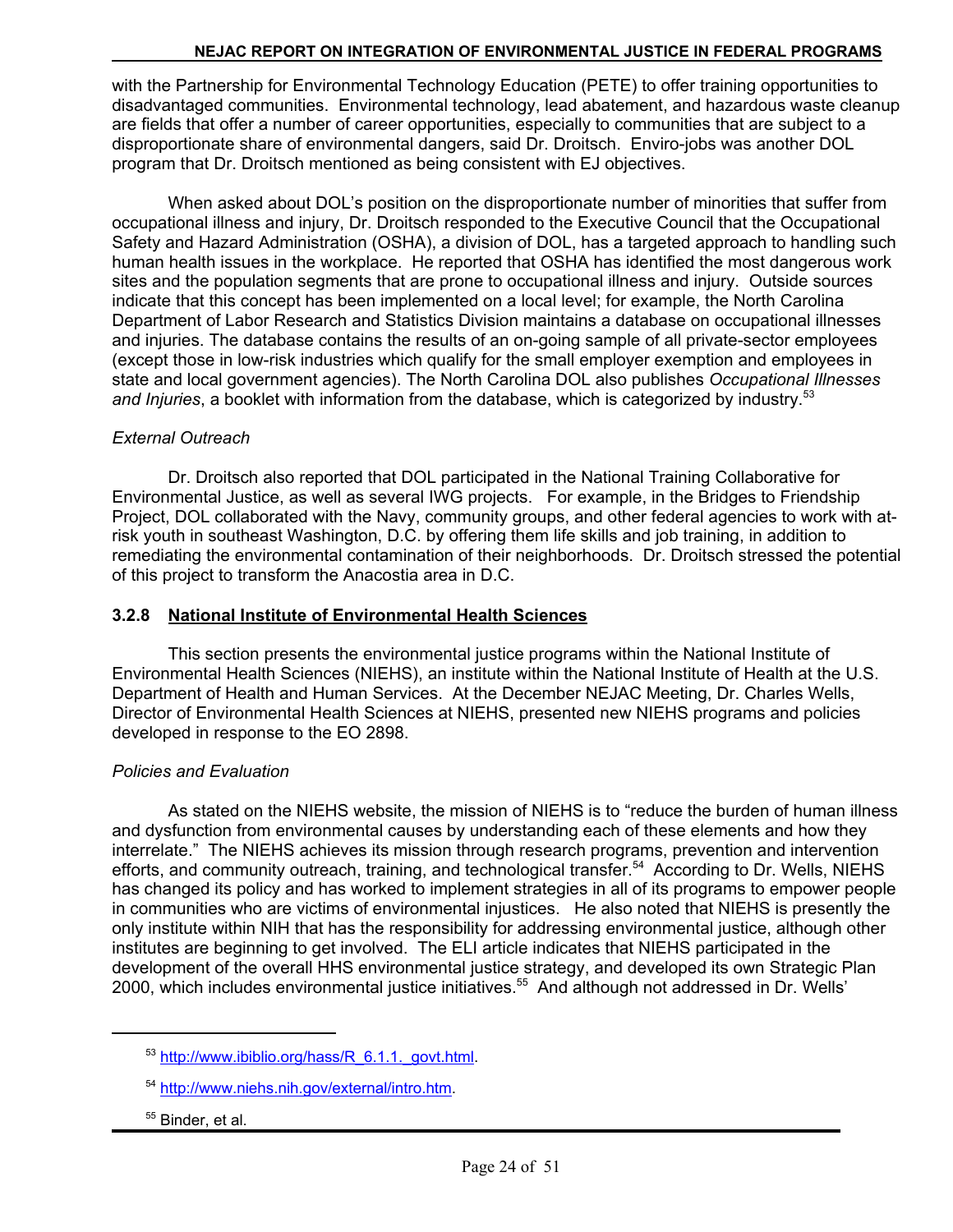with the Partnership for Environmental Technology Education (PETE) to offer training opportunities to disadvantaged communities. Environmental technology, lead abatement, and hazardous waste cleanup are fields that offer a number of career opportunities, especially to communities that are subject to a disproportionate share of environmental dangers, said Dr. Droitsch. Enviro-jobs was another DOL program that Dr. Droitsch mentioned as being consistent with EJ objectives.

When asked about DOL's position on the disproportionate number of minorities that suffer from occupational illness and injury, Dr. Droitsch responded to the Executive Council that the Occupational Safety and Hazard Administration (OSHA), a division of DOL, has a targeted approach to handling such human health issues in the workplace. He reported that OSHA has identified the most dangerous work sites and the population segments that are prone to occupational illness and injury. Outside sources indicate that this concept has been implemented on a local level; for example, the North Carolina Department of Labor Research and Statistics Division maintains a database on occupational illnesses and injuries. The database contains the results of an on-going sample of all private-sector employees (except those in low-risk industries which qualify for the small employer exemption and employees in state and local government agencies). The North Carolina DOL also publishes *Occupational Illnesses*  and *Injuries*, a booklet with information from the database, which is categorized by industry.<sup>53</sup>

#### *External Outreach*

Dr. Droitsch also reported that DOL participated in the National Training Collaborative for Environmental Justice, as well as several IWG projects. For example, in the Bridges to Friendship Project, DOL collaborated with the Navy, community groups, and other federal agencies to work with atrisk youth in southeast Washington, D.C. by offering them life skills and job training, in addition to remediating the environmental contamination of their neighborhoods. Dr. Droitsch stressed the potential of this project to transform the Anacostia area in D.C.

### **3.2.8 National Institute of Environmental Health Sciences**

This section presents the environmental justice programs within the National Institute of Environmental Health Sciences (NIEHS), an institute within the National Institute of Health at the U.S. Department of Health and Human Services. At the December NEJAC Meeting, Dr. Charles Wells, Director of Environmental Health Sciences at NIEHS, presented new NIEHS programs and policies developed in response to the EO 2898.

## *Policies and Evaluation*

As stated on the NIEHS website, the mission of NIEHS is to "reduce the burden of human illness and dysfunction from environmental causes by understanding each of these elements and how they interrelate." The NIEHS achieves its mission through research programs, prevention and intervention efforts, and community outreach, training, and technological transfer.<sup>54</sup> According to Dr. Wells, NIEHS has changed its policy and has worked to implement strategies in all of its programs to empower people in communities who are victims of environmental injustices. He also noted that NIEHS is presently the only institute within NIH that has the responsibility for addressing environmental justice, although other institutes are beginning to get involved. The ELI article indicates that NIEHS participated in the development of the overall HHS environmental justice strategy, and developed its own Strategic Plan 2000, which includes environmental justice initiatives.55 And although not addressed in Dr. Wells'

<sup>&</sup>lt;sup>53</sup> http://www.ibiblio.org/hass/R\_6.1.1.\_govt.html.

<sup>54</sup> http://www.niehs.nih.gov/external/intro.htm.

<sup>&</sup>lt;sup>55</sup> Binder, et al.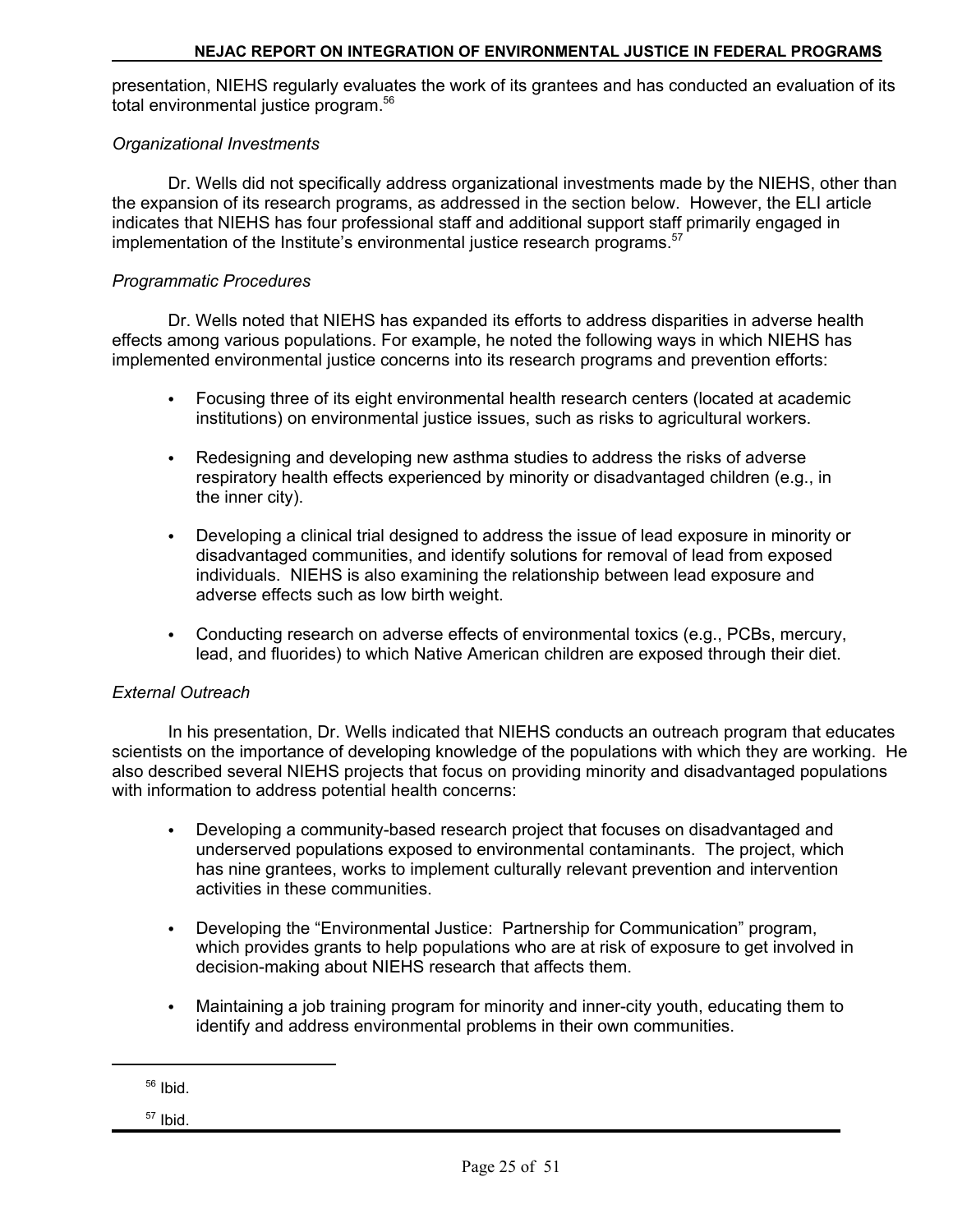presentation, NIEHS regularly evaluates the work of its grantees and has conducted an evaluation of its total environmental justice program.<sup>56</sup>

### *Organizational Investments*

Dr. Wells did not specifically address organizational investments made by the NIEHS, other than the expansion of its research programs, as addressed in the section below. However, the ELI article indicates that NIEHS has four professional staff and additional support staff primarily engaged in implementation of the Institute's environmental justice research programs.<sup>57</sup>

#### *Programmatic Procedures*

Dr. Wells noted that NIEHS has expanded its efforts to address disparities in adverse health effects among various populations. For example, he noted the following ways in which NIEHS has implemented environmental justice concerns into its research programs and prevention efforts:

- Focusing three of its eight environmental health research centers (located at academic institutions) on environmental justice issues, such as risks to agricultural workers.
- Redesigning and developing new asthma studies to address the risks of adverse respiratory health effects experienced by minority or disadvantaged children (e.g., in the inner city).
- Developing a clinical trial designed to address the issue of lead exposure in minority or disadvantaged communities, and identify solutions for removal of lead from exposed individuals. NIEHS is also examining the relationship between lead exposure and adverse effects such as low birth weight.
- Conducting research on adverse effects of environmental toxics (e.g., PCBs, mercury, lead, and fluorides) to which Native American children are exposed through their diet.

#### *External Outreach*

In his presentation, Dr. Wells indicated that NIEHS conducts an outreach program that educates scientists on the importance of developing knowledge of the populations with which they are working. He also described several NIEHS projects that focus on providing minority and disadvantaged populations with information to address potential health concerns:

- Developing a community-based research project that focuses on disadvantaged and underserved populations exposed to environmental contaminants. The project, which has nine grantees, works to implement culturally relevant prevention and intervention activities in these communities.
- Developing the "Environmental Justice: Partnership for Communication" program, which provides grants to help populations who are at risk of exposure to get involved in decision-making about NIEHS research that affects them.
- Maintaining a job training program for minority and inner-city youth, educating them to identify and address environmental problems in their own communities.

57 Ibid.

 $56$  Ibid.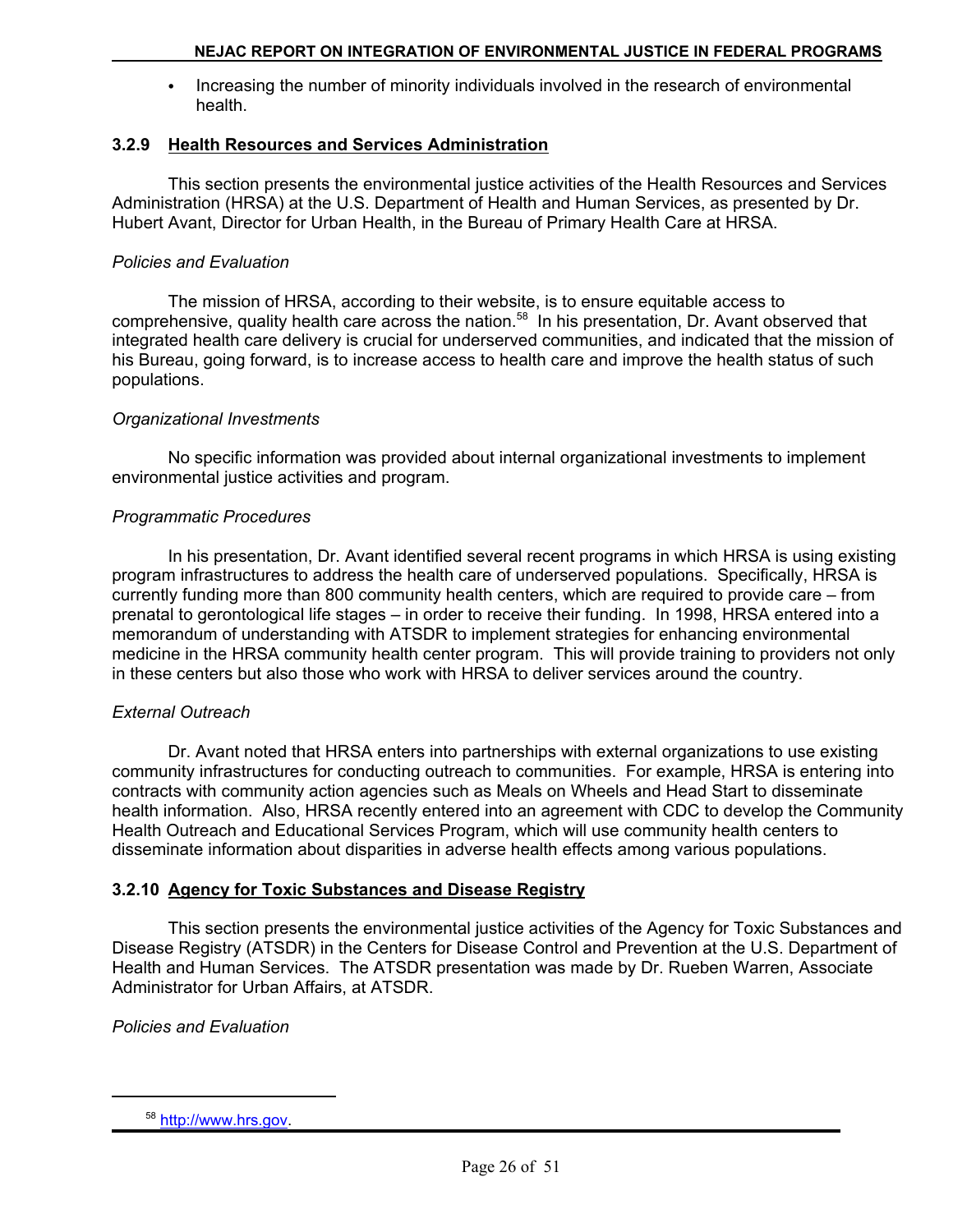• Increasing the number of minority individuals involved in the research of environmental health.

#### **3.2.9 Health Resources and Services Administration**

This section presents the environmental justice activities of the Health Resources and Services Administration (HRSA) at the U.S. Department of Health and Human Services, as presented by Dr. Hubert Avant, Director for Urban Health, in the Bureau of Primary Health Care at HRSA.

#### *Policies and Evaluation*

The mission of HRSA, according to their website, is to ensure equitable access to comprehensive, quality health care across the nation.<sup>58</sup> In his presentation, Dr. Avant observed that integrated health care delivery is crucial for underserved communities, and indicated that the mission of his Bureau, going forward, is to increase access to health care and improve the health status of such populations.

#### *Organizational Investments*

No specific information was provided about internal organizational investments to implement environmental justice activities and program.

#### *Programmatic Procedures*

In his presentation, Dr. Avant identified several recent programs in which HRSA is using existing program infrastructures to address the health care of underserved populations. Specifically, HRSA is currently funding more than 800 community health centers, which are required to provide care – from prenatal to gerontological life stages – in order to receive their funding. In 1998, HRSA entered into a memorandum of understanding with ATSDR to implement strategies for enhancing environmental medicine in the HRSA community health center program. This will provide training to providers not only in these centers but also those who work with HRSA to deliver services around the country.

#### *External Outreach*

Dr. Avant noted that HRSA enters into partnerships with external organizations to use existing community infrastructures for conducting outreach to communities. For example, HRSA is entering into contracts with community action agencies such as Meals on Wheels and Head Start to disseminate health information. Also, HRSA recently entered into an agreement with CDC to develop the Community Health Outreach and Educational Services Program, which will use community health centers to disseminate information about disparities in adverse health effects among various populations.

#### **3.2.10 Agency for Toxic Substances and Disease Registry**

This section presents the environmental justice activities of the Agency for Toxic Substances and Disease Registry (ATSDR) in the Centers for Disease Control and Prevention at the U.S. Department of Health and Human Services. The ATSDR presentation was made by Dr. Rueben Warren, Associate Administrator for Urban Affairs, at ATSDR.

#### *Policies and Evaluation*

<sup>58</sup> http://www.hrs.gov.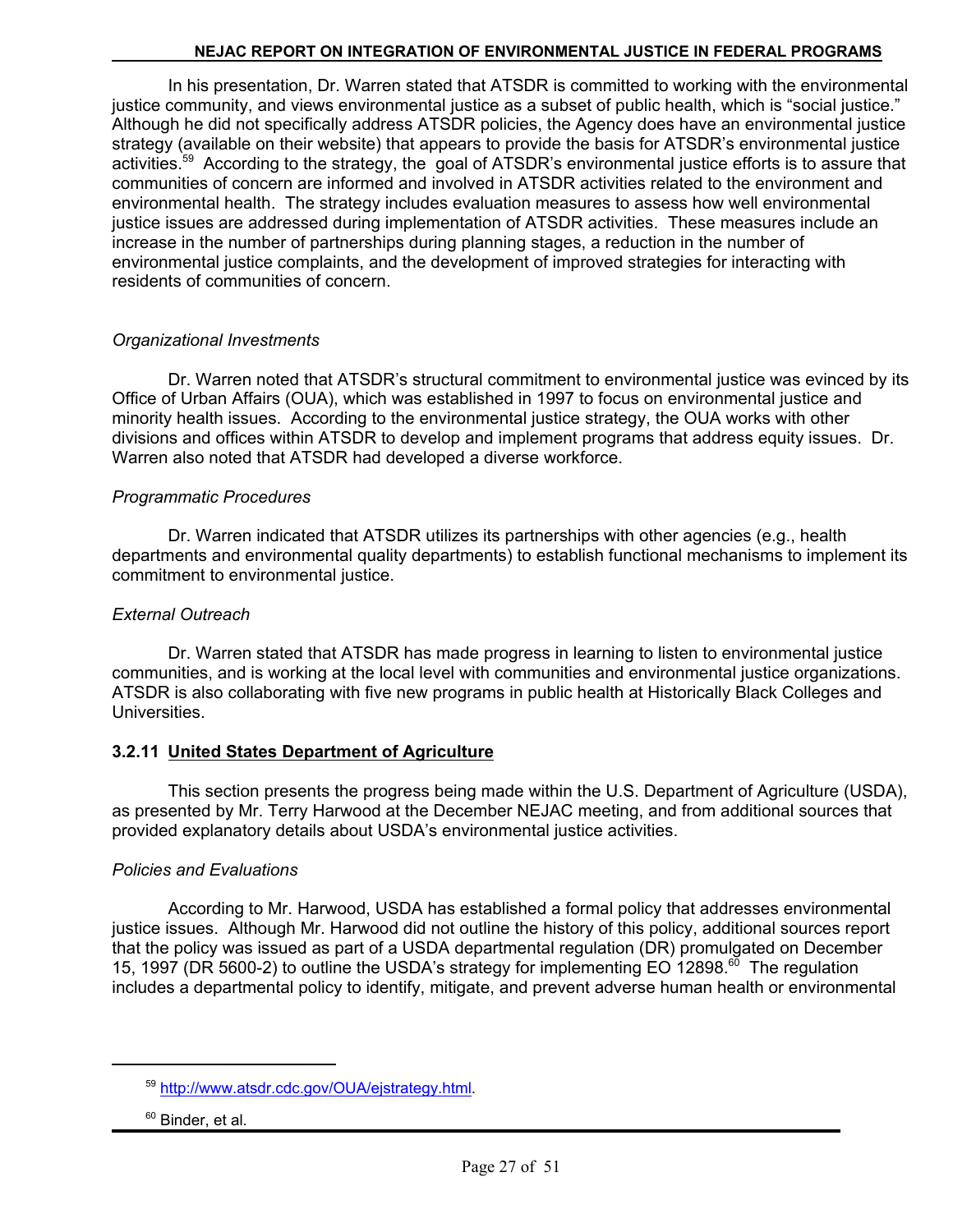In his presentation, Dr. Warren stated that ATSDR is committed to working with the environmental justice community, and views environmental justice as a subset of public health, which is "social justice." Although he did not specifically address ATSDR policies, the Agency does have an environmental justice strategy (available on their website) that appears to provide the basis for ATSDR's environmental justice activities.59 According to the strategy, the goal of ATSDR's environmental justice efforts is to assure that communities of concern are informed and involved in ATSDR activities related to the environment and environmental health. The strategy includes evaluation measures to assess how well environmental justice issues are addressed during implementation of ATSDR activities. These measures include an increase in the number of partnerships during planning stages, a reduction in the number of environmental justice complaints, and the development of improved strategies for interacting with residents of communities of concern.

#### *Organizational Investments*

Dr. Warren noted that ATSDR's structural commitment to environmental justice was evinced by its Office of Urban Affairs (OUA), which was established in 1997 to focus on environmental justice and minority health issues. According to the environmental justice strategy, the OUA works with other divisions and offices within ATSDR to develop and implement programs that address equity issues. Dr. Warren also noted that ATSDR had developed a diverse workforce.

### *Programmatic Procedures*

Dr. Warren indicated that ATSDR utilizes its partnerships with other agencies (e.g., health departments and environmental quality departments) to establish functional mechanisms to implement its commitment to environmental justice.

#### *External Outreach*

Dr. Warren stated that ATSDR has made progress in learning to listen to environmental justice communities, and is working at the local level with communities and environmental justice organizations. ATSDR is also collaborating with five new programs in public health at Historically Black Colleges and Universities.

## **3.2.11 United States Department of Agriculture**

This section presents the progress being made within the U.S. Department of Agriculture (USDA), as presented by Mr. Terry Harwood at the December NEJAC meeting, and from additional sources that provided explanatory details about USDA's environmental justice activities.

#### *Policies and Evaluations*

According to Mr. Harwood, USDA has established a formal policy that addresses environmental justice issues. Although Mr. Harwood did not outline the history of this policy, additional sources report that the policy was issued as part of a USDA departmental regulation (DR) promulgated on December 15, 1997 (DR 5600-2) to outline the USDA's strategy for implementing EO 12898.<sup>60</sup> The regulation includes a departmental policy to identify, mitigate, and prevent adverse human health or environmental

<sup>59</sup> http://www.atsdr.cdc.gov/OUA/ejstrategy.html.

<sup>&</sup>lt;sup>60</sup> Binder, et al.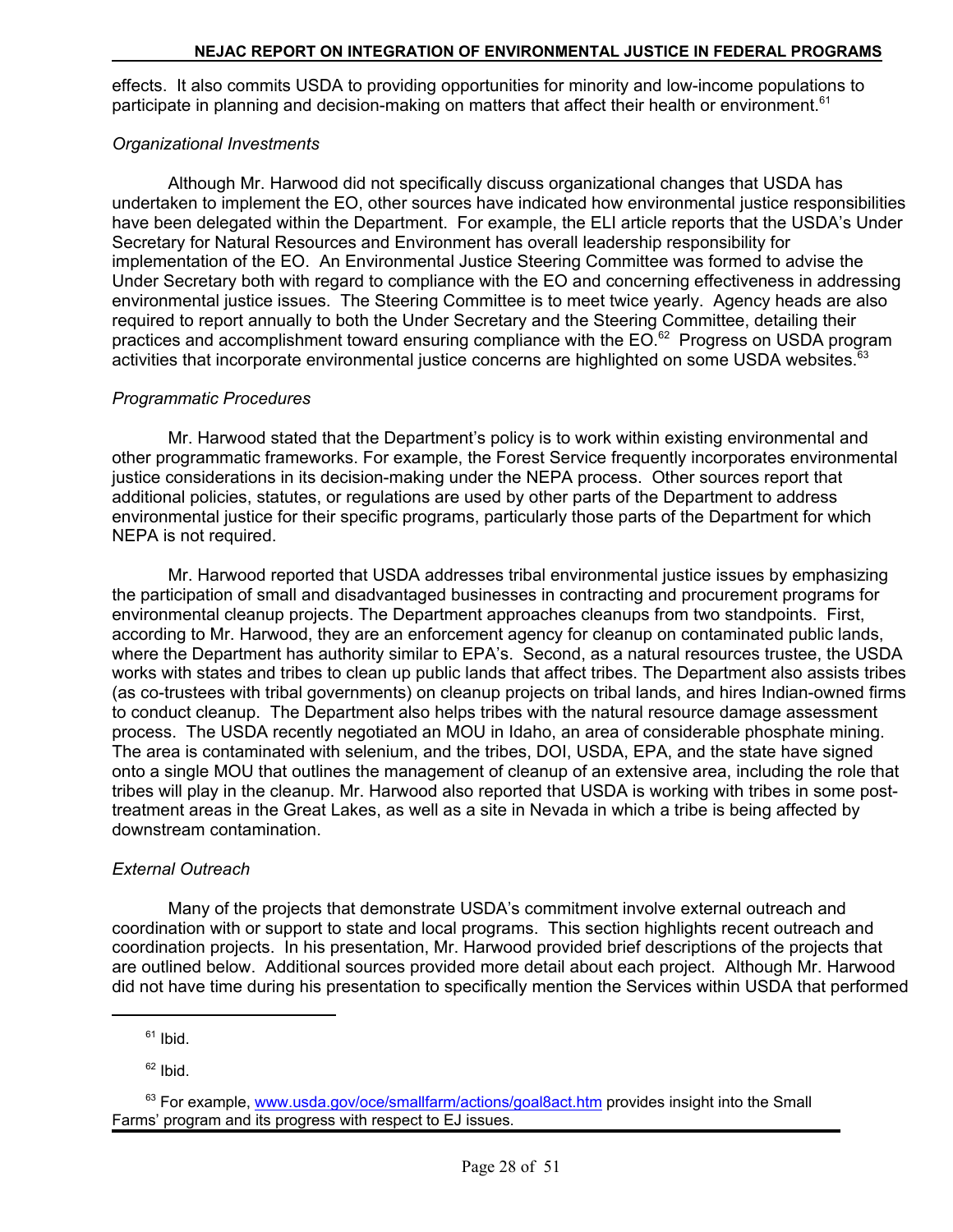effects. It also commits USDA to providing opportunities for minority and low-income populations to participate in planning and decision-making on matters that affect their health or environment.<sup>61</sup>

#### *Organizational Investments*

Although Mr. Harwood did not specifically discuss organizational changes that USDA has undertaken to implement the EO, other sources have indicated how environmental justice responsibilities have been delegated within the Department. For example, the ELI article reports that the USDA's Under Secretary for Natural Resources and Environment has overall leadership responsibility for implementation of the EO. An Environmental Justice Steering Committee was formed to advise the Under Secretary both with regard to compliance with the EO and concerning effectiveness in addressing environmental justice issues. The Steering Committee is to meet twice yearly. Agency heads are also required to report annually to both the Under Secretary and the Steering Committee, detailing their practices and accomplishment toward ensuring compliance with the EO.<sup>62</sup> Progress on USDA program activities that incorporate environmental justice concerns are highlighted on some USDA websites.<sup>63</sup>

#### *Programmatic Procedures*

Mr. Harwood stated that the Department's policy is to work within existing environmental and other programmatic frameworks. For example, the Forest Service frequently incorporates environmental justice considerations in its decision-making under the NEPA process. Other sources report that additional policies, statutes, or regulations are used by other parts of the Department to address environmental justice for their specific programs, particularly those parts of the Department for which NEPA is not required.

Mr. Harwood reported that USDA addresses tribal environmental justice issues by emphasizing the participation of small and disadvantaged businesses in contracting and procurement programs for environmental cleanup projects. The Department approaches cleanups from two standpoints. First, according to Mr. Harwood, they are an enforcement agency for cleanup on contaminated public lands, where the Department has authority similar to EPA's. Second, as a natural resources trustee, the USDA works with states and tribes to clean up public lands that affect tribes. The Department also assists tribes (as co-trustees with tribal governments) on cleanup projects on tribal lands, and hires Indian-owned firms to conduct cleanup. The Department also helps tribes with the natural resource damage assessment process. The USDA recently negotiated an MOU in Idaho, an area of considerable phosphate mining. The area is contaminated with selenium, and the tribes, DOI, USDA, EPA, and the state have signed onto a single MOU that outlines the management of cleanup of an extensive area, including the role that tribes will play in the cleanup. Mr. Harwood also reported that USDA is working with tribes in some posttreatment areas in the Great Lakes, as well as a site in Nevada in which a tribe is being affected by downstream contamination.

#### *External Outreach*

Many of the projects that demonstrate USDA's commitment involve external outreach and coordination with or support to state and local programs. This section highlights recent outreach and coordination projects. In his presentation, Mr. Harwood provided brief descriptions of the projects that are outlined below. Additional sources provided more detail about each project. Although Mr. Harwood did not have time during his presentation to specifically mention the Services within USDA that performed

 $62$  Ibid.

 $61$  Ibid.

<sup>&</sup>lt;sup>63</sup> For example, www.usda.gov/oce/smallfarm/actions/goal8act.htm provides insight into the Small Farms' program and its progress with respect to EJ issues.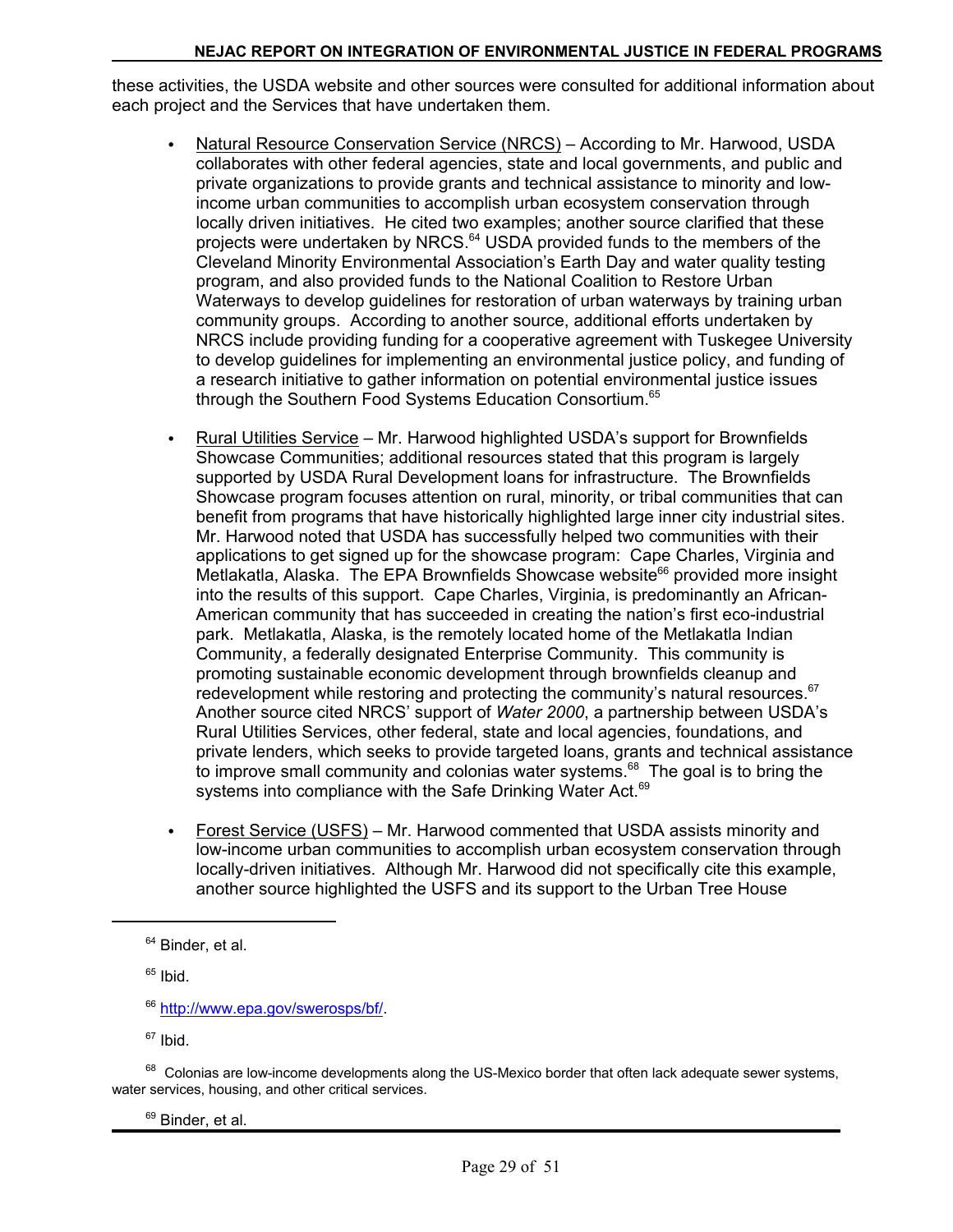these activities, the USDA website and other sources were consulted for additional information about each project and the Services that have undertaken them.

- $\bullet$ Natural Resource Conservation Service (NRCS) – According to Mr. Harwood, USDA collaborates with other federal agencies, state and local governments, and public and private organizations to provide grants and technical assistance to minority and lowincome urban communities to accomplish urban ecosystem conservation through locally driven initiatives. He cited two examples; another source clarified that these projects were undertaken by NRCS.<sup>64</sup> USDA provided funds to the members of the Cleveland Minority Environmental Association's Earth Day and water quality testing program, and also provided funds to the National Coalition to Restore Urban Waterways to develop guidelines for restoration of urban waterways by training urban community groups. According to another source, additional efforts undertaken by NRCS include providing funding for a cooperative agreement with Tuskegee University to develop guidelines for implementing an environmental justice policy, and funding of a research initiative to gather information on potential environmental justice issues through the Southern Food Systems Education Consortium.<sup>65</sup>
- Rural Utilities Service Mr. Harwood highlighted USDA's support for Brownfields Showcase Communities; additional resources stated that this program is largely supported by USDA Rural Development loans for infrastructure. The Brownfields Showcase program focuses attention on rural, minority, or tribal communities that can benefit from programs that have historically highlighted large inner city industrial sites. Mr. Harwood noted that USDA has successfully helped two communities with their applications to get signed up for the showcase program: Cape Charles, Virginia and Metlakatla, Alaska. The EPA Brownfields Showcase website<sup>66</sup> provided more insight into the results of this support. Cape Charles, Virginia, is predominantly an African-American community that has succeeded in creating the nation's first eco-industrial park. Metlakatla, Alaska, is the remotely located home of the Metlakatla Indian Community, a federally designated Enterprise Community. This community is promoting sustainable economic development through brownfields cleanup and redevelopment while restoring and protecting the community's natural resources. $67$ Another source cited NRCS' support of *Water 2000*, a partnership between USDA's Rural Utilities Services, other federal, state and local agencies, foundations, and private lenders, which seeks to provide targeted loans, grants and technical assistance to improve small community and colonias water systems. $68$  The goal is to bring the systems into compliance with the Safe Drinking Water Act.<sup>69</sup>
- Forest Service (USFS) Mr. Harwood commented that USDA assists minority and low-income urban communities to accomplish urban ecosystem conservation through locally-driven initiatives. Although Mr. Harwood did not specifically cite this example, another source highlighted the USFS and its support to the Urban Tree House

 $65$  Ibid.

 $67$  Ibid.

 $68$  Colonias are low-income developments along the US-Mexico border that often lack adequate sewer systems, water services, housing, and other critical services.

<sup>69</sup> Binder, et al.

<sup>&</sup>lt;sup>64</sup> Binder, et al.

<sup>66</sup> http://www.epa.gov/swerosps/bf/.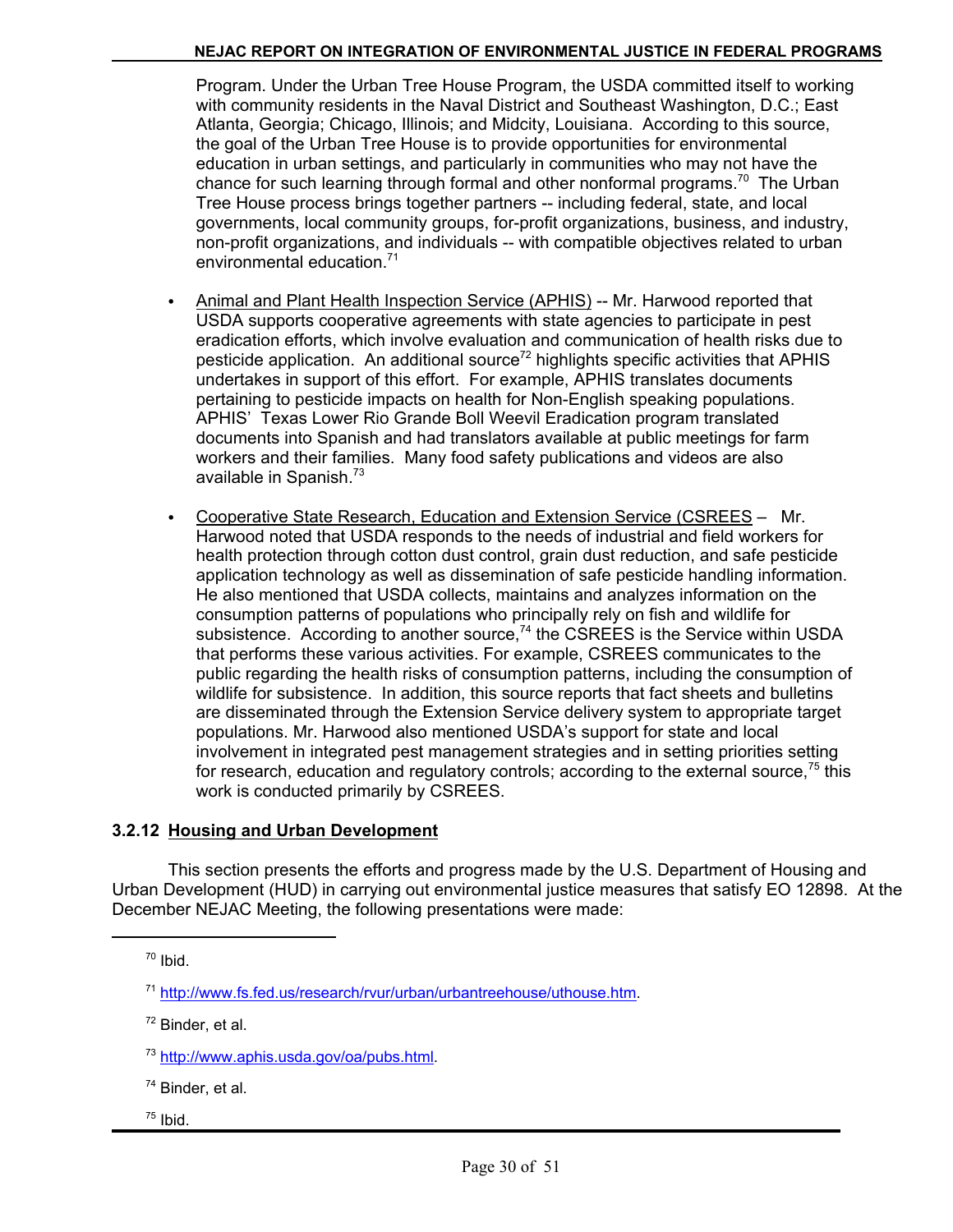Program. Under the Urban Tree House Program, the USDA committed itself to working with community residents in the Naval District and Southeast Washington, D.C.; East Atlanta, Georgia; Chicago, Illinois; and Midcity, Louisiana. According to this source, the goal of the Urban Tree House is to provide opportunities for environmental education in urban settings, and particularly in communities who may not have the chance for such learning through formal and other nonformal programs.<sup>70</sup> The Urban Tree House process brings together partners -- including federal, state, and local governments, local community groups, for-profit organizations, business, and industry, non-profit organizations, and individuals -- with compatible objectives related to urban environmental education.<sup>71</sup>

- C Animal and Plant Health Inspection Service (APHIS) -- Mr. Harwood reported that USDA supports cooperative agreements with state agencies to participate in pest eradication efforts, which involve evaluation and communication of health risks due to pesticide application. An additional source<sup>72</sup> highlights specific activities that APHIS undertakes in support of this effort. For example, APHIS translates documents pertaining to pesticide impacts on health for Non-English speaking populations. APHIS' Texas Lower Rio Grande Boll Weevil Eradication program translated documents into Spanish and had translators available at public meetings for farm workers and their families. Many food safety publications and videos are also available in Spanish. $73$
- Cooperative State Research, Education and Extension Service (CSREES Mr. Harwood noted that USDA responds to the needs of industrial and field workers for health protection through cotton dust control, grain dust reduction, and safe pesticide application technology as well as dissemination of safe pesticide handling information. He also mentioned that USDA collects, maintains and analyzes information on the consumption patterns of populations who principally rely on fish and wildlife for subsistence. According to another source, $74$  the CSREES is the Service within USDA that performs these various activities. For example, CSREES communicates to the public regarding the health risks of consumption patterns, including the consumption of wildlife for subsistence. In addition, this source reports that fact sheets and bulletins are disseminated through the Extension Service delivery system to appropriate target populations. Mr. Harwood also mentioned USDA's support for state and local involvement in integrated pest management strategies and in setting priorities setting for research, education and regulatory controls; according to the external source,  $75$  this work is conducted primarily by CSREES.

#### **3.2.12 Housing and Urban Development**

This section presents the efforts and progress made by the U.S. Department of Housing and Urban Development (HUD) in carrying out environmental justice measures that satisfy EO 12898. At the December NEJAC Meeting, the following presentations were made:

 $72$  Binder, et al.

 $75$  Ibid.

<sup>70</sup> Ibid.

<sup>71</sup> http://www.fs.fed.us/research/rvur/urban/urbantreehouse/uthouse.htm.

<sup>73</sup> http://www.aphis.usda.gov/oa/pubs.html.

<sup>74</sup> Binder, et al.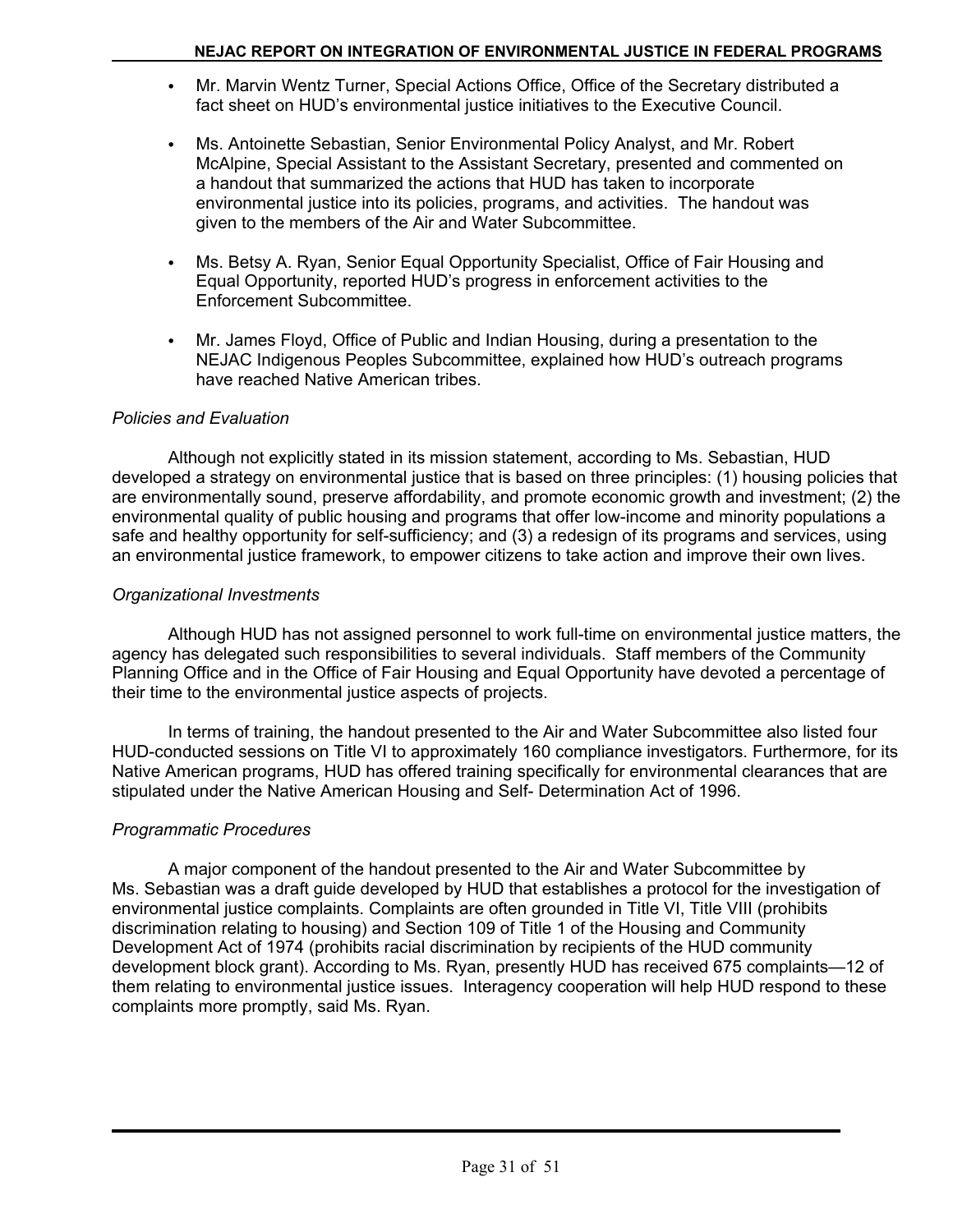- Mr. Marvin Wentz Turner, Special Actions Office, Office of the Secretary distributed a fact sheet on HUD's environmental justice initiatives to the Executive Council.
- Ms. Antoinette Sebastian, Senior Environmental Policy Analyst, and Mr. Robert McAlpine, Special Assistant to the Assistant Secretary, presented and commented on a handout that summarized the actions that HUD has taken to incorporate environmental justice into its policies, programs, and activities. The handout was given to the members of the Air and Water Subcommittee.
- Ms. Betsy A. Ryan, Senior Equal Opportunity Specialist, Office of Fair Housing and Equal Opportunity, reported HUD's progress in enforcement activities to the Enforcement Subcommittee.
- Mr. James Floyd, Office of Public and Indian Housing, during a presentation to the NEJAC Indigenous Peoples Subcommittee, explained how HUD's outreach programs have reached Native American tribes.

#### *Policies and Evaluation*

Although not explicitly stated in its mission statement, according to Ms. Sebastian, HUD developed a strategy on environmental justice that is based on three principles: (1) housing policies that are environmentally sound, preserve affordability, and promote economic growth and investment; (2) the environmental quality of public housing and programs that offer low-income and minority populations a safe and healthy opportunity for self-sufficiency; and (3) a redesign of its programs and services, using an environmental justice framework, to empower citizens to take action and improve their own lives.

### *Organizational Investments*

Although HUD has not assigned personnel to work full-time on environmental justice matters, the agency has delegated such responsibilities to several individuals. Staff members of the Community Planning Office and in the Office of Fair Housing and Equal Opportunity have devoted a percentage of their time to the environmental justice aspects of projects.

In terms of training, the handout presented to the Air and Water Subcommittee also listed four HUD-conducted sessions on Title VI to approximately 160 compliance investigators. Furthermore, for its Native American programs, HUD has offered training specifically for environmental clearances that are stipulated under the Native American Housing and Self- Determination Act of 1996.

## *Programmatic Procedures*

A major component of the handout presented to the Air and Water Subcommittee by Ms. Sebastian was a draft guide developed by HUD that establishes a protocol for the investigation of environmental justice complaints. Complaints are often grounded in Title VI, Title VIII (prohibits discrimination relating to housing) and Section 109 of Title 1 of the Housing and Community Development Act of 1974 (prohibits racial discrimination by recipients of the HUD community development block grant). According to Ms. Ryan, presently HUD has received 675 complaints—12 of them relating to environmental justice issues. Interagency cooperation will help HUD respond to these complaints more promptly, said Ms. Ryan.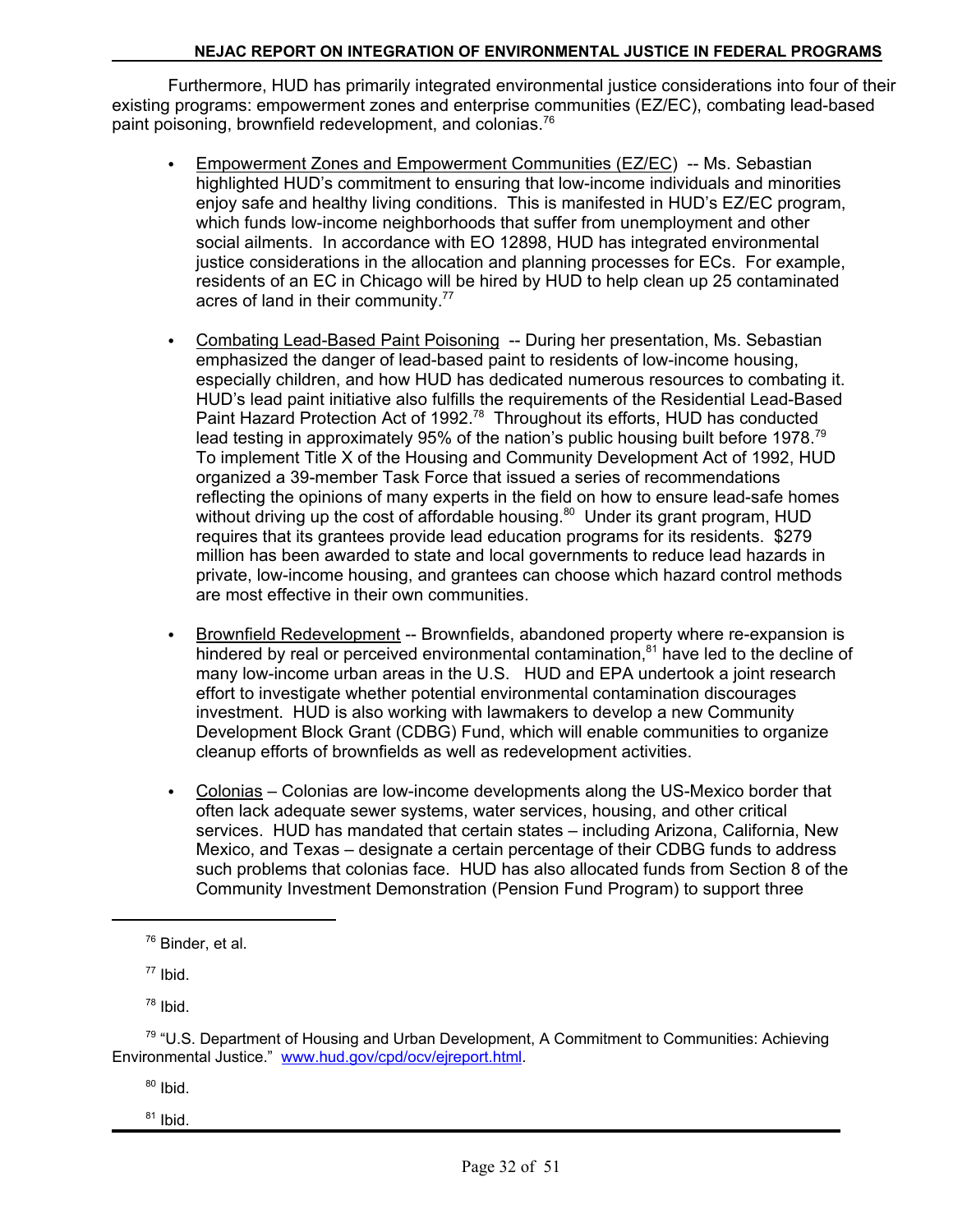Furthermore, HUD has primarily integrated environmental justice considerations into four of their existing programs: empowerment zones and enterprise communities (EZ/EC), combating lead-based paint poisoning, brownfield redevelopment, and colonias.<sup>76</sup>

- Empowerment Zones and Empowerment Communities (EZ/EC) -- Ms. Sebastian highlighted HUD's commitment to ensuring that low-income individuals and minorities enjoy safe and healthy living conditions. This is manifested in HUD's EZ/EC program, which funds low-income neighborhoods that suffer from unemployment and other social ailments. In accordance with EO 12898, HUD has integrated environmental justice considerations in the allocation and planning processes for ECs. For example, residents of an EC in Chicago will be hired by HUD to help clean up 25 contaminated acres of land in their community.<sup>77</sup>
- Combating Lead-Based Paint Poisoning -- During her presentation, Ms. Sebastian emphasized the danger of lead-based paint to residents of low-income housing, especially children, and how HUD has dedicated numerous resources to combating it. HUD's lead paint initiative also fulfills the requirements of the Residential Lead-Based Paint Hazard Protection Act of 1992.78 Throughout its efforts, HUD has conducted lead testing in approximately 95% of the nation's public housing built before 1978.79 To implement Title X of the Housing and Community Development Act of 1992, HUD organized a 39-member Task Force that issued a series of recommendations reflecting the opinions of many experts in the field on how to ensure lead-safe homes without driving up the cost of affordable housing.<sup>80</sup> Under its grant program, HUD requires that its grantees provide lead education programs for its residents. \$279 million has been awarded to state and local governments to reduce lead hazards in private, low-income housing, and grantees can choose which hazard control methods are most effective in their own communities.
- Brownfield Redevelopment -- Brownfields, abandoned property where re-expansion is hindered by real or perceived environmental contamination, $81$  have led to the decline of many low-income urban areas in the U.S. HUD and EPA undertook a joint research effort to investigate whether potential environmental contamination discourages investment. HUD is also working with lawmakers to develop a new Community Development Block Grant (CDBG) Fund, which will enable communities to organize cleanup efforts of brownfields as well as redevelopment activities.
- Colonias Colonias are low-income developments along the US-Mexico border that often lack adequate sewer systems, water services, housing, and other critical services. HUD has mandated that certain states – including Arizona, California, New Mexico, and Texas – designate a certain percentage of their CDBG funds to address such problems that colonias face. HUD has also allocated funds from Section 8 of the Community Investment Demonstration (Pension Fund Program) to support three

 $77$  Ibid.

78 Ibid.

<sup>80</sup> Ibid.

 $81$  Ibid.

<sup>76</sup> Binder, et al.

<sup>&</sup>lt;sup>79</sup> "U.S. Department of Housing and Urban Development, A Commitment to Communities: Achieving Environmental Justice." www.hud.gov/cpd/ocv/ejreport.html.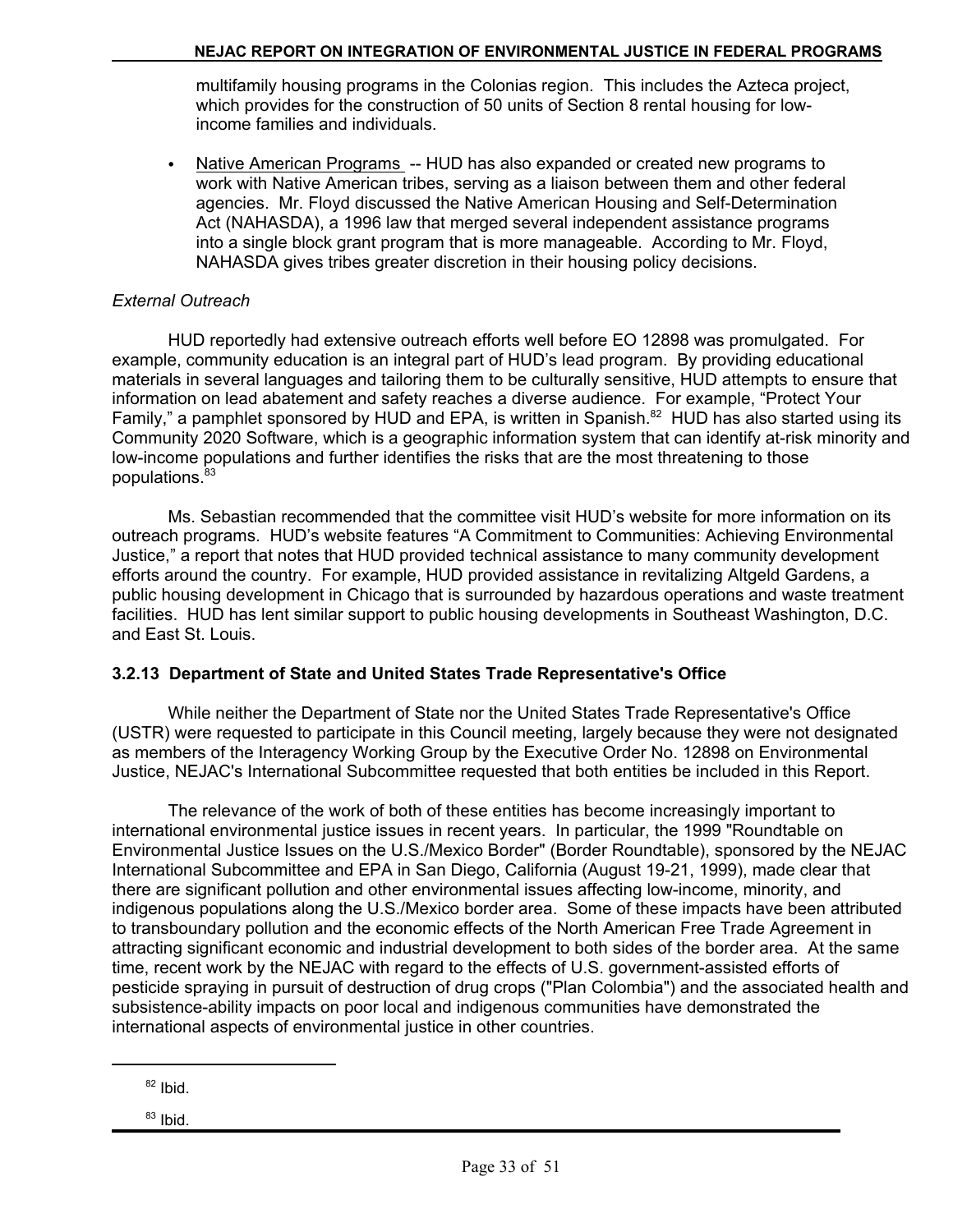multifamily housing programs in the Colonias region. This includes the Azteca project, which provides for the construction of 50 units of Section 8 rental housing for lowincome families and individuals.

• Native American Programs -- HUD has also expanded or created new programs to work with Native American tribes, serving as a liaison between them and other federal agencies. Mr. Floyd discussed the Native American Housing and Self-Determination Act (NAHASDA), a 1996 law that merged several independent assistance programs into a single block grant program that is more manageable. According to Mr. Floyd, NAHASDA gives tribes greater discretion in their housing policy decisions.

## *External Outreach*

HUD reportedly had extensive outreach efforts well before EO 12898 was promulgated. For example, community education is an integral part of HUD's lead program. By providing educational materials in several languages and tailoring them to be culturally sensitive, HUD attempts to ensure that information on lead abatement and safety reaches a diverse audience. For example, "Protect Your Family," a pamphlet sponsored by HUD and EPA, is written in Spanish.<sup>82</sup> HUD has also started using its Community 2020 Software, which is a geographic information system that can identify at-risk minority and low-income populations and further identifies the risks that are the most threatening to those populations.<sup>83</sup>

Ms. Sebastian recommended that the committee visit HUD's website for more information on its outreach programs. HUD's website features "A Commitment to Communities: Achieving Environmental Justice," a report that notes that HUD provided technical assistance to many community development efforts around the country. For example, HUD provided assistance in revitalizing Altgeld Gardens, a public housing development in Chicago that is surrounded by hazardous operations and waste treatment facilities. HUD has lent similar support to public housing developments in Southeast Washington, D.C. and East St. Louis.

## **3.2.13 Department of State and United States Trade Representative's Office**

While neither the Department of State nor the United States Trade Representative's Office (USTR) were requested to participate in this Council meeting, largely because they were not designated as members of the Interagency Working Group by the Executive Order No. 12898 on Environmental Justice, NEJAC's International Subcommittee requested that both entities be included in this Report.

The relevance of the work of both of these entities has become increasingly important to international environmental justice issues in recent years. In particular, the 1999 "Roundtable on Environmental Justice Issues on the U.S./Mexico Border" (Border Roundtable), sponsored by the NEJAC International Subcommittee and EPA in San Diego, California (August 19-21, 1999), made clear that there are significant pollution and other environmental issues affecting low-income, minority, and indigenous populations along the U.S./Mexico border area. Some of these impacts have been attributed to transboundary pollution and the economic effects of the North American Free Trade Agreement in attracting significant economic and industrial development to both sides of the border area. At the same time, recent work by the NEJAC with regard to the effects of U.S. government-assisted efforts of pesticide spraying in pursuit of destruction of drug crops ("Plan Colombia") and the associated health and subsistence-ability impacts on poor local and indigenous communities have demonstrated the international aspects of environmental justice in other countries.

 $82$  Ibid.

 $83$  Ibid.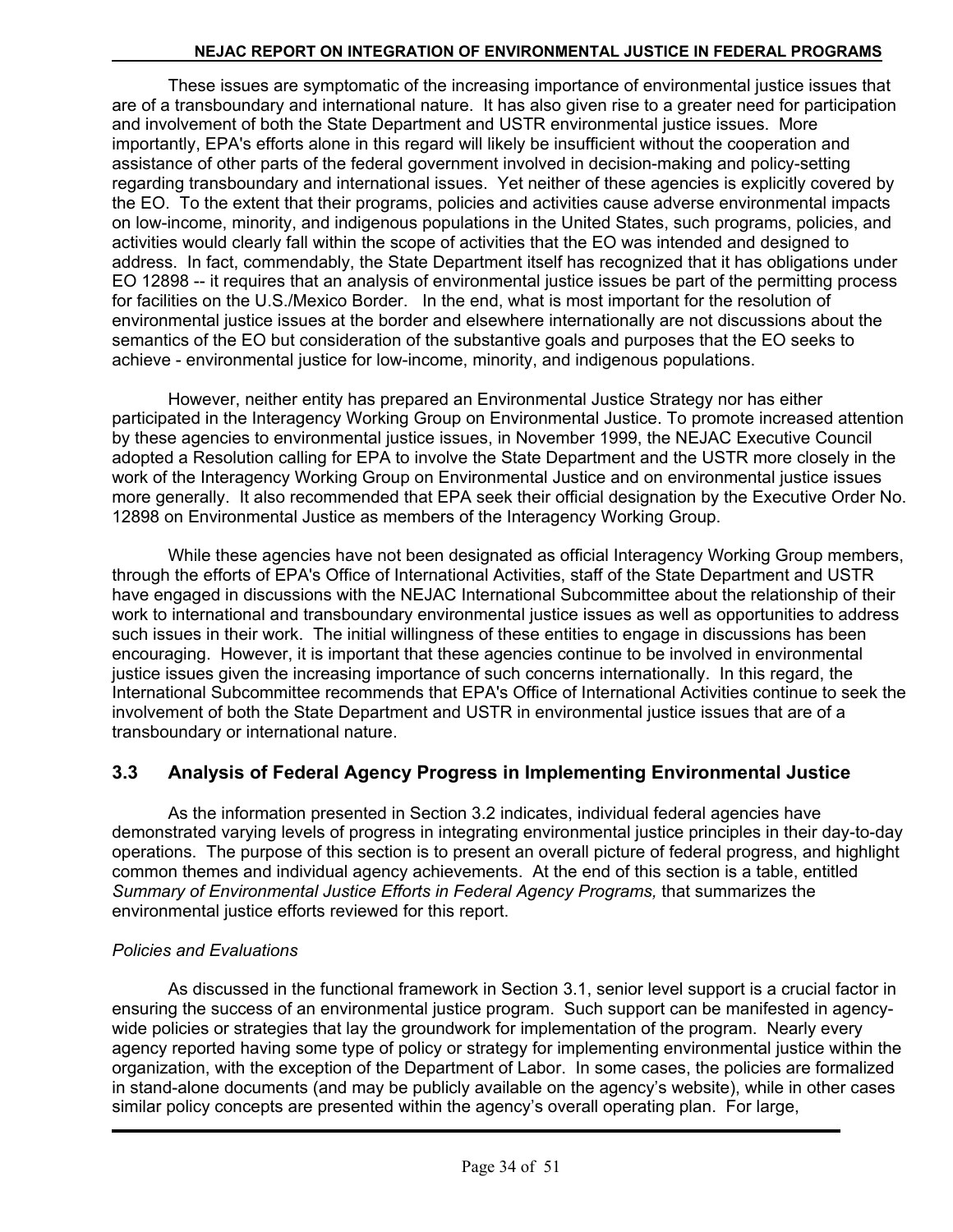These issues are symptomatic of the increasing importance of environmental justice issues that are of a transboundary and international nature. It has also given rise to a greater need for participation and involvement of both the State Department and USTR environmental justice issues. More importantly, EPA's efforts alone in this regard will likely be insufficient without the cooperation and assistance of other parts of the federal government involved in decision-making and policy-setting regarding transboundary and international issues. Yet neither of these agencies is explicitly covered by the EO. To the extent that their programs, policies and activities cause adverse environmental impacts on low-income, minority, and indigenous populations in the United States, such programs, policies, and activities would clearly fall within the scope of activities that the EO was intended and designed to address. In fact, commendably, the State Department itself has recognized that it has obligations under EO 12898 -- it requires that an analysis of environmental justice issues be part of the permitting process for facilities on the U.S./Mexico Border. In the end, what is most important for the resolution of environmental justice issues at the border and elsewhere internationally are not discussions about the semantics of the EO but consideration of the substantive goals and purposes that the EO seeks to achieve - environmental justice for low-income, minority, and indigenous populations.

However, neither entity has prepared an Environmental Justice Strategy nor has either participated in the Interagency Working Group on Environmental Justice. To promote increased attention by these agencies to environmental justice issues, in November 1999, the NEJAC Executive Council adopted a Resolution calling for EPA to involve the State Department and the USTR more closely in the work of the Interagency Working Group on Environmental Justice and on environmental justice issues more generally. It also recommended that EPA seek their official designation by the Executive Order No. 12898 on Environmental Justice as members of the Interagency Working Group.

While these agencies have not been designated as official Interagency Working Group members, through the efforts of EPA's Office of International Activities, staff of the State Department and USTR have engaged in discussions with the NEJAC International Subcommittee about the relationship of their work to international and transboundary environmental justice issues as well as opportunities to address such issues in their work. The initial willingness of these entities to engage in discussions has been encouraging. However, it is important that these agencies continue to be involved in environmental justice issues given the increasing importance of such concerns internationally. In this regard, the International Subcommittee recommends that EPA's Office of International Activities continue to seek the involvement of both the State Department and USTR in environmental justice issues that are of a transboundary or international nature.

## **3.3 Analysis of Federal Agency Progress in Implementing Environmental Justice**

As the information presented in Section 3.2 indicates, individual federal agencies have demonstrated varying levels of progress in integrating environmental justice principles in their day-to-day operations. The purpose of this section is to present an overall picture of federal progress, and highlight common themes and individual agency achievements. At the end of this section is a table, entitled *Summary of Environmental Justice Efforts in Federal Agency Programs,* that summarizes the environmental justice efforts reviewed for this report.

#### *Policies and Evaluations*

As discussed in the functional framework in Section 3.1, senior level support is a crucial factor in ensuring the success of an environmental justice program. Such support can be manifested in agencywide policies or strategies that lay the groundwork for implementation of the program. Nearly every agency reported having some type of policy or strategy for implementing environmental justice within the organization, with the exception of the Department of Labor. In some cases, the policies are formalized in stand-alone documents (and may be publicly available on the agency's website), while in other cases similar policy concepts are presented within the agency's overall operating plan. For large,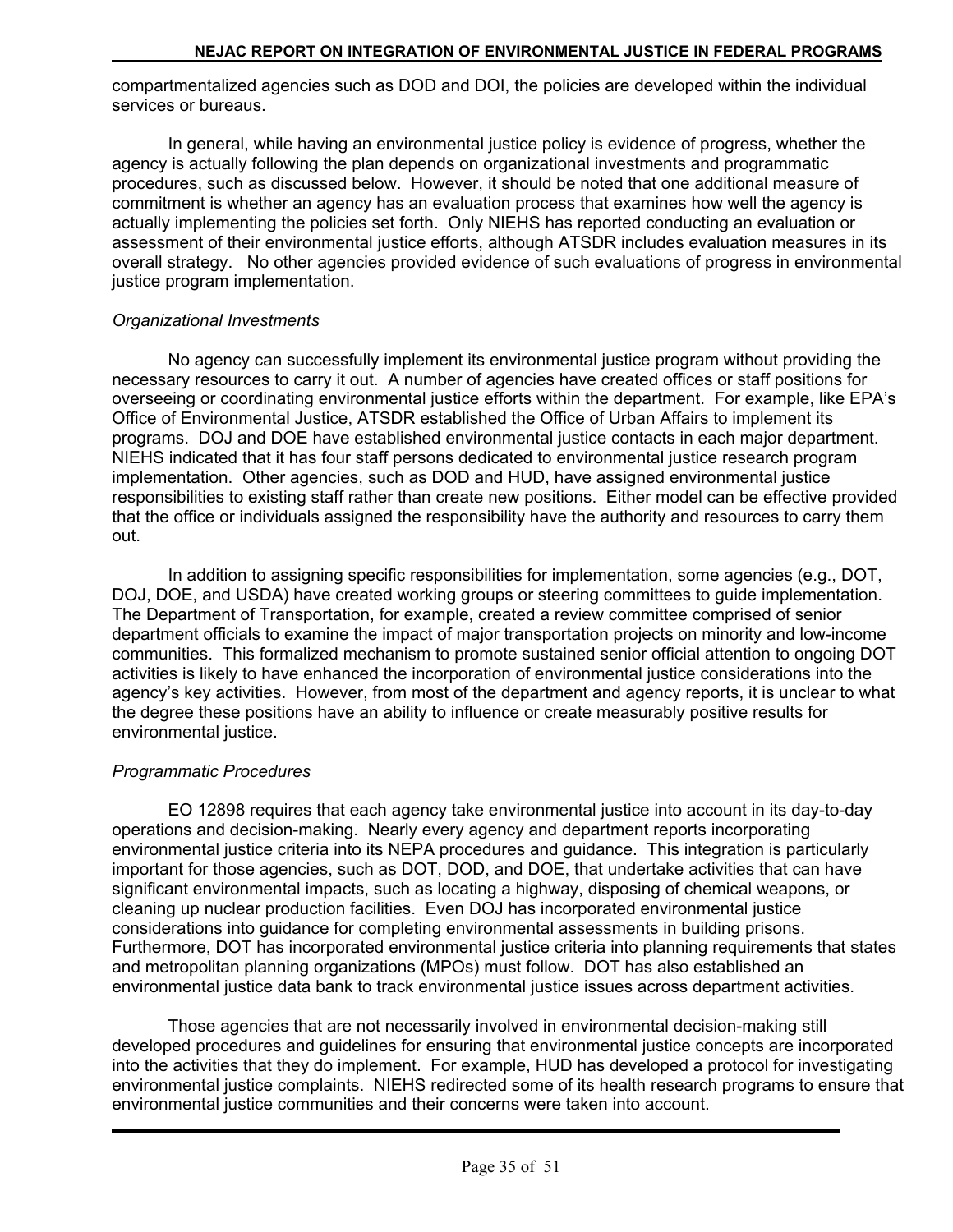compartmentalized agencies such as DOD and DOI, the policies are developed within the individual services or bureaus.

In general, while having an environmental justice policy is evidence of progress, whether the agency is actually following the plan depends on organizational investments and programmatic procedures, such as discussed below. However, it should be noted that one additional measure of commitment is whether an agency has an evaluation process that examines how well the agency is actually implementing the policies set forth. Only NIEHS has reported conducting an evaluation or assessment of their environmental justice efforts, although ATSDR includes evaluation measures in its overall strategy. No other agencies provided evidence of such evaluations of progress in environmental justice program implementation.

## *Organizational Investments*

No agency can successfully implement its environmental justice program without providing the necessary resources to carry it out. A number of agencies have created offices or staff positions for overseeing or coordinating environmental justice efforts within the department. For example, like EPA's Office of Environmental Justice, ATSDR established the Office of Urban Affairs to implement its programs. DOJ and DOE have established environmental justice contacts in each major department. NIEHS indicated that it has four staff persons dedicated to environmental justice research program implementation. Other agencies, such as DOD and HUD, have assigned environmental justice responsibilities to existing staff rather than create new positions. Either model can be effective provided that the office or individuals assigned the responsibility have the authority and resources to carry them out.

In addition to assigning specific responsibilities for implementation, some agencies (e.g., DOT, DOJ, DOE, and USDA) have created working groups or steering committees to guide implementation. The Department of Transportation, for example, created a review committee comprised of senior department officials to examine the impact of major transportation projects on minority and low-income communities. This formalized mechanism to promote sustained senior official attention to ongoing DOT activities is likely to have enhanced the incorporation of environmental justice considerations into the agency's key activities. However, from most of the department and agency reports, it is unclear to what the degree these positions have an ability to influence or create measurably positive results for environmental justice.

## *Programmatic Procedures*

EO 12898 requires that each agency take environmental justice into account in its day-to-day operations and decision-making. Nearly every agency and department reports incorporating environmental justice criteria into its NEPA procedures and guidance. This integration is particularly important for those agencies, such as DOT, DOD, and DOE, that undertake activities that can have significant environmental impacts, such as locating a highway, disposing of chemical weapons, or cleaning up nuclear production facilities. Even DOJ has incorporated environmental justice considerations into guidance for completing environmental assessments in building prisons. Furthermore, DOT has incorporated environmental justice criteria into planning requirements that states and metropolitan planning organizations (MPOs) must follow. DOT has also established an environmental justice data bank to track environmental justice issues across department activities.

Those agencies that are not necessarily involved in environmental decision-making still developed procedures and guidelines for ensuring that environmental justice concepts are incorporated into the activities that they do implement. For example, HUD has developed a protocol for investigating environmental justice complaints. NIEHS redirected some of its health research programs to ensure that environmental justice communities and their concerns were taken into account.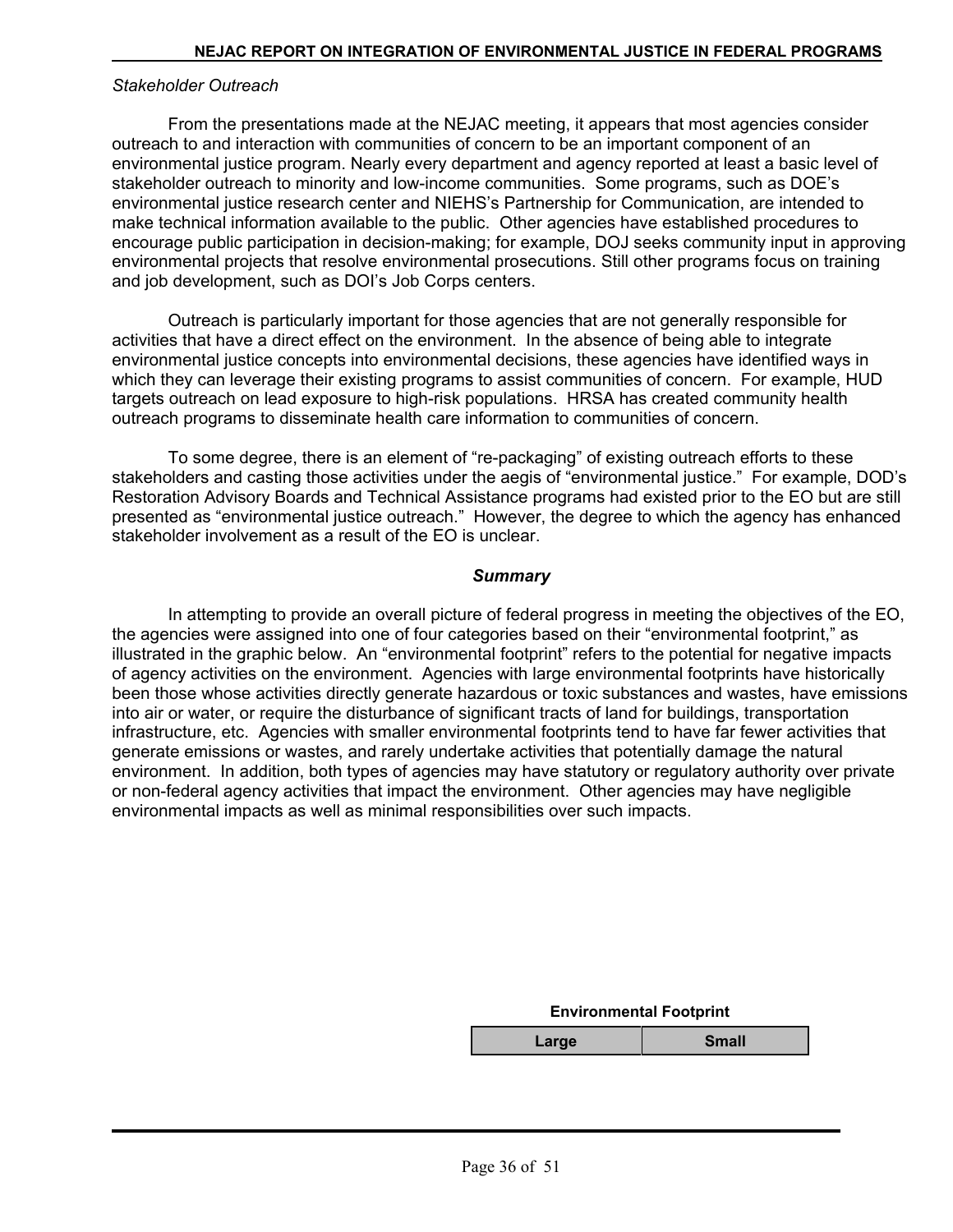#### *Stakeholder Outreach*

From the presentations made at the NEJAC meeting, it appears that most agencies consider outreach to and interaction with communities of concern to be an important component of an environmental justice program. Nearly every department and agency reported at least a basic level of stakeholder outreach to minority and low-income communities. Some programs, such as DOE's environmental justice research center and NIEHS's Partnership for Communication, are intended to make technical information available to the public. Other agencies have established procedures to encourage public participation in decision-making; for example, DOJ seeks community input in approving environmental projects that resolve environmental prosecutions. Still other programs focus on training and job development, such as DOI's Job Corps centers.

Outreach is particularly important for those agencies that are not generally responsible for activities that have a direct effect on the environment. In the absence of being able to integrate environmental justice concepts into environmental decisions, these agencies have identified ways in which they can leverage their existing programs to assist communities of concern. For example, HUD targets outreach on lead exposure to high-risk populations. HRSA has created community health outreach programs to disseminate health care information to communities of concern.

To some degree, there is an element of "re-packaging" of existing outreach efforts to these stakeholders and casting those activities under the aegis of "environmental justice." For example, DOD's Restoration Advisory Boards and Technical Assistance programs had existed prior to the EO but are still presented as "environmental justice outreach." However, the degree to which the agency has enhanced stakeholder involvement as a result of the EO is unclear.

#### *Summary*

In attempting to provide an overall picture of federal progress in meeting the objectives of the EO, the agencies were assigned into one of four categories based on their "environmental footprint," as illustrated in the graphic below. An "environmental footprint" refers to the potential for negative impacts of agency activities on the environment. Agencies with large environmental footprints have historically been those whose activities directly generate hazardous or toxic substances and wastes, have emissions into air or water, or require the disturbance of significant tracts of land for buildings, transportation infrastructure, etc. Agencies with smaller environmental footprints tend to have far fewer activities that generate emissions or wastes, and rarely undertake activities that potentially damage the natural environment. In addition, both types of agencies may have statutory or regulatory authority over private or non-federal agency activities that impact the environment. Other agencies may have negligible environmental impacts as well as minimal responsibilities over such impacts.

| <b>Environmental Footprint</b> |       |  |  |
|--------------------------------|-------|--|--|
| Large                          | Small |  |  |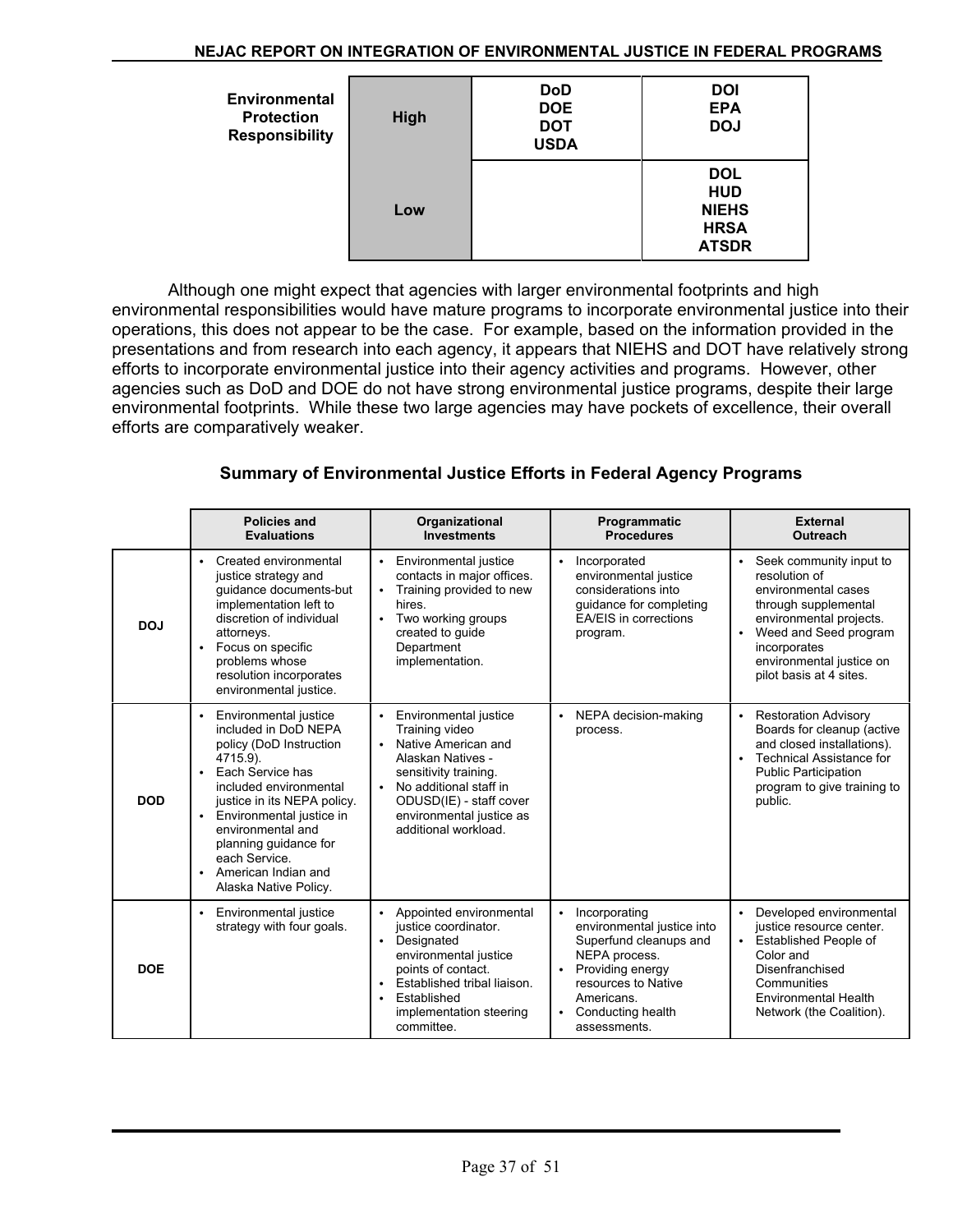| <b>Environmental</b><br><b>Protection</b><br><b>Responsibility</b> | High | <b>DoD</b><br><b>DOE</b><br><b>DOT</b><br><b>USDA</b> | <b>DOI</b><br><b>EPA</b><br><b>DOJ</b>                                  |
|--------------------------------------------------------------------|------|-------------------------------------------------------|-------------------------------------------------------------------------|
|                                                                    | Low  |                                                       | <b>DOL</b><br><b>HUD</b><br><b>NIEHS</b><br><b>HRSA</b><br><b>ATSDR</b> |

Although one might expect that agencies with larger environmental footprints and high environmental responsibilities would have mature programs to incorporate environmental justice into their operations, this does not appear to be the case. For example, based on the information provided in the presentations and from research into each agency, it appears that NIEHS and DOT have relatively strong efforts to incorporate environmental justice into their agency activities and programs. However, other agencies such as DoD and DOE do not have strong environmental justice programs, despite their large environmental footprints. While these two large agencies may have pockets of excellence, their overall efforts are comparatively weaker.

## **Summary of Environmental Justice Efforts in Federal Agency Programs**

|            | <b>Policies and</b><br><b>Evaluations</b>                                                                                                                                                                                                                                                                                                                        | Organizational<br><b>Investments</b>                                                                                                                                                                                                                         | Programmatic<br><b>Procedures</b>                                                                                                                                                                              | <b>External</b><br><b>Outreach</b>                                                                                                                                                                                            |
|------------|------------------------------------------------------------------------------------------------------------------------------------------------------------------------------------------------------------------------------------------------------------------------------------------------------------------------------------------------------------------|--------------------------------------------------------------------------------------------------------------------------------------------------------------------------------------------------------------------------------------------------------------|----------------------------------------------------------------------------------------------------------------------------------------------------------------------------------------------------------------|-------------------------------------------------------------------------------------------------------------------------------------------------------------------------------------------------------------------------------|
| DOJ        | Created environmental<br>$\bullet$<br>justice strategy and<br>guidance documents-but<br>implementation left to<br>discretion of individual<br>attorneys.<br>Focus on specific<br>$\bullet$<br>problems whose<br>resolution incorporates<br>environmental justice.                                                                                                | Environmental justice<br>$\bullet$<br>contacts in major offices.<br>Training provided to new<br>$\bullet$<br>hires.<br>Two working groups<br>$\bullet$<br>created to guide<br>Department<br>implementation.                                                  | Incorporated<br>$\bullet$<br>environmental justice<br>considerations into<br>guidance for completing<br><b>EA/EIS</b> in corrections<br>program.                                                               | Seek community input to<br>resolution of<br>environmental cases<br>through supplemental<br>environmental projects.<br>Weed and Seed program<br>incorporates<br>environmental justice on<br>pilot basis at 4 sites.            |
| <b>DOD</b> | Environmental justice<br>$\bullet$<br>included in DoD NEPA<br>policy (DoD Instruction<br>4715.9).<br>Each Service has<br>$\bullet$<br>included environmental<br>justice in its NEPA policy.<br>Environmental justice in<br>$\bullet$<br>environmental and<br>planning guidance for<br>each Service.<br>American Indian and<br>$\bullet$<br>Alaska Native Policy. | Environmental justice<br>$\bullet$<br>Training video<br>Native American and<br>$\bullet$<br>Alaskan Natives -<br>sensitivity training.<br>No additional staff in<br>$\bullet$<br>ODUSD(IE) - staff cover<br>environmental justice as<br>additional workload. | NEPA decision-making<br>$\bullet$<br>process.                                                                                                                                                                  | <b>Restoration Advisory</b><br>$\bullet$<br>Boards for cleanup (active<br>and closed installations).<br><b>Technical Assistance for</b><br>$\bullet$<br><b>Public Participation</b><br>program to give training to<br>public. |
| <b>DOE</b> | Environmental justice<br>$\bullet$<br>strategy with four goals.                                                                                                                                                                                                                                                                                                  | Appointed environmental<br>$\bullet$<br>justice coordinator.<br>Designated<br>environmental justice<br>points of contact.<br>Established tribal liaison.<br>Established<br>implementation steering<br>committee.                                             | Incorporating<br>$\bullet$<br>environmental justice into<br>Superfund cleanups and<br>NEPA process.<br>Providing energy<br>$\bullet$<br>resources to Native<br>Americans.<br>Conducting health<br>assessments. | Developed environmental<br>justice resource center.<br><b>Established People of</b><br>Color and<br>Disenfranchised<br>Communities<br><b>Environmental Health</b><br>Network (the Coalition).                                 |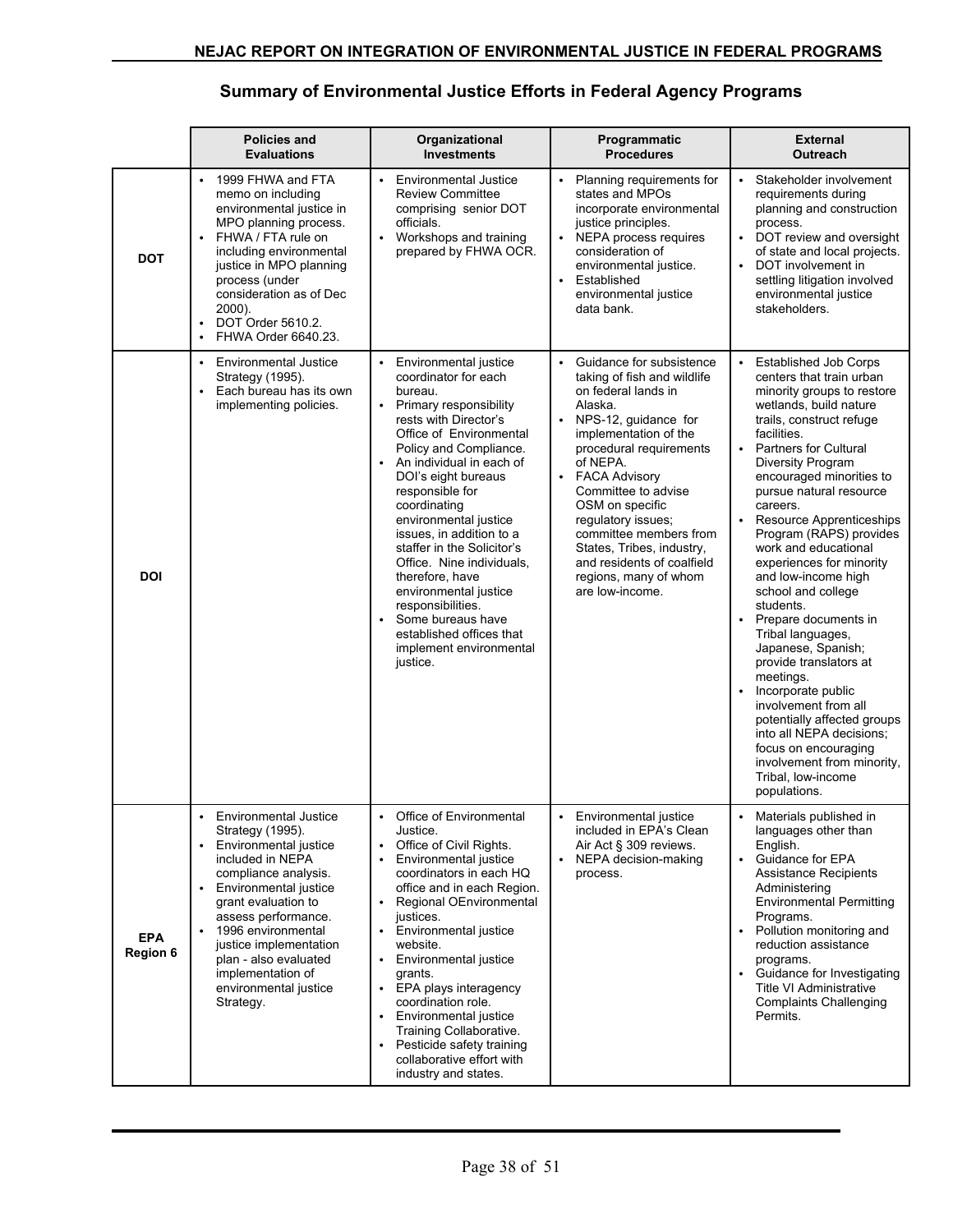## **Summary of Environmental Justice Efforts in Federal Agency Programs**

|                               | <b>Policies and</b><br><b>Evaluations</b>                                                                                                                                                                                                                                                                                                                                            | Organizational<br><b>Investments</b>                                                                                                                                                                                                                                                                                                                                                                                                                                                                                                                      | Programmatic<br><b>Procedures</b>                                                                                                                                                                                                                                                                                                                                                                                                    | <b>External</b><br>Outreach                                                                                                                                                                                                                                                                                                                                                                                                                                                                                                                                                                                                                                                                                                                                                                                    |
|-------------------------------|--------------------------------------------------------------------------------------------------------------------------------------------------------------------------------------------------------------------------------------------------------------------------------------------------------------------------------------------------------------------------------------|-----------------------------------------------------------------------------------------------------------------------------------------------------------------------------------------------------------------------------------------------------------------------------------------------------------------------------------------------------------------------------------------------------------------------------------------------------------------------------------------------------------------------------------------------------------|--------------------------------------------------------------------------------------------------------------------------------------------------------------------------------------------------------------------------------------------------------------------------------------------------------------------------------------------------------------------------------------------------------------------------------------|----------------------------------------------------------------------------------------------------------------------------------------------------------------------------------------------------------------------------------------------------------------------------------------------------------------------------------------------------------------------------------------------------------------------------------------------------------------------------------------------------------------------------------------------------------------------------------------------------------------------------------------------------------------------------------------------------------------------------------------------------------------------------------------------------------------|
| <b>DOT</b>                    | 1999 FHWA and FTA<br>memo on including<br>environmental justice in<br>MPO planning process.<br>FHWA / FTA rule on<br>$\bullet$<br>including environmental<br>justice in MPO planning<br>process (under<br>consideration as of Dec<br>2000).<br>DOT Order 5610.2.<br>$\bullet$<br>FHWA Order 6640.23.                                                                                 | <b>Environmental Justice</b><br><b>Review Committee</b><br>comprising senior DOT<br>officials.<br>Workshops and training<br>$\bullet$<br>prepared by FHWA OCR.                                                                                                                                                                                                                                                                                                                                                                                            | Planning requirements for<br>states and MPOs<br>incorporate environmental<br>justice principles.<br>• NEPA process requires<br>consideration of<br>environmental justice.<br>Established<br>$\bullet$<br>environmental justice<br>data bank.                                                                                                                                                                                         | Stakeholder involvement<br>requirements during<br>planning and construction<br>process.<br>DOT review and oversight<br>$\bullet$<br>of state and local projects.<br>DOT involvement in<br>settling litigation involved<br>environmental justice<br>stakeholders.                                                                                                                                                                                                                                                                                                                                                                                                                                                                                                                                               |
| <b>DOI</b>                    | <b>Environmental Justice</b><br>$\bullet$<br>Strategy (1995).<br>$\bullet$<br>Each bureau has its own<br>implementing policies.                                                                                                                                                                                                                                                      | Environmental justice<br>coordinator for each<br>bureau.<br>Primary responsibility<br>$\bullet$<br>rests with Director's<br>Office of Environmental<br>Policy and Compliance.<br>An individual in each of<br>DOI's eight bureaus<br>responsible for<br>coordinating<br>environmental justice<br>issues, in addition to a<br>staffer in the Solicitor's<br>Office. Nine individuals,<br>therefore, have<br>environmental justice<br>responsibilities.<br>Some bureaus have<br>$\bullet$<br>established offices that<br>implement environmental<br>justice. | Guidance for subsistence<br>$\bullet$<br>taking of fish and wildlife<br>on federal lands in<br>Alaska.<br>NPS-12, guidance for<br>$\bullet$<br>implementation of the<br>procedural requirements<br>of NEPA.<br><b>FACA Advisory</b><br>Committee to advise<br>OSM on specific<br>regulatory issues;<br>committee members from<br>States, Tribes, industry,<br>and residents of coalfield<br>regions, many of whom<br>are low-income. | <b>Established Job Corps</b><br>centers that train urban<br>minority groups to restore<br>wetlands, build nature<br>trails, construct refuge<br>facilities.<br><b>Partners for Cultural</b><br>$\bullet$<br>Diversity Program<br>encouraged minorities to<br>pursue natural resource<br>careers.<br>Resource Apprenticeships<br>$\bullet$<br>Program (RAPS) provides<br>work and educational<br>experiences for minority<br>and low-income high<br>school and college<br>students.<br>Prepare documents in<br>$\bullet$<br>Tribal languages,<br>Japanese, Spanish;<br>provide translators at<br>meetings.<br>Incorporate public<br>involvement from all<br>potentially affected groups<br>into all NEPA decisions:<br>focus on encouraging<br>involvement from minority,<br>Tribal, low-income<br>populations. |
| <b>EPA</b><br><b>Region 6</b> | <b>Environmental Justice</b><br>$\bullet$<br>Strategy (1995).<br>Environmental justice<br>$\bullet$<br>included in NEPA<br>compliance analysis.<br>Environmental justice<br>$\bullet$<br>grant evaluation to<br>assess performance.<br>1996 environmental<br>$\bullet$<br>justice implementation<br>plan - also evaluated<br>implementation of<br>environmental justice<br>Strategy. | Office of Environmental<br>$\bullet$<br>Justice.<br>Office of Civil Rights.<br>$\bullet$<br>Environmental justice<br>coordinators in each HQ<br>office and in each Region.<br>Regional OEnvironmental<br>$\bullet$<br>justices.<br>Environmental justice<br>$\bullet$<br>website.<br>Environmental justice<br>$\bullet$<br>grants.<br>EPA plays interagency<br>$\bullet$<br>coordination role.<br>Environmental justice<br>$\bullet$<br>Training Collaborative.<br>Pesticide safety training<br>collaborative effort with<br>industry and states.         | Environmental justice<br>$\bullet$<br>included in EPA's Clean<br>Air Act § 309 reviews.<br>NEPA decision-making<br>process.                                                                                                                                                                                                                                                                                                          | Materials published in<br>$\bullet$<br>languages other than<br>English.<br>Guidance for EPA<br>Assistance Recipients<br>Administering<br><b>Environmental Permitting</b><br>Programs.<br>Pollution monitoring and<br>reduction assistance<br>programs.<br>Guidance for Investigating<br>Title VI Administrative<br><b>Complaints Challenging</b><br>Permits.                                                                                                                                                                                                                                                                                                                                                                                                                                                   |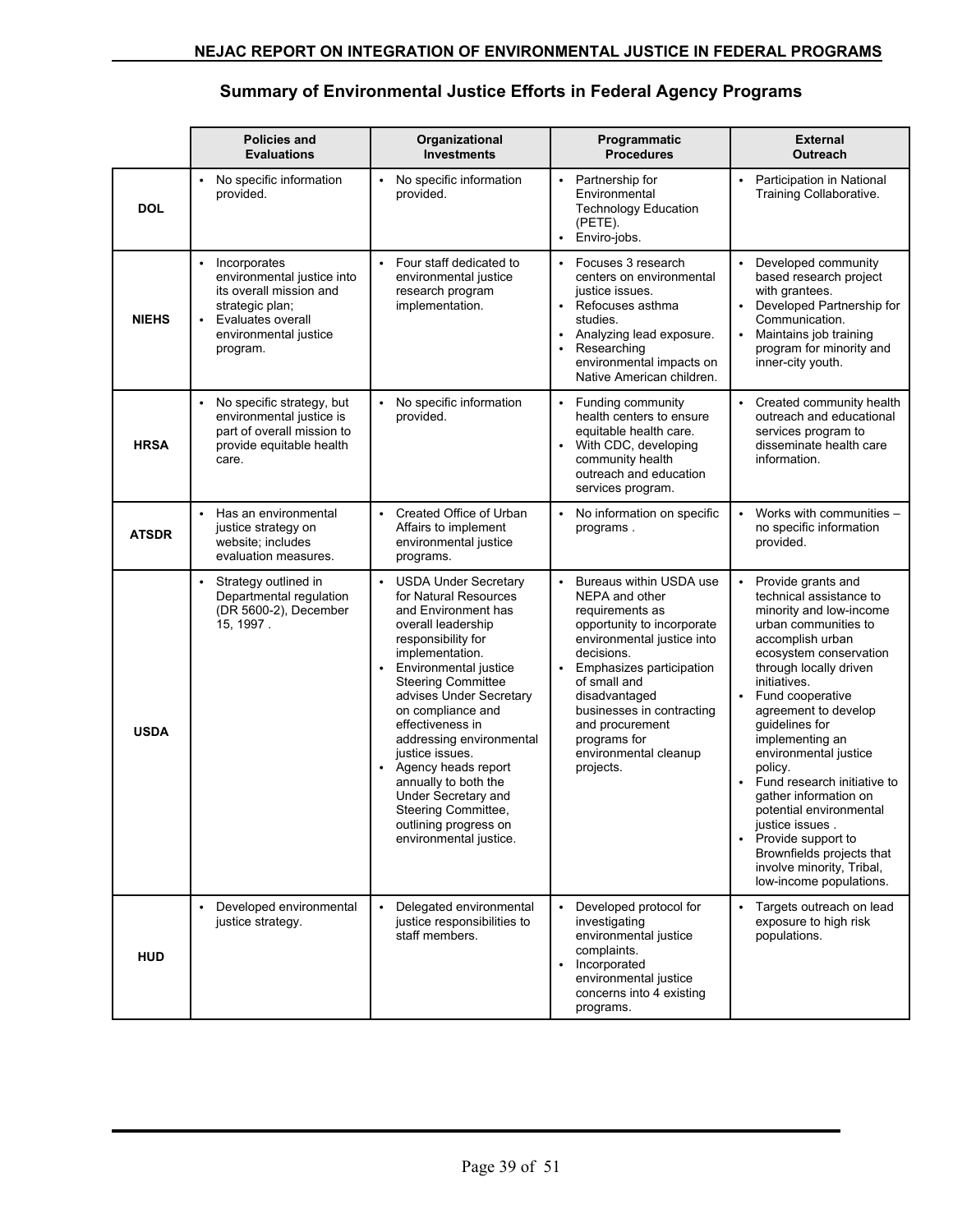## **Summary of Environmental Justice Efforts in Federal Agency Programs**

|              | <b>Policies and</b><br><b>Evaluations</b>                                                                                                                       | Organizational<br><b>Investments</b>                                                                                                                                                                                                                                                                                                                                                                                                                                                          | Programmatic<br><b>Procedures</b>                                                                                                                                                                                                                                                                                                   | <b>External</b><br><b>Outreach</b>                                                                                                                                                                                                                                                                                                                                                                                                                                                                                                                         |
|--------------|-----------------------------------------------------------------------------------------------------------------------------------------------------------------|-----------------------------------------------------------------------------------------------------------------------------------------------------------------------------------------------------------------------------------------------------------------------------------------------------------------------------------------------------------------------------------------------------------------------------------------------------------------------------------------------|-------------------------------------------------------------------------------------------------------------------------------------------------------------------------------------------------------------------------------------------------------------------------------------------------------------------------------------|------------------------------------------------------------------------------------------------------------------------------------------------------------------------------------------------------------------------------------------------------------------------------------------------------------------------------------------------------------------------------------------------------------------------------------------------------------------------------------------------------------------------------------------------------------|
| <b>DOL</b>   | No specific information<br>provided.                                                                                                                            | No specific information<br>$\bullet$<br>provided.                                                                                                                                                                                                                                                                                                                                                                                                                                             | Partnership for<br>$\bullet$<br>Environmental<br><b>Technology Education</b><br>(PETE).<br>• Enviro-jobs.                                                                                                                                                                                                                           | Participation in National<br>$\bullet$<br>Training Collaborative.                                                                                                                                                                                                                                                                                                                                                                                                                                                                                          |
| <b>NIEHS</b> | Incorporates<br>environmental justice into<br>its overall mission and<br>strategic plan;<br>Evaluates overall<br>$\bullet$<br>environmental justice<br>program. | Four staff dedicated to<br>$\bullet$<br>environmental justice<br>research program<br>implementation.                                                                                                                                                                                                                                                                                                                                                                                          | • Focuses 3 research<br>centers on environmental<br>justice issues.<br>$\bullet$<br>Refocuses asthma<br>studies.<br>Analyzing lead exposure.<br>Researching<br>$\bullet$<br>environmental impacts on<br>Native American children.                                                                                                   | • Developed community<br>based research project<br>with grantees.<br>Developed Partnership for<br>$\bullet$<br>Communication.<br>Maintains job training<br>$\bullet$<br>program for minority and<br>inner-city youth.                                                                                                                                                                                                                                                                                                                                      |
| <b>HRSA</b>  | No specific strategy, but<br>environmental justice is<br>part of overall mission to<br>provide equitable health<br>care.                                        | No specific information<br>provided.                                                                                                                                                                                                                                                                                                                                                                                                                                                          | Funding community<br>$\bullet$<br>health centers to ensure<br>equitable health care.<br>With CDC, developing<br>$\bullet$<br>community health<br>outreach and education<br>services program.                                                                                                                                        | Created community health<br>outreach and educational<br>services program to<br>disseminate health care<br>information.                                                                                                                                                                                                                                                                                                                                                                                                                                     |
| <b>ATSDR</b> | Has an environmental<br>justice strategy on<br>website; includes<br>evaluation measures.                                                                        | Created Office of Urban<br>$\bullet$<br>Affairs to implement<br>environmental justice<br>programs.                                                                                                                                                                                                                                                                                                                                                                                            | No information on specific<br>$\bullet$<br>programs.                                                                                                                                                                                                                                                                                | Works with communities -<br>$\bullet$<br>no specific information<br>provided.                                                                                                                                                                                                                                                                                                                                                                                                                                                                              |
| <b>USDA</b>  | Strategy outlined in<br>Departmental regulation<br>(DR 5600-2), December<br>15, 1997.                                                                           | <b>USDA Under Secretary</b><br>$\bullet$<br>for Natural Resources<br>and Environment has<br>overall leadership<br>responsibility for<br>implementation.<br>Environmental justice<br>$\bullet$<br><b>Steering Committee</b><br>advises Under Secretary<br>on compliance and<br>effectiveness in<br>addressing environmental<br>justice issues.<br>Agency heads report<br>annually to both the<br>Under Secretary and<br>Steering Committee,<br>outlining progress on<br>environmental justice. | Bureaus within USDA use<br>$\bullet$<br>NEPA and other<br>requirements as<br>opportunity to incorporate<br>environmental justice into<br>decisions.<br>Emphasizes participation<br>$\bullet$<br>of small and<br>disadvantaged<br>businesses in contracting<br>and procurement<br>programs for<br>environmental cleanup<br>projects. | Provide grants and<br>technical assistance to<br>minority and low-income<br>urban communities to<br>accomplish urban<br>ecosystem conservation<br>through locally driven<br>initiatives.<br>Fund cooperative<br>$\bullet$<br>agreement to develop<br>guidelines for<br>implementing an<br>environmental justice<br>policy.<br>Fund research initiative to<br>$\bullet$<br>gather information on<br>potential environmental<br>justice issues.<br>• Provide support to<br>Brownfields projects that<br>involve minority, Tribal,<br>low-income populations. |
| <b>HUD</b>   | Developed environmental<br>justice strategy.                                                                                                                    | Delegated environmental<br>justice responsibilities to<br>staff members.                                                                                                                                                                                                                                                                                                                                                                                                                      | Developed protocol for<br>investigating<br>environmental justice<br>complaints.<br>Incorporated<br>$\bullet$<br>environmental justice<br>concerns into 4 existing<br>programs.                                                                                                                                                      | Targets outreach on lead<br>exposure to high risk<br>populations.                                                                                                                                                                                                                                                                                                                                                                                                                                                                                          |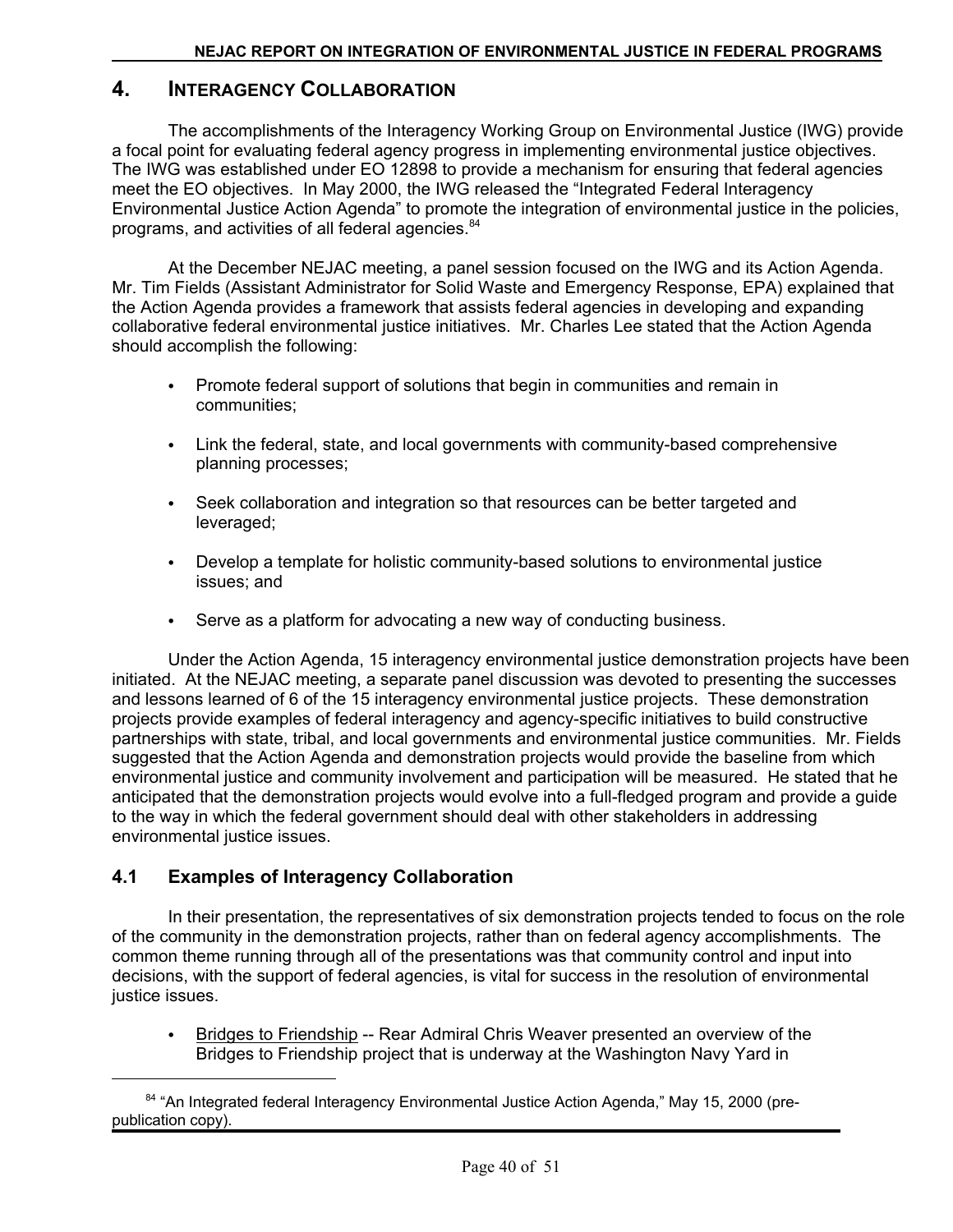## **4. INTERAGENCY COLLABORATION**

The accomplishments of the Interagency Working Group on Environmental Justice (IWG) provide a focal point for evaluating federal agency progress in implementing environmental justice objectives. The IWG was established under EO 12898 to provide a mechanism for ensuring that federal agencies meet the EO objectives. In May 2000, the IWG released the "Integrated Federal Interagency Environmental Justice Action Agenda" to promote the integration of environmental justice in the policies, programs, and activities of all federal agencies.<sup>84</sup>

At the December NEJAC meeting, a panel session focused on the IWG and its Action Agenda. Mr. Tim Fields (Assistant Administrator for Solid Waste and Emergency Response, EPA) explained that the Action Agenda provides a framework that assists federal agencies in developing and expanding collaborative federal environmental justice initiatives. Mr. Charles Lee stated that the Action Agenda should accomplish the following:

- Promote federal support of solutions that begin in communities and remain in communities;
- Link the federal, state, and local governments with community-based comprehensive planning processes;
- Seek collaboration and integration so that resources can be better targeted and leveraged;
- Develop a template for holistic community-based solutions to environmental justice issues; and
- Serve as a platform for advocating a new way of conducting business.

Under the Action Agenda, 15 interagency environmental justice demonstration projects have been initiated. At the NEJAC meeting, a separate panel discussion was devoted to presenting the successes and lessons learned of 6 of the 15 interagency environmental justice projects. These demonstration projects provide examples of federal interagency and agency-specific initiatives to build constructive partnerships with state, tribal, and local governments and environmental justice communities. Mr. Fields suggested that the Action Agenda and demonstration projects would provide the baseline from which environmental justice and community involvement and participation will be measured. He stated that he anticipated that the demonstration projects would evolve into a full-fledged program and provide a guide to the way in which the federal government should deal with other stakeholders in addressing environmental justice issues.

## **4.1 Examples of Interagency Collaboration**

In their presentation, the representatives of six demonstration projects tended to focus on the role of the community in the demonstration projects, rather than on federal agency accomplishments. The common theme running through all of the presentations was that community control and input into decisions, with the support of federal agencies, is vital for success in the resolution of environmental justice issues.

Bridges to Friendship -- Rear Admiral Chris Weaver presented an overview of the Bridges to Friendship project that is underway at the Washington Navy Yard in  $\bullet$ 

<sup>&</sup>lt;sup>84</sup> "An Integrated federal Interagency Environmental Justice Action Agenda," May 15, 2000 (prepublication copy).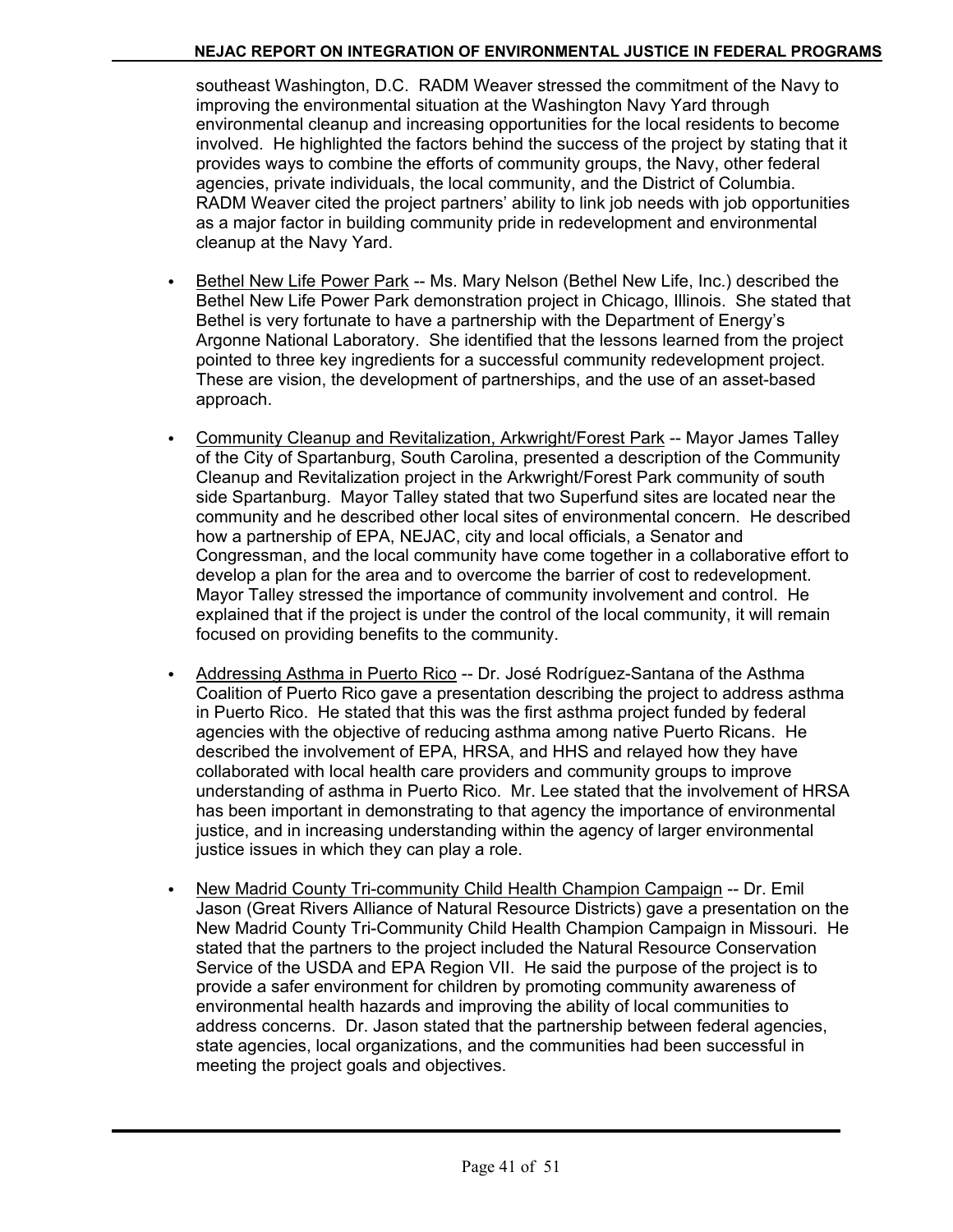southeast Washington, D.C. RADM Weaver stressed the commitment of the Navy to improving the environmental situation at the Washington Navy Yard through environmental cleanup and increasing opportunities for the local residents to become involved. He highlighted the factors behind the success of the project by stating that it provides ways to combine the efforts of community groups, the Navy, other federal agencies, private individuals, the local community, and the District of Columbia. RADM Weaver cited the project partners' ability to link job needs with job opportunities as a major factor in building community pride in redevelopment and environmental cleanup at the Navy Yard.

- Bethel New Life Power Park -- Ms. Mary Nelson (Bethel New Life, Inc.) described the Bethel New Life Power Park demonstration project in Chicago, Illinois. She stated that Bethel is very fortunate to have a partnership with the Department of Energy's Argonne National Laboratory. She identified that the lessons learned from the project pointed to three key ingredients for a successful community redevelopment project. These are vision, the development of partnerships, and the use of an asset-based approach.
- Community Cleanup and Revitalization, Arkwright/Forest Park -- Mayor James Talley of the City of Spartanburg, South Carolina, presented a description of the Community Cleanup and Revitalization project in the Arkwright/Forest Park community of south side Spartanburg. Mayor Talley stated that two Superfund sites are located near the community and he described other local sites of environmental concern. He described how a partnership of EPA, NEJAC, city and local officials, a Senator and Congressman, and the local community have come together in a collaborative effort to develop a plan for the area and to overcome the barrier of cost to redevelopment. Mayor Talley stressed the importance of community involvement and control. He explained that if the project is under the control of the local community, it will remain focused on providing benefits to the community.
- Addressing Asthma in Puerto Rico -- Dr. José Rodríguez-Santana of the Asthma Coalition of Puerto Rico gave a presentation describing the project to address asthma in Puerto Rico. He stated that this was the first asthma project funded by federal agencies with the objective of reducing asthma among native Puerto Ricans. He described the involvement of EPA, HRSA, and HHS and relayed how they have collaborated with local health care providers and community groups to improve understanding of asthma in Puerto Rico. Mr. Lee stated that the involvement of HRSA has been important in demonstrating to that agency the importance of environmental justice, and in increasing understanding within the agency of larger environmental justice issues in which they can play a role.
- New Madrid County Tri-community Child Health Champion Campaign -- Dr. Emil Jason (Great Rivers Alliance of Natural Resource Districts) gave a presentation on the New Madrid County Tri-Community Child Health Champion Campaign in Missouri. He stated that the partners to the project included the Natural Resource Conservation Service of the USDA and EPA Region VII. He said the purpose of the project is to provide a safer environment for children by promoting community awareness of environmental health hazards and improving the ability of local communities to address concerns. Dr. Jason stated that the partnership between federal agencies, state agencies, local organizations, and the communities had been successful in meeting the project goals and objectives.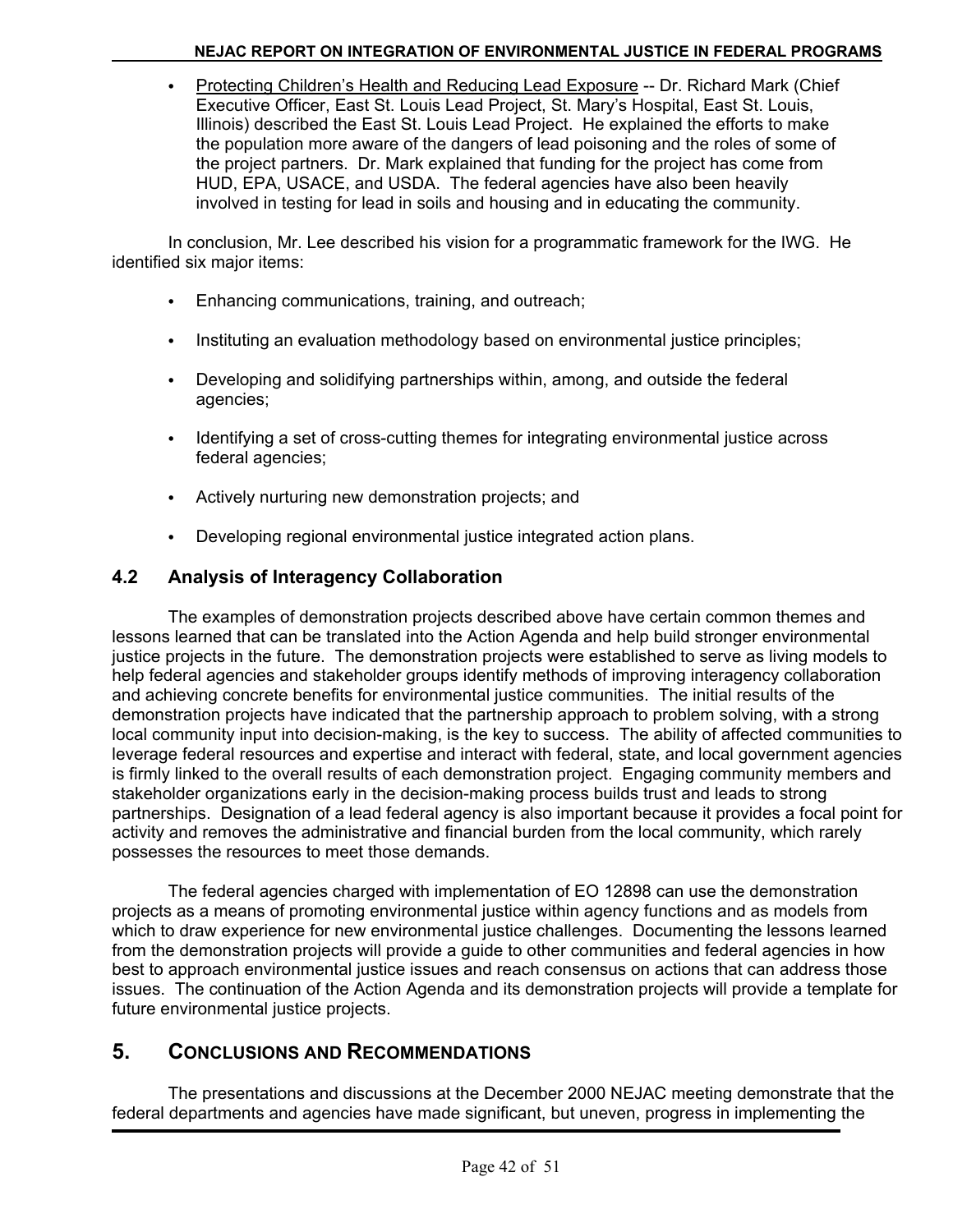C Protecting Children's Health and Reducing Lead Exposure -- Dr. Richard Mark (Chief Executive Officer, East St. Louis Lead Project, St. Mary's Hospital, East St. Louis, Illinois) described the East St. Louis Lead Project. He explained the efforts to make the population more aware of the dangers of lead poisoning and the roles of some of the project partners. Dr. Mark explained that funding for the project has come from HUD, EPA, USACE, and USDA. The federal agencies have also been heavily involved in testing for lead in soils and housing and in educating the community.

In conclusion, Mr. Lee described his vision for a programmatic framework for the IWG. He identified six major items:

- Enhancing communications, training, and outreach;
- Instituting an evaluation methodology based on environmental justice principles;
- Developing and solidifying partnerships within, among, and outside the federal agencies;
- Identifying a set of cross-cutting themes for integrating environmental justice across federal agencies;
- Actively nurturing new demonstration projects; and
- Developing regional environmental justice integrated action plans.

## **4.2 Analysis of Interagency Collaboration**

The examples of demonstration projects described above have certain common themes and lessons learned that can be translated into the Action Agenda and help build stronger environmental justice projects in the future. The demonstration projects were established to serve as living models to help federal agencies and stakeholder groups identify methods of improving interagency collaboration and achieving concrete benefits for environmental justice communities. The initial results of the demonstration projects have indicated that the partnership approach to problem solving, with a strong local community input into decision-making, is the key to success. The ability of affected communities to leverage federal resources and expertise and interact with federal, state, and local government agencies is firmly linked to the overall results of each demonstration project. Engaging community members and stakeholder organizations early in the decision-making process builds trust and leads to strong partnerships. Designation of a lead federal agency is also important because it provides a focal point for activity and removes the administrative and financial burden from the local community, which rarely possesses the resources to meet those demands.

The federal agencies charged with implementation of EO 12898 can use the demonstration projects as a means of promoting environmental justice within agency functions and as models from which to draw experience for new environmental justice challenges. Documenting the lessons learned from the demonstration projects will provide a guide to other communities and federal agencies in how best to approach environmental justice issues and reach consensus on actions that can address those issues. The continuation of the Action Agenda and its demonstration projects will provide a template for future environmental justice projects.

## **5. CONCLUSIONS AND RECOMMENDATIONS**

The presentations and discussions at the December 2000 NEJAC meeting demonstrate that the federal departments and agencies have made significant, but uneven, progress in implementing the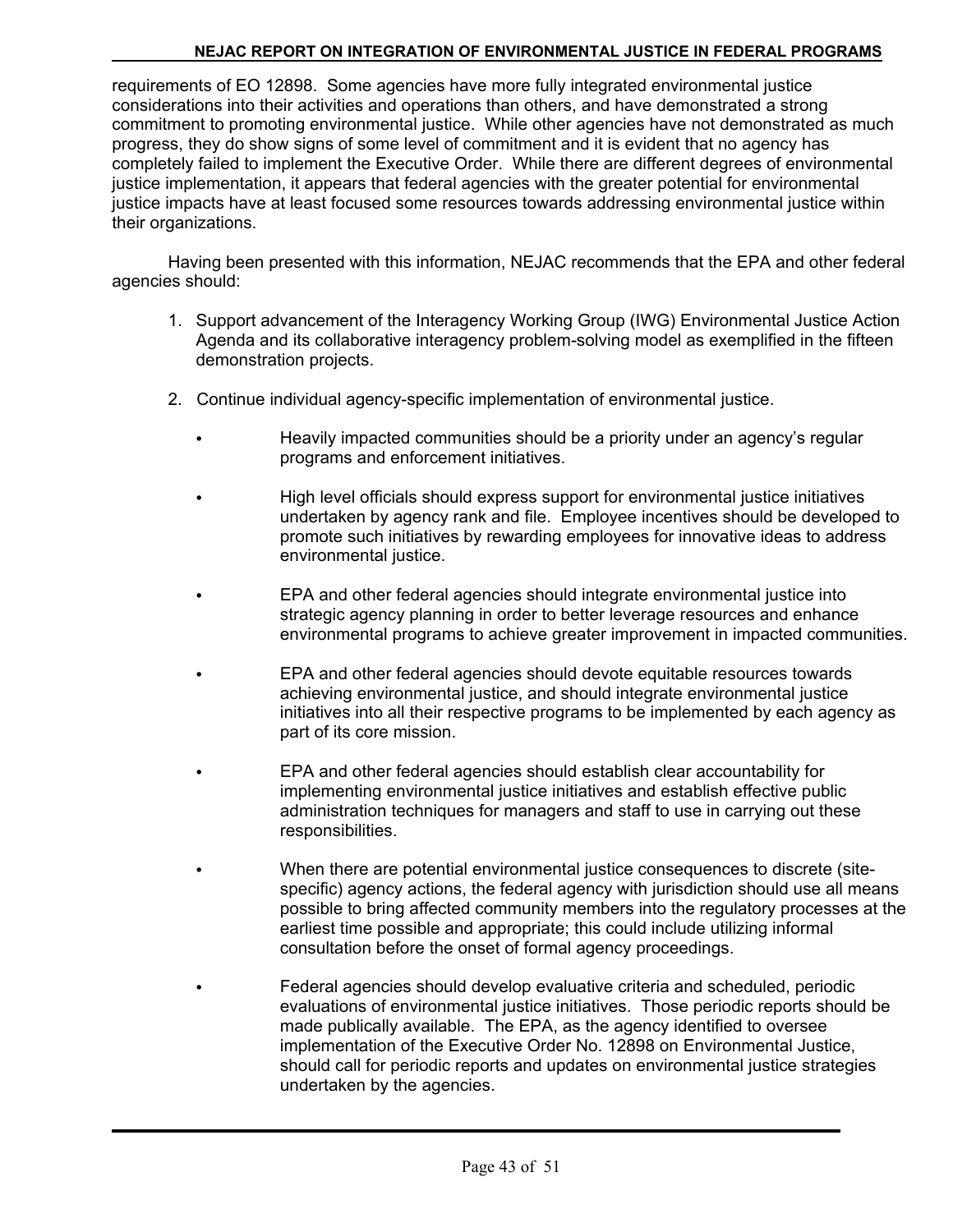requirements of EO 12898. Some agencies have more fully integrated environmental justice considerations into their activities and operations than others, and have demonstrated a strong commitment to promoting environmental justice. While other agencies have not demonstrated as much progress, they do show signs of some level of commitment and it is evident that no agency has completely failed to implement the Executive Order. While there are different degrees of environmental justice implementation, it appears that federal agencies with the greater potential for environmental justice impacts have at least focused some resources towards addressing environmental justice within their organizations.

Having been presented with this information, NEJAC recommends that the EPA and other federal agencies should:

- 1. Support advancement of the Interagency Working Group (IWG) Environmental Justice Action Agenda and its collaborative interagency problem-solving model as exemplified in the fifteen demonstration projects.
- 2. Continue individual agency-specific implementation of environmental justice.
	- Heavily impacted communities should be a priority under an agency's regular programs and enforcement initiatives.
	- High level officials should express support for environmental justice initiatives undertaken by agency rank and file. Employee incentives should be developed to promote such initiatives by rewarding employees for innovative ideas to address environmental justice.
	- C EPA and other federal agencies should integrate environmental justice into strategic agency planning in order to better leverage resources and enhance environmental programs to achieve greater improvement in impacted communities.
	- C EPA and other federal agencies should devote equitable resources towards achieving environmental justice, and should integrate environmental justice initiatives into all their respective programs to be implemented by each agency as part of its core mission.
	- EPA and other federal agencies should establish clear accountability for implementing environmental justice initiatives and establish effective public administration techniques for managers and staff to use in carrying out these responsibilities.
	- When there are potential environmental justice consequences to discrete (sitespecific) agency actions, the federal agency with jurisdiction should use all means possible to bring affected community members into the regulatory processes at the earliest time possible and appropriate; this could include utilizing informal consultation before the onset of formal agency proceedings.
	- Federal agencies should develop evaluative criteria and scheduled, periodic evaluations of environmental justice initiatives. Those periodic reports should be made publically available. The EPA, as the agency identified to oversee implementation of the Executive Order No. 12898 on Environmental Justice, should call for periodic reports and updates on environmental justice strategies undertaken by the agencies.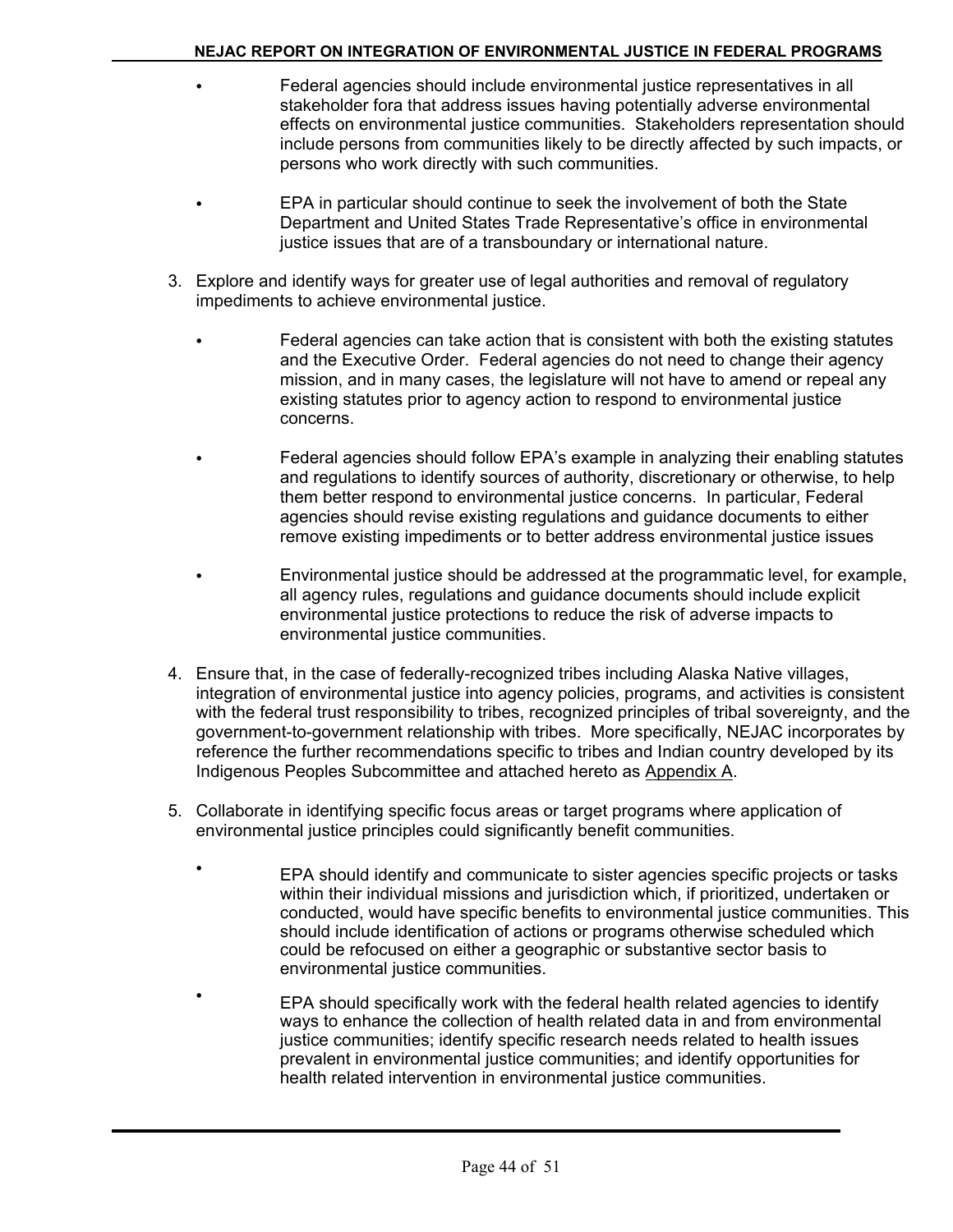- Federal agencies should include environmental justice representatives in all stakeholder fora that address issues having potentially adverse environmental effects on environmental justice communities. Stakeholders representation should include persons from communities likely to be directly affected by such impacts, or persons who work directly with such communities.
- EPA in particular should continue to seek the involvement of both the State Department and United States Trade Representative's office in environmental justice issues that are of a transboundary or international nature.
- 3. Explore and identify ways for greater use of legal authorities and removal of regulatory impediments to achieve environmental justice.
	- Federal agencies can take action that is consistent with both the existing statutes and the Executive Order. Federal agencies do not need to change their agency mission, and in many cases, the legislature will not have to amend or repeal any existing statutes prior to agency action to respond to environmental justice concerns.
	- Federal agencies should follow EPA's example in analyzing their enabling statutes and regulations to identify sources of authority, discretionary or otherwise, to help them better respond to environmental justice concerns. In particular, Federal agencies should revise existing regulations and guidance documents to either remove existing impediments or to better address environmental justice issues
		- C Environmental justice should be addressed at the programmatic level, for example, all agency rules, regulations and guidance documents should include explicit environmental justice protections to reduce the risk of adverse impacts to environmental justice communities.
- 4. Ensure that, in the case of federally-recognized tribes including Alaska Native villages, integration of environmental justice into agency policies, programs, and activities is consistent with the federal trust responsibility to tribes, recognized principles of tribal sovereignty, and the government-to-government relationship with tribes. More specifically, NEJAC incorporates by reference the further recommendations specific to tribes and Indian country developed by its Indigenous Peoples Subcommittee and attached hereto as Appendix A.
- 5. Collaborate in identifying specific focus areas or target programs where application of environmental justice principles could significantly benefit communities.
	- EPA should identify and communicate to sister agencies specific projects or tasks within their individual missions and jurisdiction which, if prioritized, undertaken or conducted, would have specific benefits to environmental justice communities. This should include identification of actions or programs otherwise scheduled which could be refocused on either a geographic or substantive sector basis to environmental justice communities.
		- <sup>C</sup> EPA should specifically work with the federal health related agencies to identify ways to enhance the collection of health related data in and from environmental justice communities; identify specific research needs related to health issues prevalent in environmental justice communities; and identify opportunities for health related intervention in environmental justice communities.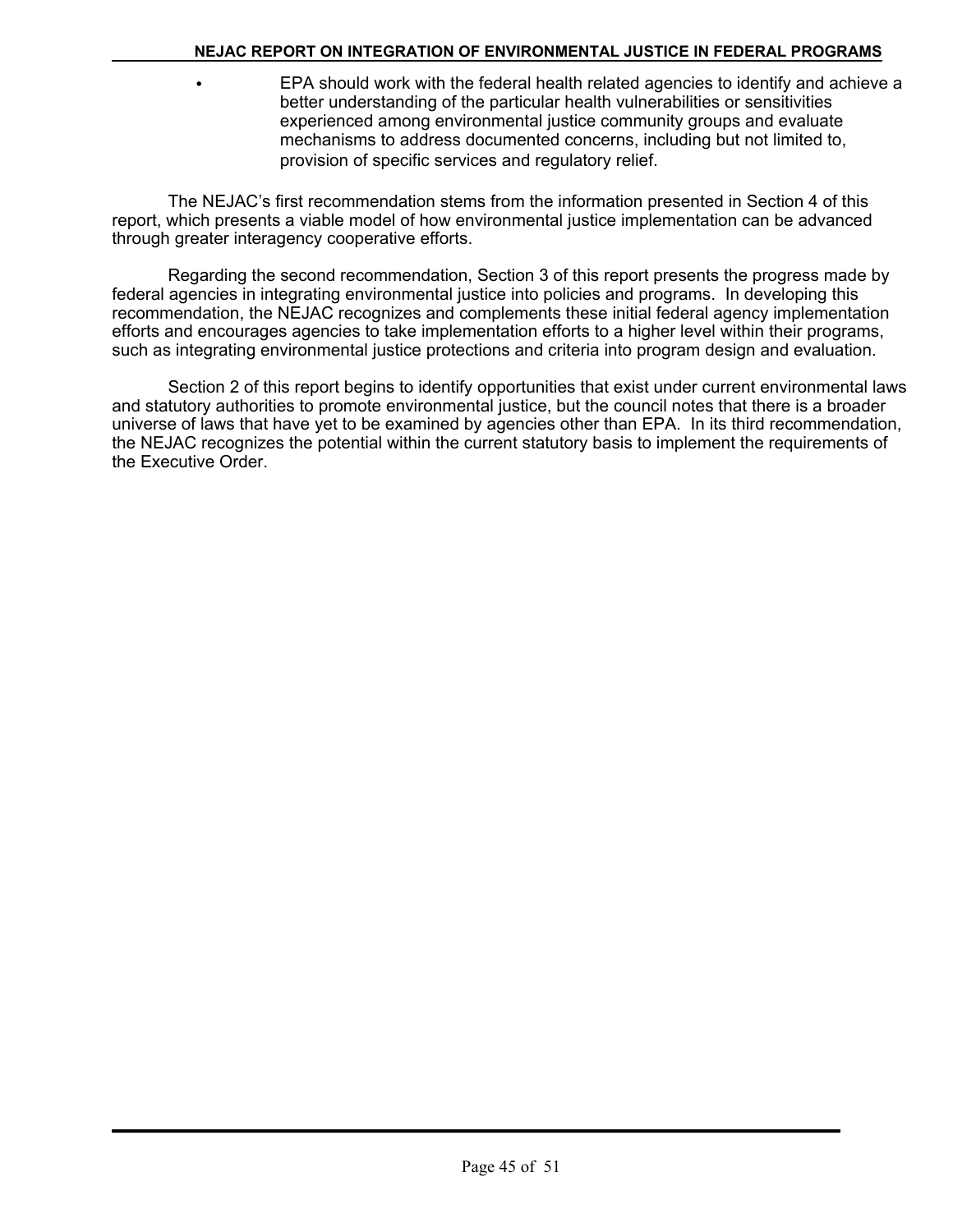**EPA should work with the federal health related agencies to identify and achieve a** better understanding of the particular health vulnerabilities or sensitivities experienced among environmental justice community groups and evaluate mechanisms to address documented concerns, including but not limited to, provision of specific services and regulatory relief.

The NEJAC's first recommendation stems from the information presented in Section 4 of this report, which presents a viable model of how environmental justice implementation can be advanced through greater interagency cooperative efforts.

Regarding the second recommendation, Section 3 of this report presents the progress made by federal agencies in integrating environmental justice into policies and programs. In developing this recommendation, the NEJAC recognizes and complements these initial federal agency implementation efforts and encourages agencies to take implementation efforts to a higher level within their programs, such as integrating environmental justice protections and criteria into program design and evaluation.

Section 2 of this report begins to identify opportunities that exist under current environmental laws and statutory authorities to promote environmental justice, but the council notes that there is a broader universe of laws that have yet to be examined by agencies other than EPA. In its third recommendation, the NEJAC recognizes the potential within the current statutory basis to implement the requirements of the Executive Order.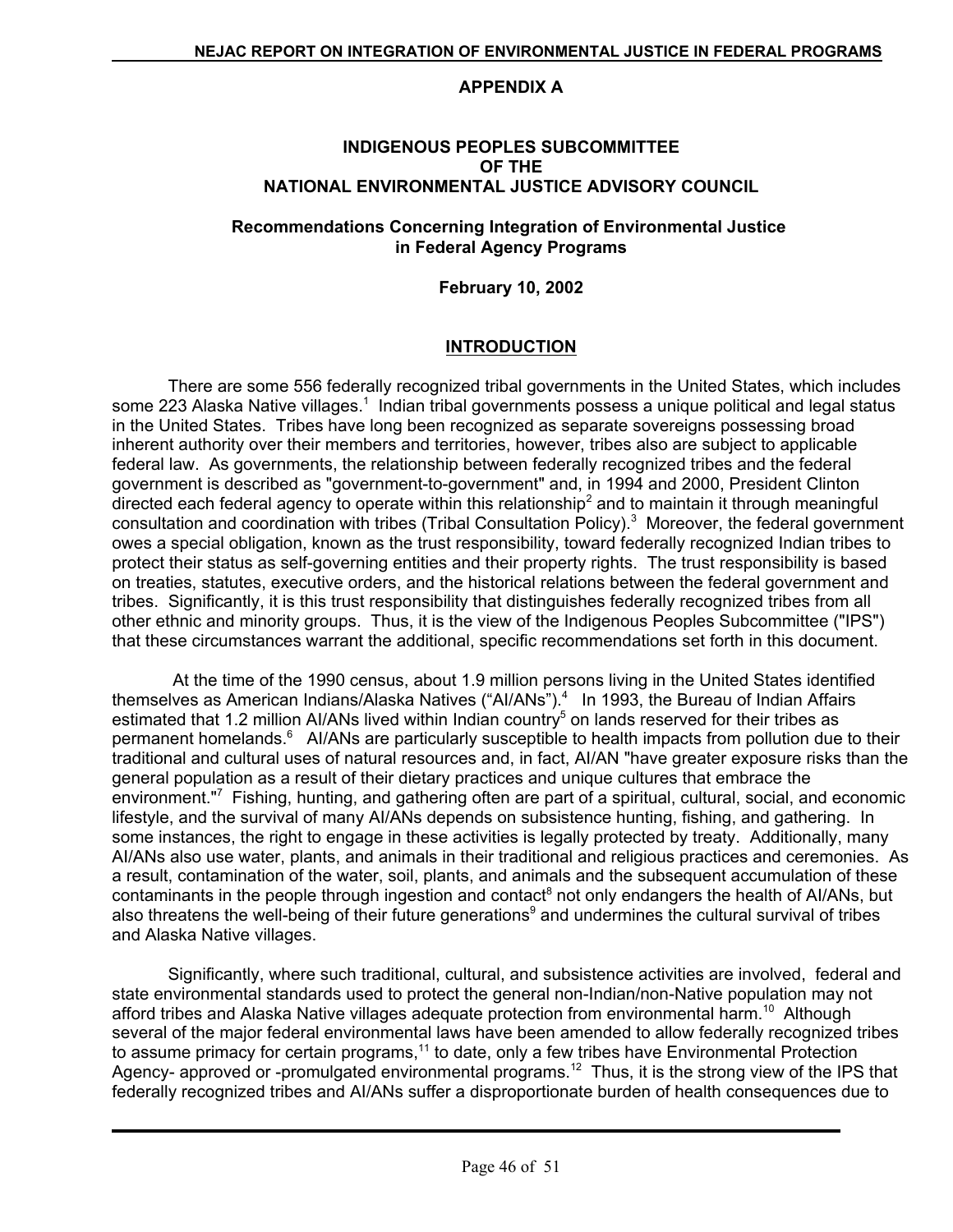#### **APPENDIX A**

#### **INDIGENOUS PEOPLES SUBCOMMITTEE OF THE NATIONAL ENVIRONMENTAL JUSTICE ADVISORY COUNCIL**

#### **Recommendations Concerning Integration of Environmental Justice in Federal Agency Programs**

#### **February 10, 2002**

#### **INTRODUCTION**

There are some 556 federally recognized tribal governments in the United States, which includes some 223 Alaska Native villages.<sup>1</sup> Indian tribal governments possess a unique political and legal status in the United States. Tribes have long been recognized as separate sovereigns possessing broad inherent authority over their members and territories, however, tribes also are subject to applicable federal law. As governments, the relationship between federally recognized tribes and the federal government is described as "government-to-government" and, in 1994 and 2000, President Clinton directed each federal agency to operate within this relationship<sup>2</sup> and to maintain it through meaningful consultation and coordination with tribes (Tribal Consultation Policy). $3$  Moreover, the federal government owes a special obligation, known as the trust responsibility, toward federally recognized Indian tribes to protect their status as self-governing entities and their property rights. The trust responsibility is based on treaties, statutes, executive orders, and the historical relations between the federal government and tribes. Significantly, it is this trust responsibility that distinguishes federally recognized tribes from all other ethnic and minority groups. Thus, it is the view of the Indigenous Peoples Subcommittee ("IPS") that these circumstances warrant the additional, specific recommendations set forth in this document.

 At the time of the 1990 census, about 1.9 million persons living in the United States identified themselves as American Indians/Alaska Natives ("Al/ANs").<sup>4</sup> In 1993, the Bureau of Indian Affairs estimated that 1.2 million AI/ANs lived within Indian country<sup>5</sup> on lands reserved for their tribes as permanent homelands.<sup>6</sup> AI/ANs are particularly susceptible to health impacts from pollution due to their traditional and cultural uses of natural resources and, in fact, AI/AN "have greater exposure risks than the general population as a result of their dietary practices and unique cultures that embrace the environment."7 Fishing, hunting, and gathering often are part of a spiritual, cultural, social, and economic lifestyle, and the survival of many AI/ANs depends on subsistence hunting, fishing, and gathering. In some instances, the right to engage in these activities is legally protected by treaty. Additionally, many AI/ANs also use water, plants, and animals in their traditional and religious practices and ceremonies. As a result, contamination of the water, soil, plants, and animals and the subsequent accumulation of these contaminants in the people through ingestion and contact<sup>8</sup> not only endangers the health of AI/ANs, but also threatens the well-being of their future generations<sup>9</sup> and undermines the cultural survival of tribes and Alaska Native villages.

Significantly, where such traditional, cultural, and subsistence activities are involved, federal and state environmental standards used to protect the general non-Indian/non-Native population may not afford tribes and Alaska Native villages adequate protection from environmental harm.<sup>10</sup> Although several of the major federal environmental laws have been amended to allow federally recognized tribes to assume primacy for certain programs,<sup>11</sup> to date, only a few tribes have Environmental Protection Agency- approved or -promulgated environmental programs.<sup>12</sup> Thus, it is the strong view of the IPS that federally recognized tribes and AI/ANs suffer a disproportionate burden of health consequences due to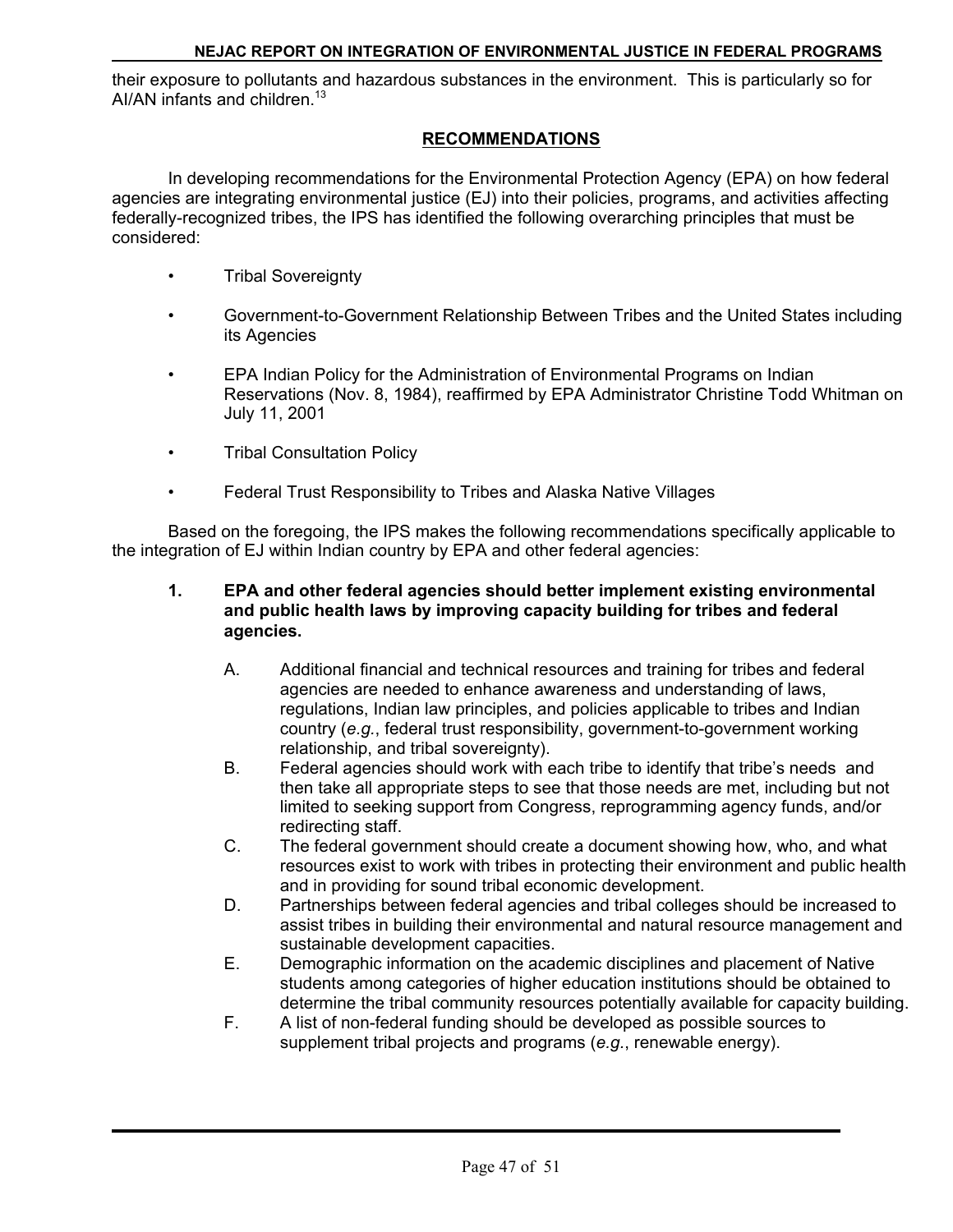their exposure to pollutants and hazardous substances in the environment. This is particularly so for AI/AN infants and children.<sup>13</sup>

### **RECOMMENDATIONS**

In developing recommendations for the Environmental Protection Agency (EPA) on how federal agencies are integrating environmental justice (EJ) into their policies, programs, and activities affecting federally-recognized tribes, the IPS has identified the following overarching principles that must be considered:

- Tribal Sovereignty
- Government-to-Government Relationship Between Tribes and the United States including its Agencies
- EPA Indian Policy for the Administration of Environmental Programs on Indian Reservations (Nov. 8, 1984), reaffirmed by EPA Administrator Christine Todd Whitman on July 11, 2001
- Tribal Consultation Policy
- Federal Trust Responsibility to Tribes and Alaska Native Villages

Based on the foregoing, the IPS makes the following recommendations specifically applicable to the integration of EJ within Indian country by EPA and other federal agencies:

- **1. EPA and other federal agencies should better implement existing environmental and public health laws by improving capacity building for tribes and federal agencies.** 
	- A. Additional financial and technical resources and training for tribes and federal agencies are needed to enhance awareness and understanding of laws, regulations, Indian law principles, and policies applicable to tribes and Indian country (*e.g.*, federal trust responsibility, government-to-government working relationship, and tribal sovereignty).
	- B. Federal agencies should work with each tribe to identify that tribe's needs and then take all appropriate steps to see that those needs are met, including but not limited to seeking support from Congress, reprogramming agency funds, and/or redirecting staff.
	- C. The federal government should create a document showing how, who, and what resources exist to work with tribes in protecting their environment and public health and in providing for sound tribal economic development.
	- D. Partnerships between federal agencies and tribal colleges should be increased to assist tribes in building their environmental and natural resource management and sustainable development capacities.
	- E. Demographic information on the academic disciplines and placement of Native students among categories of higher education institutions should be obtained to determine the tribal community resources potentially available for capacity building.
	- F. A list of non-federal funding should be developed as possible sources to supplement tribal projects and programs (*e.g.*, renewable energy).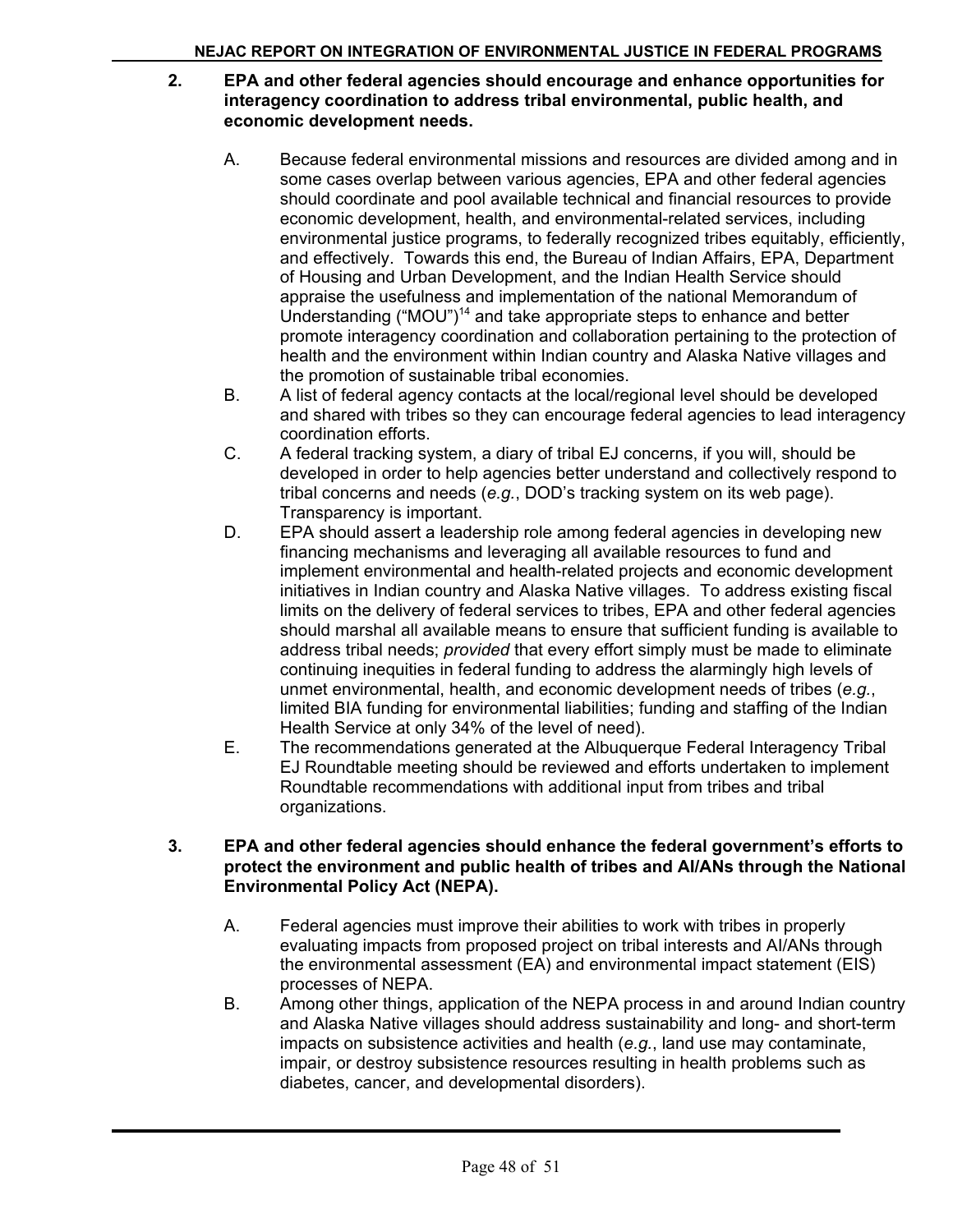#### **2. EPA and other federal agencies should encourage and enhance opportunities for interagency coordination to address tribal environmental, public health, and economic development needs.**

- A. Because federal environmental missions and resources are divided among and in some cases overlap between various agencies, EPA and other federal agencies should coordinate and pool available technical and financial resources to provide economic development, health, and environmental-related services, including environmental justice programs, to federally recognized tribes equitably, efficiently, and effectively. Towards this end, the Bureau of Indian Affairs, EPA, Department of Housing and Urban Development, and the Indian Health Service should appraise the usefulness and implementation of the national Memorandum of Understanding ("MOU")<sup>14</sup> and take appropriate steps to enhance and better promote interagency coordination and collaboration pertaining to the protection of health and the environment within Indian country and Alaska Native villages and the promotion of sustainable tribal economies.
- B. A list of federal agency contacts at the local/regional level should be developed and shared with tribes so they can encourage federal agencies to lead interagency coordination efforts.
- C. A federal tracking system, a diary of tribal EJ concerns, if you will, should be developed in order to help agencies better understand and collectively respond to tribal concerns and needs (*e.g.*, DOD's tracking system on its web page). Transparency is important.
- D. EPA should assert a leadership role among federal agencies in developing new financing mechanisms and leveraging all available resources to fund and implement environmental and health-related projects and economic development initiatives in Indian country and Alaska Native villages. To address existing fiscal limits on the delivery of federal services to tribes, EPA and other federal agencies should marshal all available means to ensure that sufficient funding is available to address tribal needs; *provided* that every effort simply must be made to eliminate continuing inequities in federal funding to address the alarmingly high levels of unmet environmental, health, and economic development needs of tribes (*e.g.*, limited BIA funding for environmental liabilities; funding and staffing of the Indian Health Service at only 34% of the level of need).
- E. The recommendations generated at the Albuquerque Federal Interagency Tribal EJ Roundtable meeting should be reviewed and efforts undertaken to implement Roundtable recommendations with additional input from tribes and tribal organizations.

#### **3. EPA and other federal agencies should enhance the federal government's efforts to protect the environment and public health of tribes and AI/ANs through the National Environmental Policy Act (NEPA).**

- A. Federal agencies must improve their abilities to work with tribes in properly evaluating impacts from proposed project on tribal interests and AI/ANs through the environmental assessment (EA) and environmental impact statement (EIS) processes of NEPA.
- B. Among other things, application of the NEPA process in and around Indian country and Alaska Native villages should address sustainability and long- and short-term impacts on subsistence activities and health (*e.g.*, land use may contaminate, impair, or destroy subsistence resources resulting in health problems such as diabetes, cancer, and developmental disorders).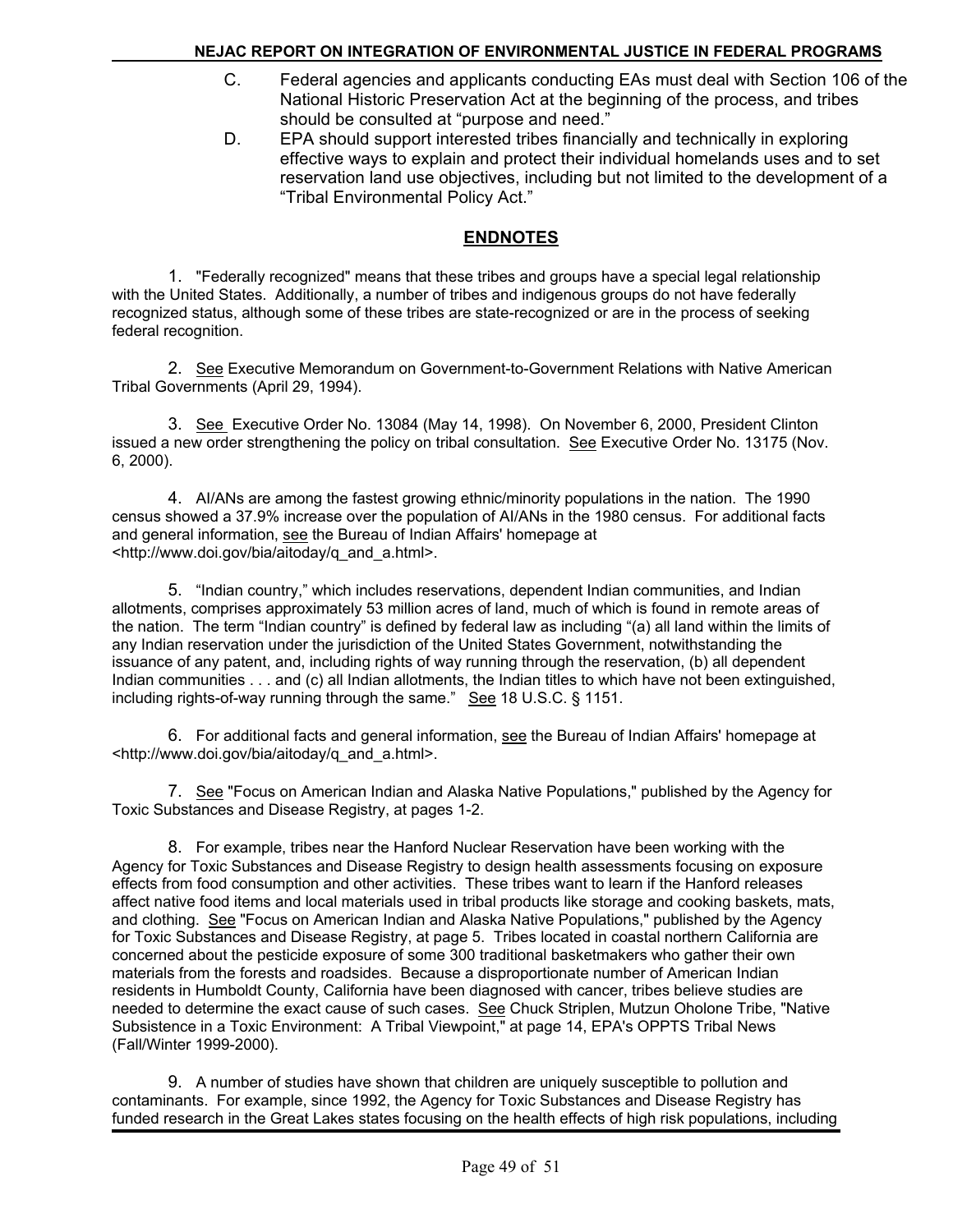- C. Federal agencies and applicants conducting EAs must deal with Section 106 of the National Historic Preservation Act at the beginning of the process, and tribes should be consulted at "purpose and need."
- D. EPA should support interested tribes financially and technically in exploring effective ways to explain and protect their individual homelands uses and to set reservation land use objectives, including but not limited to the development of a "Tribal Environmental Policy Act."

## **ENDNOTES**

1. "Federally recognized" means that these tribes and groups have a special legal relationship with the United States. Additionally, a number of tribes and indigenous groups do not have federally recognized status, although some of these tribes are state-recognized or are in the process of seeking federal recognition.

2. See Executive Memorandum on Government-to-Government Relations with Native American Tribal Governments (April 29, 1994).

3. See Executive Order No. 13084 (May 14, 1998). On November 6, 2000, President Clinton issued a new order strengthening the policy on tribal consultation. See Executive Order No. 13175 (Nov. 6, 2000).

4. AI/ANs are among the fastest growing ethnic/minority populations in the nation. The 1990 census showed a 37.9% increase over the population of AI/ANs in the 1980 census. For additional facts and general information, see the Bureau of Indian Affairs' homepage at <http://www.doi.gov/bia/aitoday/q\_and\_a.html>.

5. "Indian country," which includes reservations, dependent Indian communities, and Indian allotments, comprises approximately 53 million acres of land, much of which is found in remote areas of the nation. The term "Indian country" is defined by federal law as including "(a) all land within the limits of any Indian reservation under the jurisdiction of the United States Government, notwithstanding the issuance of any patent, and, including rights of way running through the reservation, (b) all dependent Indian communities . . . and (c) all Indian allotments, the Indian titles to which have not been extinguished, including rights-of-way running through the same." See 18 U.S.C. § 1151.

6. For additional facts and general information, see the Bureau of Indian Affairs' homepage at <http://www.doi.gov/bia/aitoday/q\_and\_a.html>.

7. See "Focus on American Indian and Alaska Native Populations," published by the Agency for Toxic Substances and Disease Registry, at pages 1-2.

8. For example, tribes near the Hanford Nuclear Reservation have been working with the Agency for Toxic Substances and Disease Registry to design health assessments focusing on exposure effects from food consumption and other activities. These tribes want to learn if the Hanford releases affect native food items and local materials used in tribal products like storage and cooking baskets, mats, and clothing. See "Focus on American Indian and Alaska Native Populations," published by the Agency for Toxic Substances and Disease Registry, at page 5. Tribes located in coastal northern California are concerned about the pesticide exposure of some 300 traditional basketmakers who gather their own materials from the forests and roadsides. Because a disproportionate number of American Indian residents in Humboldt County, California have been diagnosed with cancer, tribes believe studies are needed to determine the exact cause of such cases. See Chuck Striplen, Mutzun Oholone Tribe, "Native Subsistence in a Toxic Environment: A Tribal Viewpoint," at page 14, EPA's OPPTS Tribal News (Fall/Winter 1999-2000).

9. A number of studies have shown that children are uniquely susceptible to pollution and contaminants. For example, since 1992, the Agency for Toxic Substances and Disease Registry has funded research in the Great Lakes states focusing on the health effects of high risk populations, including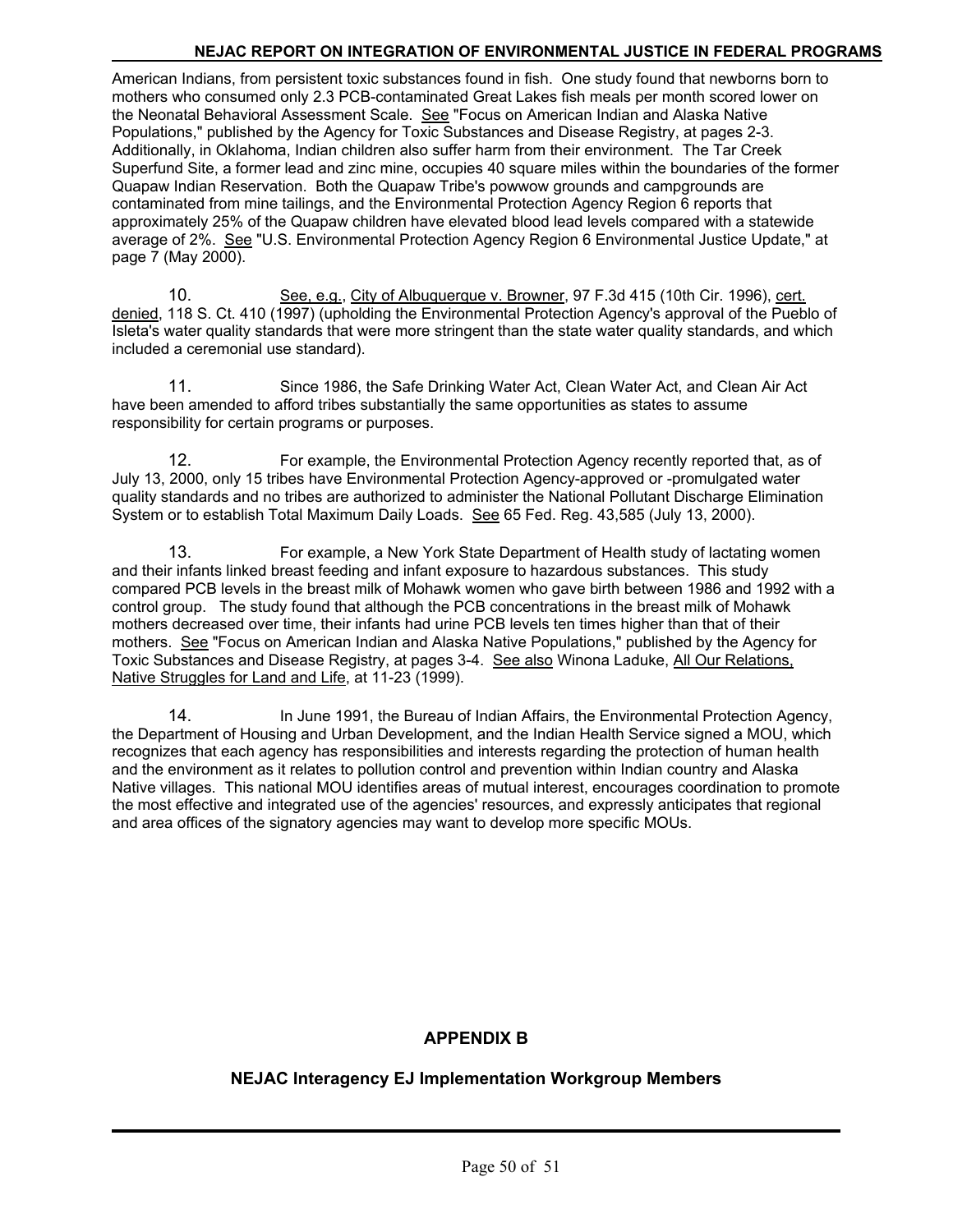American Indians, from persistent toxic substances found in fish. One study found that newborns born to mothers who consumed only 2.3 PCB-contaminated Great Lakes fish meals per month scored lower on the Neonatal Behavioral Assessment Scale. See "Focus on American Indian and Alaska Native Populations," published by the Agency for Toxic Substances and Disease Registry, at pages 2-3. Additionally, in Oklahoma, Indian children also suffer harm from their environment. The Tar Creek Superfund Site, a former lead and zinc mine, occupies 40 square miles within the boundaries of the former Quapaw Indian Reservation. Both the Quapaw Tribe's powwow grounds and campgrounds are contaminated from mine tailings, and the Environmental Protection Agency Region 6 reports that approximately 25% of the Quapaw children have elevated blood lead levels compared with a statewide average of 2%. See "U.S. Environmental Protection Agency Region 6 Environmental Justice Update," at page 7 (May 2000).

10. See, e.g., City of Albuquerque v. Browner, 97 F.3d 415 (10th Cir. 1996), cert. denied, 118 S. Ct. 410 (1997) (upholding the Environmental Protection Agency's approval of the Pueblo of Isleta's water quality standards that were more stringent than the state water quality standards, and which included a ceremonial use standard).

11. Since 1986, the Safe Drinking Water Act, Clean Water Act, and Clean Air Act have been amended to afford tribes substantially the same opportunities as states to assume responsibility for certain programs or purposes.

12. For example, the Environmental Protection Agency recently reported that, as of July 13, 2000, only 15 tribes have Environmental Protection Agency-approved or -promulgated water quality standards and no tribes are authorized to administer the National Pollutant Discharge Elimination System or to establish Total Maximum Daily Loads. See 65 Fed. Reg. 43,585 (July 13, 2000).

13. For example, a New York State Department of Health study of lactating women and their infants linked breast feeding and infant exposure to hazardous substances. This study compared PCB levels in the breast milk of Mohawk women who gave birth between 1986 and 1992 with a control group. The study found that although the PCB concentrations in the breast milk of Mohawk mothers decreased over time, their infants had urine PCB levels ten times higher than that of their mothers. See "Focus on American Indian and Alaska Native Populations," published by the Agency for Toxic Substances and Disease Registry, at pages 3-4. See also Winona Laduke, All Our Relations, Native Struggles for Land and Life, at 11-23 (1999).

14. In June 1991, the Bureau of Indian Affairs, the Environmental Protection Agency, the Department of Housing and Urban Development, and the Indian Health Service signed a MOU, which recognizes that each agency has responsibilities and interests regarding the protection of human health and the environment as it relates to pollution control and prevention within Indian country and Alaska Native villages. This national MOU identifies areas of mutual interest, encourages coordination to promote the most effective and integrated use of the agencies' resources, and expressly anticipates that regional and area offices of the signatory agencies may want to develop more specific MOUs.

## **APPENDIX B**

## **NEJAC Interagency EJ Implementation Workgroup Members**